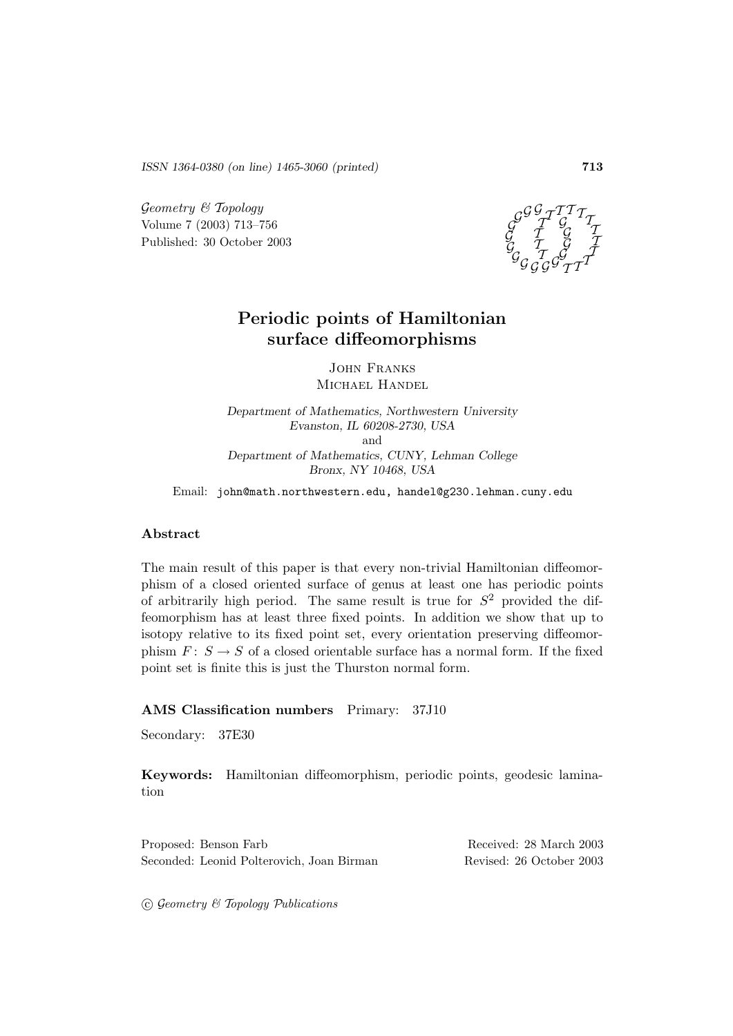*ISSN 1364-0380 (on line) 1465-3060 (printed)* **713**

 $Geometry \& Topology$ Volume 7 (2003) 713–756 Published: 30 October 2003



# **Periodic points of Hamiltonian surface diffeomorphisms**

John Franks Michael Handel

*Department of Mathematics, Northwestern University Evanston, IL 60208-2730, USA* and *Department of Mathematics, CUNY, Lehman College Bronx, NY 10468, USA*

Email: john@math.northwestern.edu, handel@g230.lehman.cuny.edu

#### **Abstract**

The main result of this paper is that every non-trivial Hamiltonian diffeomorphism of a closed oriented surface of genus at least one has periodic points of arbitrarily high period. The same result is true for  $S^2$  provided the diffeomorphism has at least three fixed points. In addition we show that up to isotopy relative to its fixed point set, every orientation preserving diffeomorphism  $F: S \to S$  of a closed orientable surface has a normal form. If the fixed point set is finite this is just the Thurston normal form.

#### **AMS Classification numbers** Primary: 37J10

Secondary: 37E30

**Keywords:** Hamiltonian diffeomorphism, periodic points, geodesic lamination

Proposed: Benson Farb Received: 28 March 2003 Seconded: Leonid Polterovich, Joan Birman Revised: 26 October 2003

 $\odot$  Geometry & Topology Publications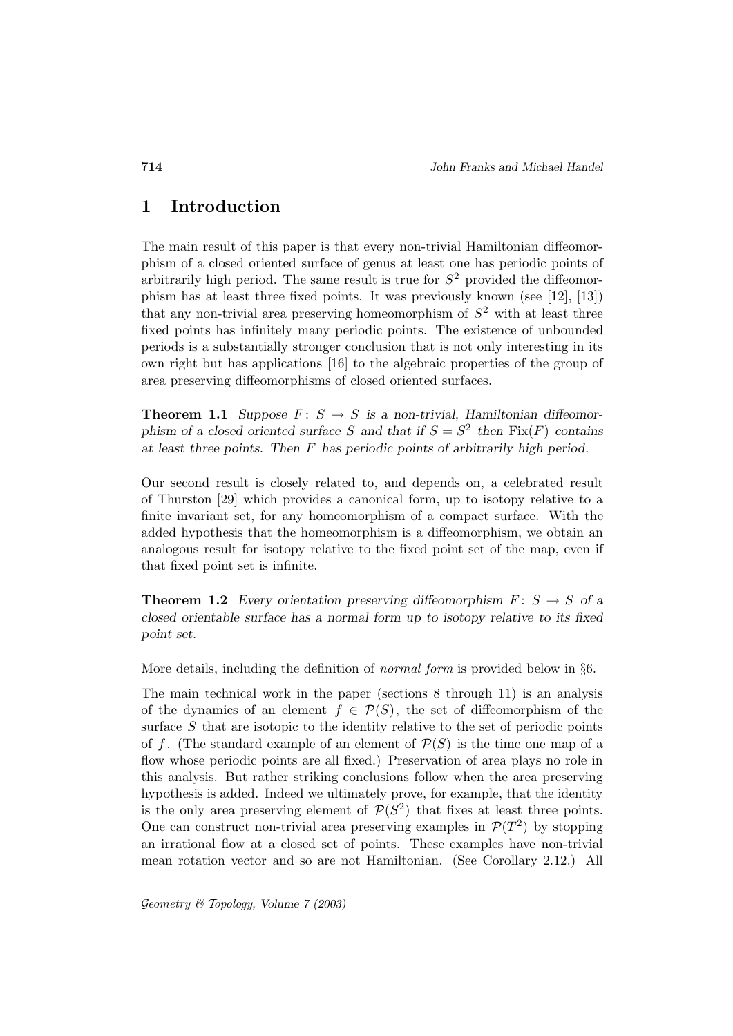## **1 Introduction**

The main result of this paper is that every non-trivial Hamiltonian diffeomorphism of a closed oriented surface of genus at least one has periodic points of arbitrarily high period. The same result is true for  $S<sup>2</sup>$  provided the diffeomorphism has at least three fixed points. It was previously known (see [12], [13]) that any non-trivial area preserving homeomorphism of  $S<sup>2</sup>$  with at least three fixed points has infinitely many periodic points. The existence of unbounded periods is a substantially stronger conclusion that is not only interesting in its own right but has applications [16] to the algebraic properties of the group of area preserving diffeomorphisms of closed oriented surfaces.

**Theorem 1.1** *Suppose*  $F: S \to S$  *is a non-trivial, Hamiltonian diffeomorphism of a closed oriented surface* S and that if  $S = S^2$  then  $Fix(F)$  contains *at least three points. Then* F *has periodic points of arbitrarily high period.*

Our second result is closely related to, and depends on, a celebrated result of Thurston [29] which provides a canonical form, up to isotopy relative to a finite invariant set, for any homeomorphism of a compact surface. With the added hypothesis that the homeomorphism is a diffeomorphism, we obtain an analogous result for isotopy relative to the fixed point set of the map, even if that fixed point set is infinite.

**Theorem 1.2** *Every orientation preserving diffeomorphism*  $F: S \rightarrow S$  *of a closed orientable surface has a normal form up to isotopy relative to its fixed point set.*

More details, including the definition of normal form is provided below in §6.

The main technical work in the paper (sections 8 through 11) is an analysis of the dynamics of an element  $f \in \mathcal{P}(S)$ , the set of diffeomorphism of the surface S that are isotopic to the identity relative to the set of periodic points of f. (The standard example of an element of  $\mathcal{P}(S)$  is the time one map of a flow whose periodic points are all fixed.) Preservation of area plays no role in this analysis. But rather striking conclusions follow when the area preserving hypothesis is added. Indeed we ultimately prove, for example, that the identity is the only area preserving element of  $\mathcal{P}(S^2)$  that fixes at least three points. One can construct non-trivial area preserving examples in  $\mathcal{P}(T^2)$  by stopping an irrational flow at a closed set of points. These examples have non-trivial mean rotation vector and so are not Hamiltonian. (See Corollary 2.12.) All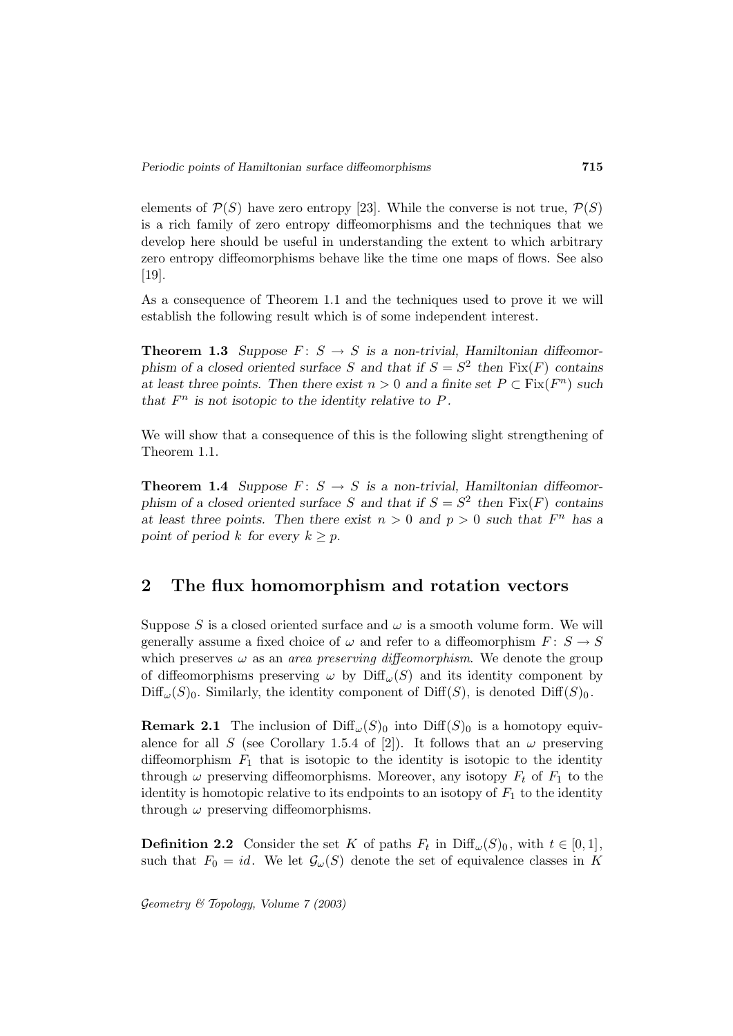elements of  $\mathcal{P}(S)$  have zero entropy [23]. While the converse is not true,  $\mathcal{P}(S)$ is a rich family of zero entropy diffeomorphisms and the techniques that we develop here should be useful in understanding the extent to which arbitrary zero entropy diffeomorphisms behave like the time one maps of flows. See also  $|19|$ .

As a consequence of Theorem 1.1 and the techniques used to prove it we will establish the following result which is of some independent interest.

**Theorem 1.3** *Suppose*  $F: S \to S$  *is a non-trivial, Hamiltonian diffeomorphism of a closed oriented surface* S and that if  $S = S^2$  then  $Fix(F)$  contains *at least three points. Then there exist*  $n > 0$  *and a finite set*  $P \subset Fix(F^n)$  *such that*  $F^n$  *is not isotopic to the identity relative to P.* 

We will show that a consequence of this is the following slight strengthening of Theorem 1.1.

**Theorem 1.4** *Suppose*  $F: S \to S$  *is a non-trivial, Hamiltonian diffeomorphism of a closed oriented surface* S and that if  $S = S^2$  then  $Fix(F)$  contains *at least three points. Then there exist*  $n > 0$  *and*  $p > 0$  *such that*  $F<sup>n</sup>$  *has a point of period* k *for every*  $k \geq p$ .

## **2 The flux homomorphism and rotation vectors**

Suppose S is a closed oriented surface and  $\omega$  is a smooth volume form. We will generally assume a fixed choice of  $\omega$  and refer to a diffeomorphism  $F: S \to S$ which preserves  $\omega$  as an *area preserving diffeomorphism*. We denote the group of diffeomorphisms preserving  $\omega$  by Diff<sub> $\omega(S)$ </sub> and its identity component by  $\text{Diff}_{\omega}(S)_{0}$ . Similarly, the identity component of  $\text{Diff}(S)$ , is denoted  $\text{Diff}(S)_{0}$ .

**Remark 2.1** The inclusion of  $\text{Diff}_{\omega}(S)_{0}$  into  $\text{Diff}(S)_{0}$  is a homotopy equivalence for all S (see Corollary 1.5.4 of [2]). It follows that an  $\omega$  preserving diffeomorphism  $F_1$  that is isotopic to the identity is isotopic to the identity through  $\omega$  preserving diffeomorphisms. Moreover, any isotopy  $F_t$  of  $F_1$  to the identity is homotopic relative to its endpoints to an isotopy of  $F_1$  to the identity through  $\omega$  preserving diffeomorphisms.

**Definition 2.2** Consider the set K of paths  $F_t$  in Diff<sub> $\omega(S)_0$ </sub>, with  $t \in [0,1]$ , such that  $F_0 = id$ . We let  $\mathcal{G}_{\omega}(S)$  denote the set of equivalence classes in K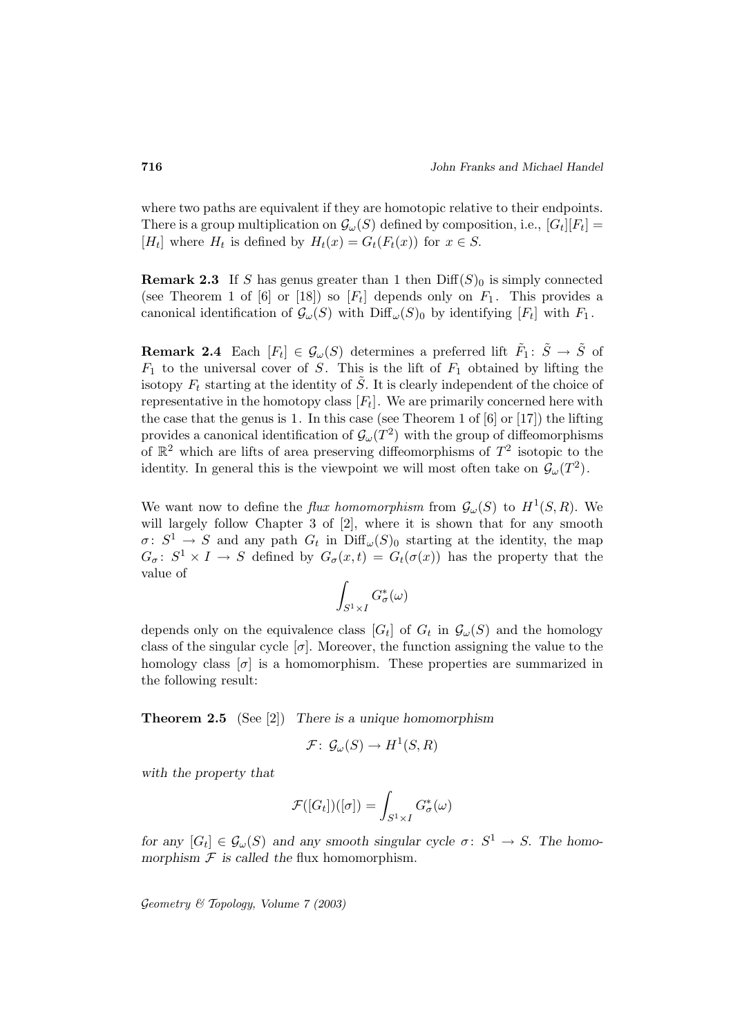where two paths are equivalent if they are homotopic relative to their endpoints. There is a group multiplication on  $\mathcal{G}_{\omega}(S)$  defined by composition, i.e.,  $|G_t||F_t|$  = [H<sub>t</sub>] where H<sub>t</sub> is defined by  $H_t(x) = G_t(F_t(x))$  for  $x \in S$ .

**Remark 2.3** If S has genus greater than 1 then  $\text{Diff}(S)_0$  is simply connected (see Theorem 1 of  $[6]$  or  $[18]$ ) so  $[F_t]$  depends only on  $F_1$ . This provides a canonical identification of  $\mathcal{G}_{\omega}(S)$  with  $\text{Diff}_{\omega}(S)$  by identifying  $[F_t]$  with  $F_1$ .

**Remark 2.4** Each  $[F_t] \in \mathcal{G}_{\omega}(S)$  determines a preferred lift  $\tilde{F}_1: \tilde{S} \to \tilde{S}$  of  $F_1$  to the universal cover of S. This is the lift of  $F_1$  obtained by lifting the isotopy  $F_t$  starting at the identity of  $\tilde{S}$ . It is clearly independent of the choice of representative in the homotopy class  $[F_t]$ . We are primarily concerned here with the case that the genus is 1. In this case (see Theorem 1 of [6] or [17]) the lifting provides a canonical identification of  $\mathcal{G}_{\omega}(T^2)$  with the group of diffeomorphisms of  $\mathbb{R}^2$  which are lifts of area preserving diffeomorphisms of  $T^2$  isotopic to the identity. In general this is the viewpoint we will most often take on  $\mathcal{G}_{\omega}(T^2)$ .

We want now to define the *flux homomorphism* from  $\mathcal{G}_{\omega}(S)$  to  $H^1(S, R)$ . We will largely follow Chapter 3 of [2], where it is shown that for any smooth  $\sigma: S^1 \to S$  and any path  $G_t$  in  $\text{Diff}_{\omega}(S)_0$  starting at the identity, the map  $G_{\sigma}$ :  $S^1 \times I \to S$  defined by  $G_{\sigma}(x,t) = G_t(\sigma(x))$  has the property that the value of

$$
\int_{S^1\times I} G^*_\sigma(\omega)
$$

depends only on the equivalence class  $[G_t]$  of  $G_t$  in  $\mathcal{G}_{\omega}(S)$  and the homology class of the singular cycle  $[\sigma]$ . Moreover, the function assigning the value to the homology class  $[\sigma]$  is a homomorphism. These properties are summarized in the following result:

**Theorem 2.5** (See [2]) *There is a unique homomorphism*

$$
\mathcal{F}\colon\thinspace \mathcal{G}_{\omega}(S)\to H^1(S,R)
$$

*with the property that*

$$
\mathcal{F}([G_t])([\sigma]) = \int_{S^1 \times I} G^*_{\sigma}(\omega)
$$

*for any*  $[G_t] \in \mathcal{G}_{\omega}(S)$  *and any smooth singular cycle*  $\sigma: S^1 \to S$ . The homomorphism  $F$  *is called the flux homomorphism.*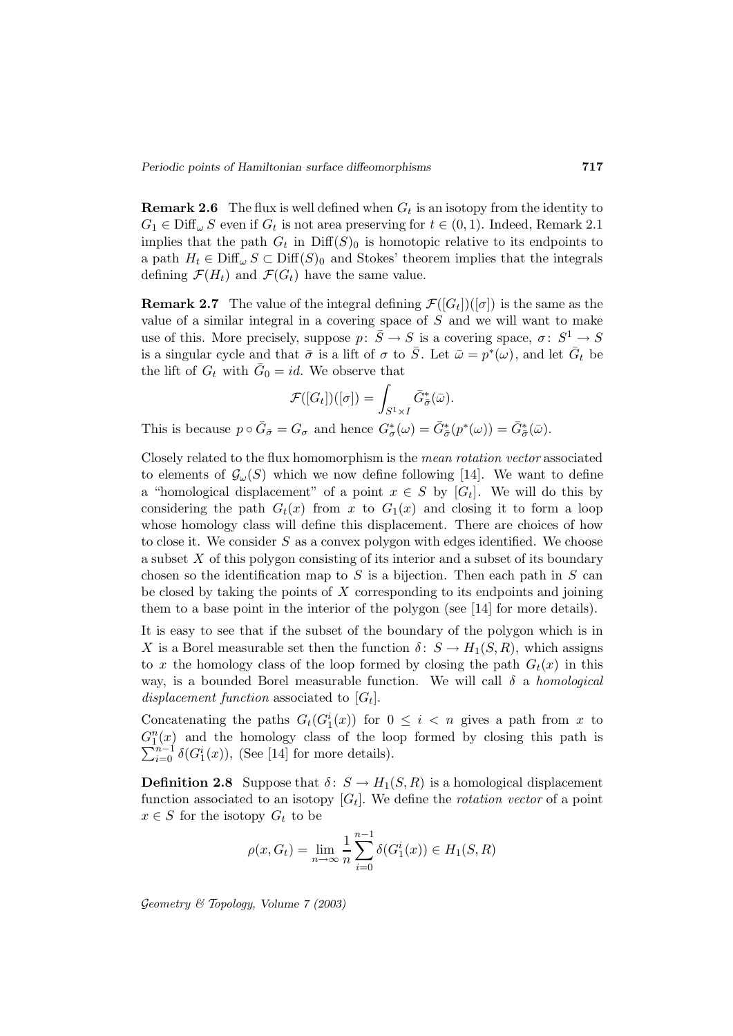**Remark 2.6** The flux is well defined when  $G_t$  is an isotopy from the identity to  $G_1 \in \text{Diff}_{\omega} S$  even if  $G_t$  is not area preserving for  $t \in (0,1)$ . Indeed, Remark 2.1 implies that the path  $G_t$  in  $\text{Diff}(S)_0$  is homotopic relative to its endpoints to a path  $H_t \in \text{Diff}_{\omega} S \subset \text{Diff}(S)_0$  and Stokes' theorem implies that the integrals defining  $\mathcal{F}(H_t)$  and  $\mathcal{F}(G_t)$  have the same value.

**Remark 2.7** The value of the integral defining  $\mathcal{F}([G_t])([\sigma])$  is the same as the value of a similar integral in a covering space of  $S$  and we will want to make use of this. More precisely, suppose  $p: \overline{S} \to S$  is a covering space,  $\sigma: S^1 \to S$ is a singular cycle and that  $\bar{\sigma}$  is a lift of  $\sigma$  to  $\bar{S}$ . Let  $\bar{\omega} = p^*(\omega)$ , and let  $\bar{G}_t$  be the lift of  $G_t$  with  $G_0 = id$ . We observe that

$$
\mathcal{F}([G_t])([\sigma]) = \int_{S^1 \times I} \bar{G}^*_{\bar{\sigma}}(\bar{\omega}).
$$

This is because  $p \circ \bar{G}_{\bar{\sigma}} = G_{\sigma}$  and hence  $G_{\sigma}^*(\omega) = \bar{G}_{\bar{\sigma}}^*(p^*(\omega)) = \bar{G}_{\bar{\sigma}}^*(\bar{\omega}).$ 

Closely related to the flux homomorphism is the mean rotation vector associated to elements of  $\mathcal{G}_{\omega}(S)$  which we now define following [14]. We want to define a "homological displacement" of a point  $x \in S$  by  $[G_t]$ . We will do this by considering the path  $G_t(x)$  from x to  $G_1(x)$  and closing it to form a loop whose homology class will define this displacement. There are choices of how to close it. We consider  $S$  as a convex polygon with edges identified. We choose a subset X of this polygon consisting of its interior and a subset of its boundary chosen so the identification map to  $S$  is a bijection. Then each path in  $S$  can be closed by taking the points of  $X$  corresponding to its endpoints and joining them to a base point in the interior of the polygon (see [14] for more details).

It is easy to see that if the subset of the boundary of the polygon which is in X is a Borel measurable set then the function  $\delta: S \to H_1(S, R)$ , which assigns to x the homology class of the loop formed by closing the path  $G_t(x)$  in this way, is a bounded Borel measurable function. We will call  $\delta$  a *homological* displacement function associated to  $[G_t]$ .

Concatenating the paths  $G_t(G_1^i(x))$  for  $0 \leq i < n$  gives a path from x to  $G_1^n(x)$  and the homology class of the loop formed by closing this path is  $\sum_{n=1}^{n-1} \xi(G^i(x))$ . (See [14] for more details)  $\sum_{i=0}^{n-1} \delta(G_1^i(x))$ , (See [14] for more details).

**Definition 2.8** Suppose that  $\delta: S \to H_1(S, R)$  is a homological displacement function associated to an isotopy  $[G_t]$ . We define the *rotation vector* of a point  $x \in S$  for the isotopy  $G_t$  to be

$$
\rho(x, G_t) = \lim_{n \to \infty} \frac{1}{n} \sum_{i=0}^{n-1} \delta(G_1^i(x)) \in H_1(S, R)
$$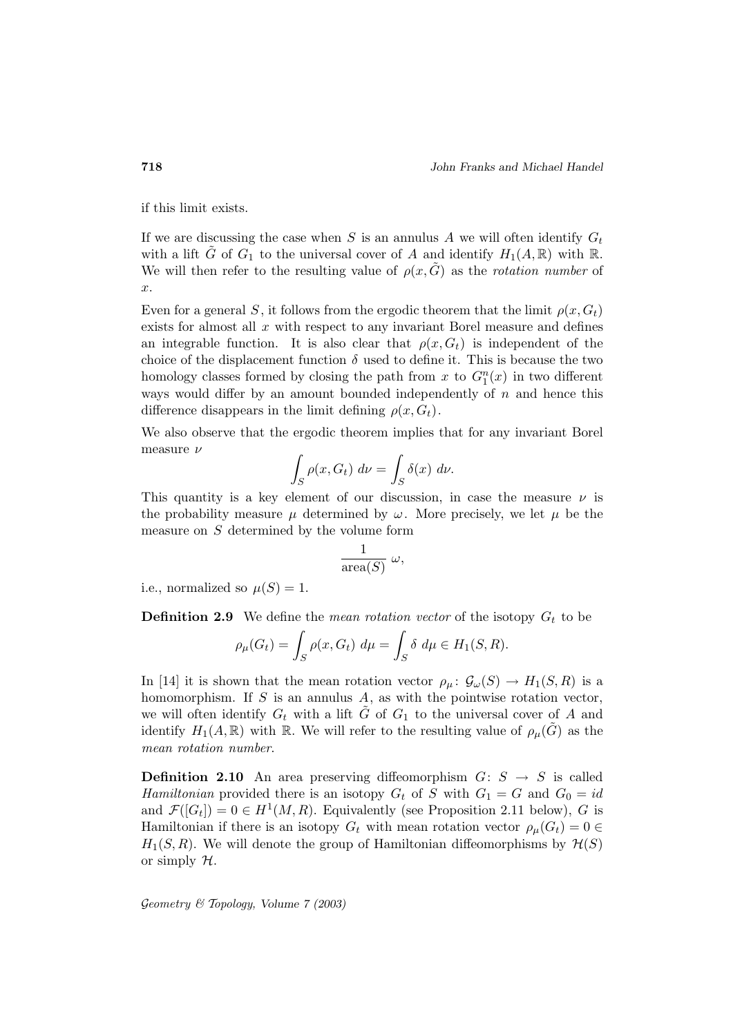if this limit exists.

If we are discussing the case when  $S$  is an annulus  $A$  we will often identify  $G_t$ with a lift  $\tilde{G}$  of  $G_1$  to the universal cover of A and identify  $H_1(A,\mathbb{R})$  with  $\mathbb{R}$ . We will then refer to the resulting value of  $\rho(x, G)$  as the *rotation number* of x.

Even for a general S, it follows from the ergodic theorem that the limit  $\rho(x, G_t)$ exists for almost all  $x$  with respect to any invariant Borel measure and defines an integrable function. It is also clear that  $\rho(x, G_t)$  is independent of the choice of the displacement function  $\delta$  used to define it. This is because the two homology classes formed by closing the path from x to  $G_1^n(x)$  in two different ways would differ by an amount bounded independently of  $n$  and hence this difference disappears in the limit defining  $\rho(x, G_t)$ .

We also observe that the ergodic theorem implies that for any invariant Borel measure ν

$$
\int_{S} \rho(x, G_t) \, d\nu = \int_{S} \delta(x) \, d\nu.
$$

This quantity is a key element of our discussion, in case the measure  $\nu$  is the probability measure  $\mu$  determined by  $\omega$ . More precisely, we let  $\mu$  be the measure on  $S$  determined by the volume form

$$
\frac{1}{\operatorname{area}(S)} \omega,
$$

i.e., normalized so  $\mu(S)=1$ .

**Definition 2.9** We define the *mean rotation vector* of the isotopy  $G_t$  to be

$$
\rho_{\mu}(G_t) = \int_S \rho(x, G_t) \ d\mu = \int_S \delta \ d\mu \in H_1(S, R).
$$

In [14] it is shown that the mean rotation vector  $\rho_\mu: \mathcal{G}_\omega(S) \to H_1(S, R)$  is a homomorphism. If  $S$  is an annulus  $A$ , as with the pointwise rotation vector, we will often identify  $G_t$  with a lift G of  $G_1$  to the universal cover of A and identify  $H_1(A,\mathbb{R})$  with R. We will refer to the resulting value of  $\rho_\mu(G)$  as the mean rotation number.

**Definition 2.10** An area preserving diffeomorphism  $G: S \rightarrow S$  is called Hamiltonian provided there is an isotopy  $G_t$  of S with  $G_1 = G$  and  $G_0 = id$ and  $\mathcal{F}([G_t]) = 0 \in H^1(M, R)$ . Equivalently (see Proposition 2.11 below), G is Hamiltonian if there is an isotopy  $G_t$  with mean rotation vector  $\rho_\mu(G_t)=0 \in$  $H_1(S, R)$ . We will denote the group of Hamiltonian diffeomorphisms by  $\mathcal{H}(S)$ or simply  $H$ .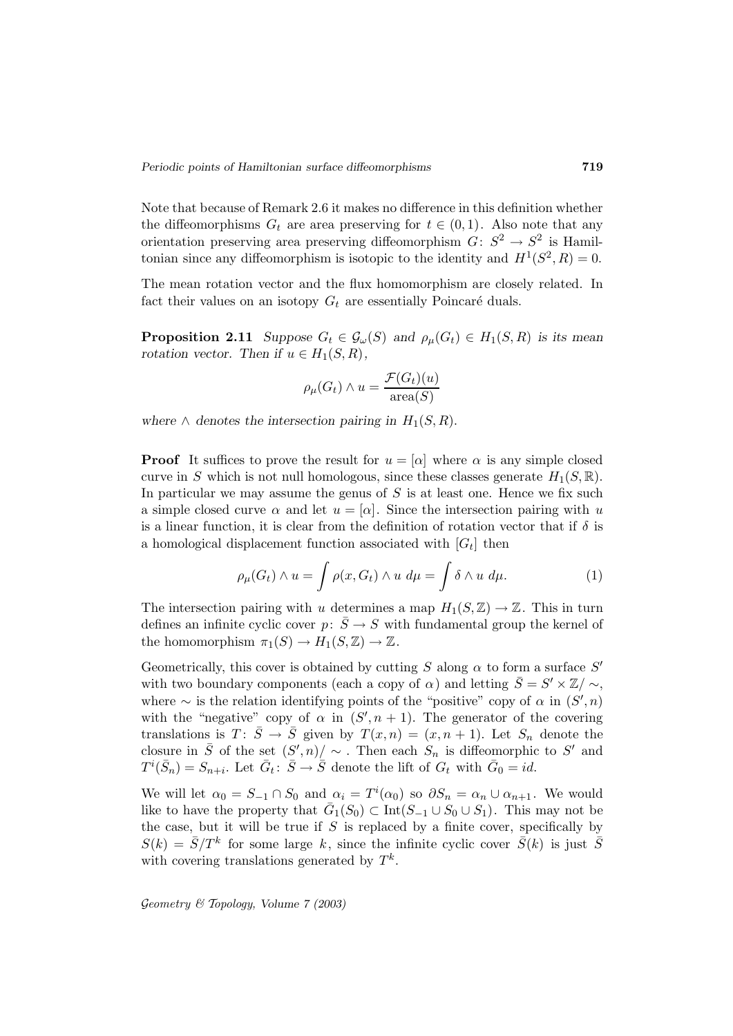Note that because of Remark 2.6 it makes no difference in this definition whether the diffeomorphisms  $G_t$  are area preserving for  $t \in (0,1)$ . Also note that any orientation preserving area preserving diffeomorphism  $G: S^2 \to S^2$  is Hamiltonian since any diffeomorphism is isotopic to the identity and  $H^1(S^2, R)=0$ .

The mean rotation vector and the flux homomorphism are closely related. In fact their values on an isotopy  $G_t$  are essentially Poincaré duals.

**Proposition 2.11** *Suppose*  $G_t \in \mathcal{G}_{\omega}(S)$  *and*  $\rho_{\mu}(G_t) \in H_1(S, R)$  *is its mean rotation vector.* Then if  $u \in H_1(S, R)$ ,

$$
\rho_{\mu}(G_t) \wedge u = \frac{\mathcal{F}(G_t)(u)}{\text{area}(S)}
$$

*where*  $\wedge$  *denotes the intersection pairing in*  $H_1(S, R)$ .

**Proof** It suffices to prove the result for  $u = [\alpha]$  where  $\alpha$  is any simple closed curve in S which is not null homologous, since these classes generate  $H_1(S, \mathbb{R})$ . In particular we may assume the genus of  $S$  is at least one. Hence we fix such a simple closed curve  $\alpha$  and let  $u = [\alpha]$ . Since the intersection pairing with u is a linear function, it is clear from the definition of rotation vector that if  $\delta$  is a homological displacement function associated with  $|G_t|$  then

$$
\rho_{\mu}(G_t) \wedge u = \int \rho(x, G_t) \wedge u \, d\mu = \int \delta \wedge u \, d\mu. \tag{1}
$$

The intersection pairing with u determines a map  $H_1(S, \mathbb{Z}) \to \mathbb{Z}$ . This in turn defines an infinite cyclic cover  $p: \overline{S} \to S$  with fundamental group the kernel of the homomorphism  $\pi_1(S) \to H_1(S, \mathbb{Z}) \to \mathbb{Z}$ .

Geometrically, this cover is obtained by cutting S along  $\alpha$  to form a surface  $S'$ with two boundary components (each a copy of  $\alpha$ ) and letting  $\bar{S} = S' \times \mathbb{Z}/\sim$ , where  $\sim$  is the relation identifying points of the "positive" copy of  $\alpha$  in  $(S', n)$ with the "negative" copy of  $\alpha$  in  $(S', n + 1)$ . The generator of the covering translations is  $T: \bar{S} \to \bar{S}$  given by  $T(x, n) = (x, n + 1)$ . Let  $S_n$  denote the closure in  $\overline{S}$  of the set  $(S', n)/ \sim$ . Then each  $S_n$  is diffeomorphic to  $S'$  and  $T^i(\bar{S}_n) = S_{n+i}$ . Let  $\bar{G}_t : \bar{S} \to \bar{S}$  denote the lift of  $G_t$  with  $\bar{G}_0 = id$ .

We will let  $\alpha_0 = S_{-1} \cap S_0$  and  $\alpha_i = T^i(\alpha_0)$  so  $\partial S_n = \alpha_n \cup \alpha_{n+1}$ . We would like to have the property that  $\bar{G}_1(S_0) \subset \text{Int}(S_{-1} \cup S_0 \cup S_1)$ . This may not be the case, but it will be true if  $S$  is replaced by a finite cover, specifically by  $S(k) = \overline{S}/T^k$  for some large k, since the infinite cyclic cover  $\overline{S}(k)$  is just  $\overline{S}$ with covering translations generated by  $T^k$ .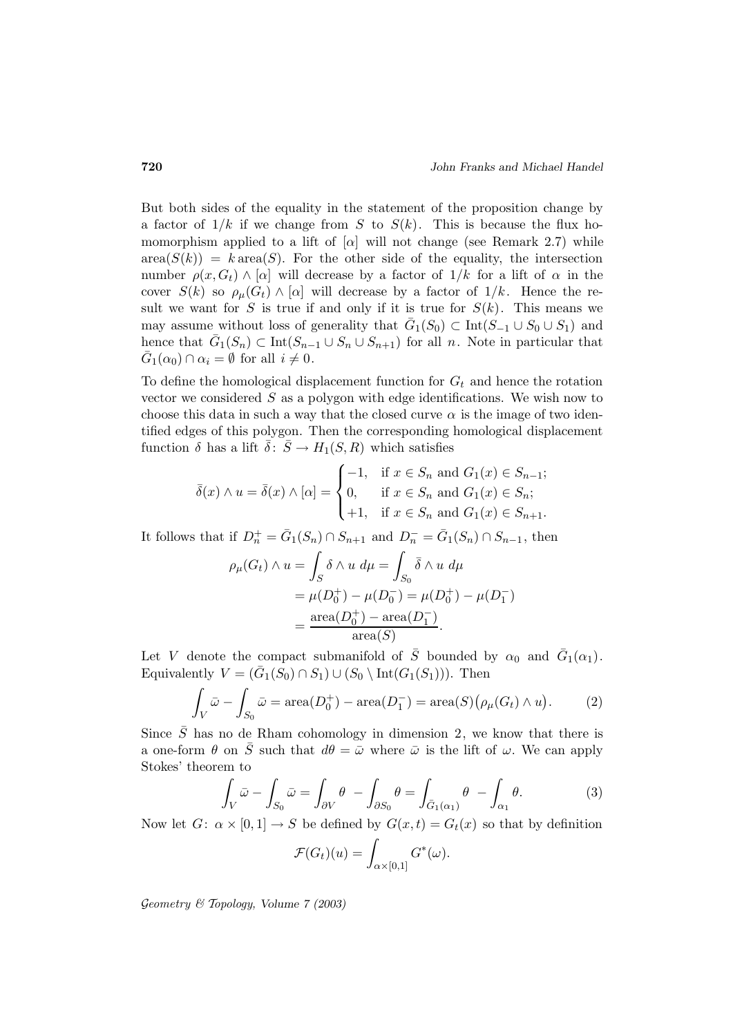But both sides of the equality in the statement of the proposition change by a factor of  $1/k$  if we change from S to  $S(k)$ . This is because the flux homomorphism applied to a lift of  $[\alpha]$  will not change (see Remark 2.7) while  $area(S(k)) = k \text{ area}(S)$ . For the other side of the equality, the intersection number  $\rho(x, G_t) \wedge [\alpha]$  will decrease by a factor of  $1/k$  for a lift of  $\alpha$  in the cover  $S(k)$  so  $\rho_{\mu}(G_t) \wedge [\alpha]$  will decrease by a factor of  $1/k$ . Hence the result we want for S is true if and only if it is true for  $S(k)$ . This means we may assume without loss of generality that  $\bar{G}_1(S_0) \subset \text{Int}(S_{-1} \cup S_0 \cup S_1)$  and hence that  $\bar{G}_1(S_n) \subset \text{Int}(S_{n-1} \cup S_n \cup S_{n+1})$  for all n. Note in particular that  $\bar{G}_1(\alpha_0) \cap \alpha_i = \emptyset$  for all  $i \neq 0$ .

To define the homological displacement function for  $G_t$  and hence the rotation vector we considered  $S$  as a polygon with edge identifications. We wish now to choose this data in such a way that the closed curve  $\alpha$  is the image of two identified edges of this polygon. Then the corresponding homological displacement function  $\delta$  has a lift  $\bar{\delta}$ :  $\bar{S} \to H_1(S, R)$  which satisfies

$$
\bar{\delta}(x) \wedge u = \bar{\delta}(x) \wedge [\alpha] = \begin{cases}\n-1, & \text{if } x \in S_n \text{ and } G_1(x) \in S_{n-1}; \\
0, & \text{if } x \in S_n \text{ and } G_1(x) \in S_n; \\
+1, & \text{if } x \in S_n \text{ and } G_1(x) \in S_{n+1}.\n\end{cases}
$$

It follows that if  $D_n^+ = \bar{G}_1(S_n) \cap S_{n+1}$  and  $D_n^- = \bar{G}_1(S_n) \cap S_{n-1}$ , then

$$
\rho_{\mu}(G_t) \wedge u = \int_S \delta \wedge u \, d\mu = \int_{S_0} \bar{\delta} \wedge u \, d\mu
$$

$$
= \mu(D_0^+) - \mu(D_0^-) = \mu(D_0^+) - \mu(D_1^-)
$$

$$
= \frac{\text{area}(D_0^+) - \text{area}(D_1^-)}{\text{area}(S)}.
$$

Let V denote the compact submanifold of  $\overline{S}$  bounded by  $\alpha_0$  and  $\overline{G}_1(\alpha_1)$ . Equivalently  $V = (\bar{G}_1(S_0) \cap S_1) \cup (S_0 \setminus \text{Int}(G_1(S_1)))$ . Then

$$
\int_{V} \bar{\omega} - \int_{S_0} \bar{\omega} = \operatorname{area}(D_0^+) - \operatorname{area}(D_1^-) = \operatorname{area}(S) \big( \rho_\mu(G_t) \wedge u \big). \tag{2}
$$

Since  $\overline{S}$  has no de Rham cohomology in dimension 2, we know that there is a one-form  $\theta$  on  $\overline{S}$  such that  $d\theta = \overline{\omega}$  where  $\overline{\omega}$  is the lift of  $\omega$ . We can apply Stokes' theorem to

$$
\int_{V} \bar{\omega} - \int_{S_0} \bar{\omega} = \int_{\partial V} \theta - \int_{\partial S_0} \theta = \int_{\bar{G}_1(\alpha_1)} \theta - \int_{\alpha_1} \theta.
$$
 (3)

Now let  $G: \alpha \times [0,1] \to S$  be defined by  $G(x,t) = G_t(x)$  so that by definition

$$
\mathcal{F}(G_t)(u) = \int_{\alpha \times [0,1]} G^*(\omega).
$$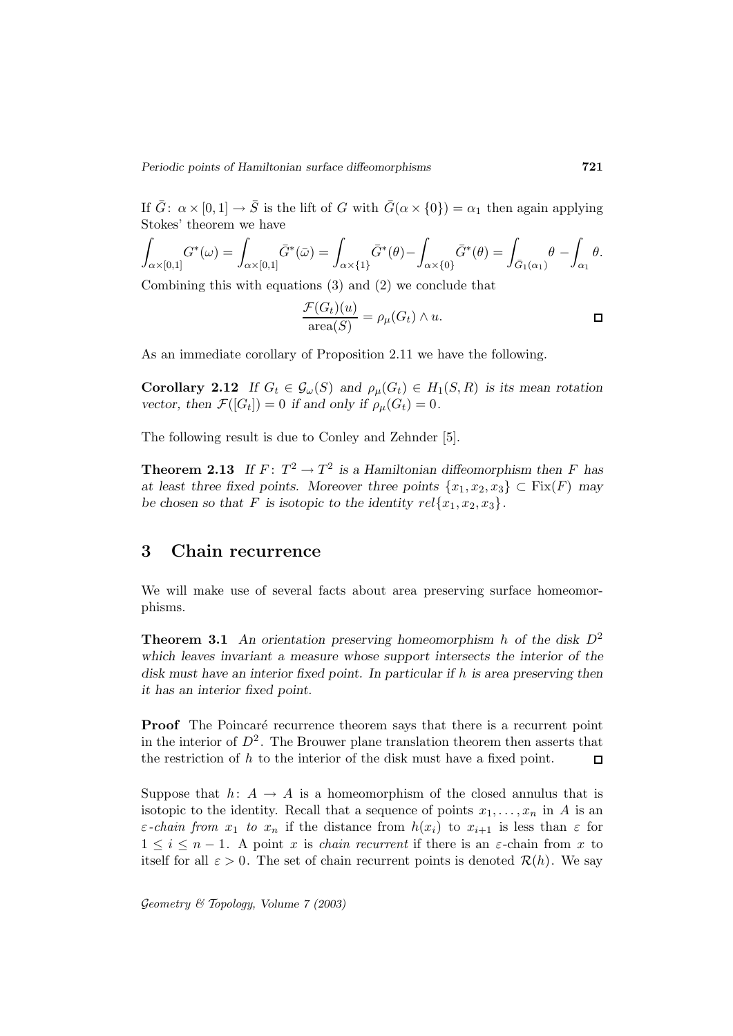If  $\bar{G}$ :  $\alpha \times [0, 1] \rightarrow \bar{S}$  is the lift of G with  $\bar{G}(\alpha \times \{0\}) = \alpha_1$  then again applying Stokes' theorem we have

$$
\int_{\alpha\times[0,1]}G^*(\omega)=\int_{\alpha\times[0,1]} \bar{G}^*(\bar{\omega})=\int_{\alpha\times\{1\}} \bar{G}^*(\theta)-\int_{\alpha\times\{0\}} \bar{G}^*(\theta)=\int_{\bar{G}_1(\alpha_1)} \theta-\int_{\alpha_1} \theta.
$$

Combining this with equations (3) and (2) we conclude that

$$
\frac{\mathcal{F}(G_t)(u)}{\text{area}(S)} = \rho_\mu(G_t) \wedge u.
$$

As an immediate corollary of Proposition 2.11 we have the following.

**Corollary 2.12** *If*  $G_t \in \mathcal{G}_{\omega}(S)$  *and*  $\rho_{\mu}(G_t) \in H_1(S, R)$  *is its mean rotation vector, then*  $\mathcal{F}([G_t]) = 0$  *if and only if*  $\rho_\mu(G_t) = 0$ *.* 

The following result is due to Conley and Zehnder [5].

**Theorem 2.13** If  $F: T^2 \to T^2$  is a Hamiltonian diffeomorphism then F has *at least three fixed points. Moreover three points*  $\{x_1, x_2, x_3\} \subset \text{Fix}(F)$  *may* be chosen so that F is isotopic to the identity  $rel{x_1, x_2, x_3}$ .

# **3 Chain recurrence**

We will make use of several facts about area preserving surface homeomorphisms.

**Theorem 3.1** An orientation preserving homeomorphism h of the disk  $D^2$ *which leaves invariant a measure whose support intersects the interior of the disk must have an interior fixed point. In particular if* h *is area preserving then it has an interior fixed point.*

**Proof** The Poincaré recurrence theorem says that there is a recurrent point in the interior of  $D^2$ . The Brouwer plane translation theorem then asserts that the restriction of  $h$  to the interior of the disk must have a fixed point.  $\Box$ 

Suppose that  $h: A \to A$  is a homeomorphism of the closed annulus that is isotopic to the identity. Recall that a sequence of points  $x_1, \ldots, x_n$  in A is an  $\varepsilon$ -chain from  $x_1$  to  $x_n$  if the distance from  $h(x_i)$  to  $x_{i+1}$  is less than  $\varepsilon$  for  $1 \leq i \leq n-1$ . A point x is *chain recurrent* if there is an  $\varepsilon$ -chain from x to itself for all  $\varepsilon > 0$ . The set of chain recurrent points is denoted  $\mathcal{R}(h)$ . We say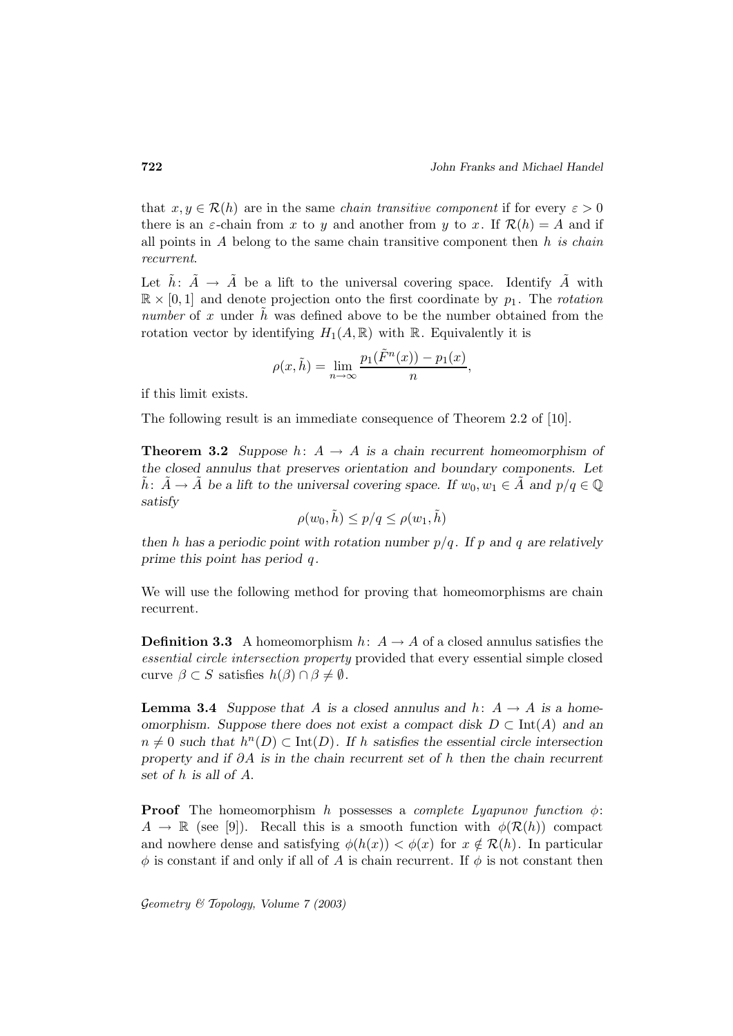that  $x, y \in \mathcal{R}(h)$  are in the same *chain transitive component* if for every  $\varepsilon > 0$ there is an  $\varepsilon$ -chain from x to y and another from y to x. If  $\mathcal{R}(h) = A$  and if all points in A belong to the same chain transitive component then  $h$  is chain recurrent.

Let  $h: A \rightarrow A$  be a lift to the universal covering space. Identify A with  $\mathbb{R} \times [0,1]$  and denote projection onto the first coordinate by  $p_1$ . The *rotation* number of x under  $h$  was defined above to be the number obtained from the rotation vector by identifying  $H_1(A, \mathbb{R})$  with  $\mathbb{R}$ . Equivalently it is

$$
\rho(x,\tilde{h}) = \lim_{n \to \infty} \frac{p_1(\tilde{F}^n(x)) - p_1(x)}{n},
$$

if this limit exists.

The following result is an immediate consequence of Theorem 2.2 of [10].

**Theorem 3.2** *Suppose*  $h: A \rightarrow A$  *is a chain recurrent homeomorphism of the closed annulus that preserves orientation and boundary components. Let* h:  $A \to A$  be a lift to the universal covering space. If  $w_0, w_1 \in A$  and  $p/q \in \mathbb{Q}$ *satisfy*

$$
\rho(w_0, \tilde{h}) \le p/q \le \rho(w_1, \tilde{h})
$$

*then* h has a periodic point with rotation number  $p/q$ . If p and q are relatively *prime this point has period* q *.*

We will use the following method for proving that homeomorphisms are chain recurrent.

**Definition 3.3** A homeomorphism  $h: A \rightarrow A$  of a closed annulus satisfies the essential circle intersection property provided that every essential simple closed curve  $\beta \subset S$  satisfies  $h(\beta) \cap \beta \neq \emptyset$ .

**Lemma 3.4** *Suppose that* A *is a closed annulus and*  $h: A \rightarrow A$  *is a homeomorphism. Suppose there does not exist a compact disk* D ⊂ Int(A) *and an*  $n \neq 0$  such that  $h^{n}(D) \subset \text{Int}(D)$ . If h satisfies the essential circle intersection *property and if* ∂A *is in the chain recurrent set of* h *then the chain recurrent set of* h *is all of* A.

**Proof** The homeomorphism h possesses a *complete Lyapunov function*  $\phi$ :  $A \to \mathbb{R}$  (see [9]). Recall this is a smooth function with  $\phi(\mathcal{R}(h))$  compact and nowhere dense and satisfying  $\phi(h(x)) < \phi(x)$  for  $x \notin \mathcal{R}(h)$ . In particular  $\phi$  is constant if and only if all of A is chain recurrent. If  $\phi$  is not constant then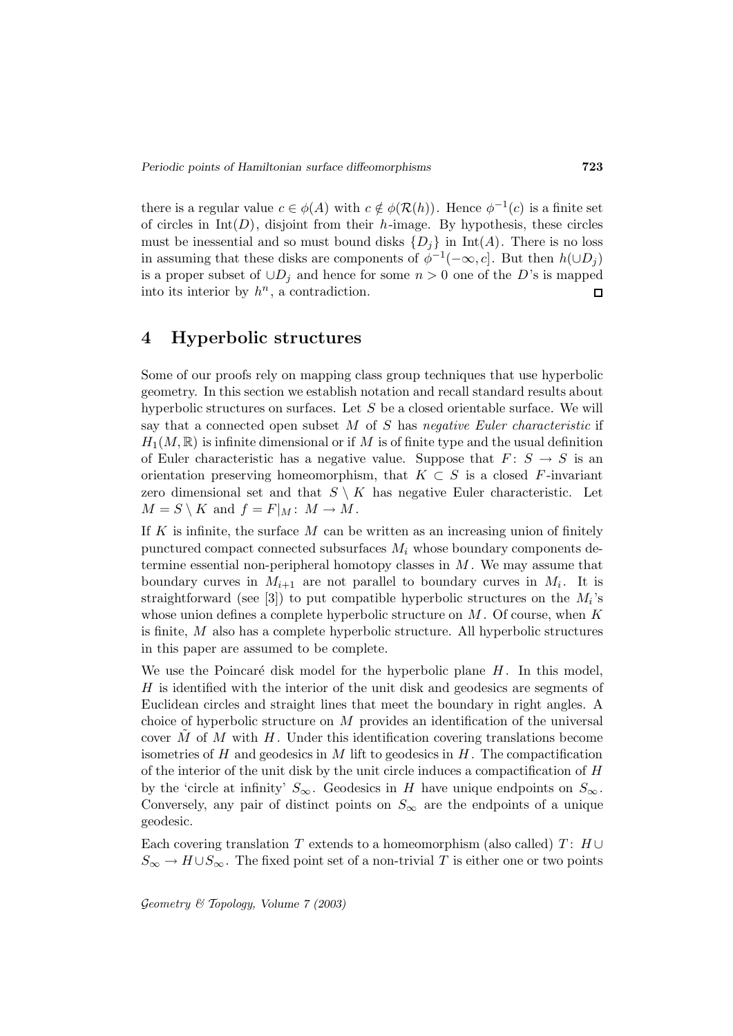there is a regular value  $c \in \phi(A)$  with  $c \notin \phi(\mathcal{R}(h))$ . Hence  $\phi^{-1}(c)$  is a finite set of circles in  $Int(D)$ , disjoint from their h-image. By hypothesis, these circles must be inessential and so must bound disks  $\{D_i\}$  in Int(A). There is no loss in assuming that these disks are components of  $\phi^{-1}(-\infty, c]$ . But then  $h(\cup D_i)$ is a proper subset of  $\cup D_i$  and hence for some  $n > 0$  one of the D's is mapped into its interior by  $h^n$ , a contradiction.  $\Box$ 

#### **4 Hyperbolic structures**

Some of our proofs rely on mapping class group techniques that use hyperbolic geometry. In this section we establish notation and recall standard results about hyperbolic structures on surfaces. Let  $S$  be a closed orientable surface. We will say that a connected open subset  $M$  of  $S$  has negative Euler characteristic if  $H_1(M, \mathbb{R})$  is infinite dimensional or if M is of finite type and the usual definition of Euler characteristic has a negative value. Suppose that  $F: S \to S$  is an orientation preserving homeomorphism, that  $K \subset S$  is a closed F-invariant zero dimensional set and that  $S \setminus K$  has negative Euler characteristic. Let  $M = S \setminus K$  and  $f = F|_M : M \to M$ .

If  $K$  is infinite, the surface  $M$  can be written as an increasing union of finitely punctured compact connected subsurfaces  $M_i$  whose boundary components determine essential non-peripheral homotopy classes in  $M$ . We may assume that boundary curves in  $M_{i+1}$  are not parallel to boundary curves in  $M_i$ . It is straightforward (see [3]) to put compatible hyperbolic structures on the  $M_i$ 's whose union defines a complete hyperbolic structure on  $M$ . Of course, when  $K$ is finite, M also has a complete hyperbolic structure. All hyperbolic structures in this paper are assumed to be complete.

We use the Poincaré disk model for the hyperbolic plane  $H$ . In this model, H is identified with the interior of the unit disk and geodesics are segments of Euclidean circles and straight lines that meet the boundary in right angles. A choice of hyperbolic structure on  $M$  provides an identification of the universal cover M of M with H. Under this identification covering translations become isometries of  $H$  and geodesics in  $M$  lift to geodesics in  $H$ . The compactification of the interior of the unit disk by the unit circle induces a compactification of  $H$ by the 'circle at infinity'  $S_{\infty}$ . Geodesics in H have unique endpoints on  $S_{\infty}$ . Conversely, any pair of distinct points on  $S_{\infty}$  are the endpoints of a unique geodesic.

Each covering translation T extends to a homeomorphism (also called) T:  $H \cup$  $S_{\infty} \to H \cup S_{\infty}$ . The fixed point set of a non-trivial T is either one or two points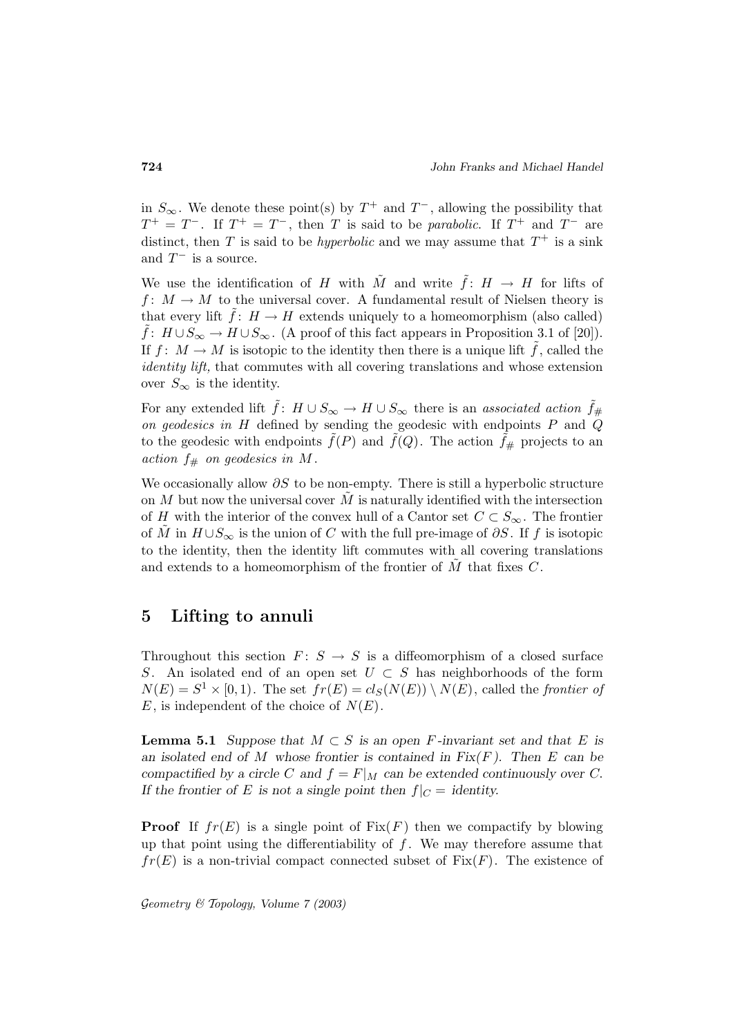in  $S_{\infty}$ . We denote these point(s) by  $T^{+}$  and  $T^{-}$ , allowing the possibility that  $T^+ = T^-$ . If  $T^+ = T^-$ , then T is said to be parabolic. If  $T^+$  and  $T^-$  are distinct, then T is said to be *hyperbolic* and we may assume that  $T^+$  is a sink and  $T^-$  is a source.

We use the identification of H with  $\tilde{M}$  and write  $\tilde{f}: H \to H$  for lifts of  $f: M \to M$  to the universal cover. A fundamental result of Nielsen theory is that every lift  $\tilde{f}$ :  $H \to H$  extends uniquely to a homeomorphism (also called)  $\tilde{f}$ :  $H \cup S_{\infty} \to H \cup S_{\infty}$ . (A proof of this fact appears in Proposition 3.1 of [20]). If  $f: M \to M$  is isotopic to the identity then there is a unique lift f, called the identity lift, that commutes with all covering translations and whose extension over  $S_{\infty}$  is the identity.

For any extended lift  $\tilde{f}: H \cup S_{\infty} \to H \cup S_{\infty}$  there is an associated action  $\tilde{f}_{\#}$ on geodesics in  $H$  defined by sending the geodesic with endpoints  $P$  and  $Q$ to the geodesic with endpoints  $f(P)$  and  $f(Q)$ . The action  $f_{\#}$  projects to an action  $f_{\#}$  on geodesics in M.

We occasionally allow  $\partial S$  to be non-empty. There is still a hyperbolic structure on  $M$  but now the universal cover  $M$  is naturally identified with the intersection of H with the interior of the convex hull of a Cantor set  $C \subset S_{\infty}$ . The frontier of  $\tilde{M}$  in  $H \cup S_{\infty}$  is the union of C with the full pre-image of  $\partial S$ . If f is isotopic to the identity, then the identity lift commutes with all covering translations and extends to a homeomorphism of the frontier of  $\tilde{M}$  that fixes  $C$ .

### **5 Lifting to annuli**

Throughout this section  $F: S \to S$  is a diffeomorphism of a closed surface S. An isolated end of an open set  $U \subset S$  has neighborhoods of the form  $N(E) = S<sup>1</sup> \times [0, 1)$ . The set  $fr(E) = cl<sub>S</sub>(N(E)) \setminus N(E)$ , called the frontier of  $E$ , is independent of the choice of  $N(E)$ .

**Lemma 5.1** *Suppose that*  $M \subset S$  *is an open F*-invariant set and that E is *an isolated end of* M *whose frontier is contained in Fix(*F *). Then* E *can be compactified by a circle* C and  $f = F|_M$  *can be extended continuously over* C. If the frontier of E is not a single point then  $f|_C =$  identity.

**Proof** If  $fr(E)$  is a single point of  $Fix(F)$  then we compactify by blowing up that point using the differentiability of  $f$ . We may therefore assume that  $fr(E)$  is a non-trivial compact connected subset of  $Fix(F)$ . The existence of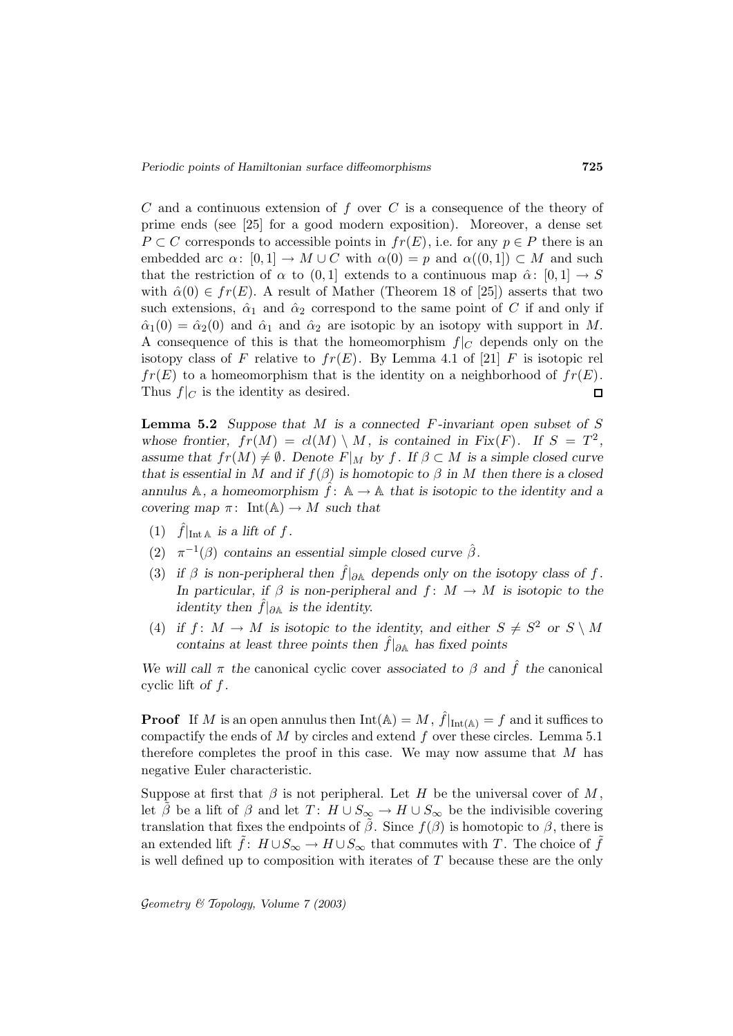$C$  and a continuous extension of  $f$  over  $C$  is a consequence of the theory of prime ends (see [25] for a good modern exposition). Moreover, a dense set  $P \subset C$  corresponds to accessible points in  $fr(E)$ , i.e. for any  $p \in P$  there is an embedded arc  $\alpha: [0, 1] \to M \cup C$  with  $\alpha(0) = p$  and  $\alpha((0, 1]) \subset M$  and such that the restriction of  $\alpha$  to  $(0, 1]$  extends to a continuous map  $\hat{\alpha}$ :  $[0, 1] \rightarrow S$ with  $\hat{\alpha}(0) \in fr(E)$ . A result of Mather (Theorem 18 of [25]) asserts that two such extensions,  $\hat{\alpha}_1$  and  $\hat{\alpha}_2$  correspond to the same point of C if and only if  $\hat{\alpha}_1(0) = \hat{\alpha}_2(0)$  and  $\hat{\alpha}_1$  and  $\hat{\alpha}_2$  are isotopic by an isotopy with support in M. A consequence of this is that the homeomorphism  $f|_C$  depends only on the isotopy class of F relative to  $fr(E)$ . By Lemma 4.1 of [21] F is isotopic rel  $fr(E)$  to a homeomorphism that is the identity on a neighborhood of  $fr(E)$ . Thus  $f|_C$  is the identity as desired.  $\Box$ 

**Lemma 5.2** *Suppose that* M *is a connected* F *-invariant open subset of* S whose frontier,  $fr(M) = cl(M) \setminus M$ , is contained in  $Fix(F)$ . If  $S = T^2$ , *assume that*  $fr(M) \neq \emptyset$ *. Denote*  $F|_M$  *by*  $f$ *. If*  $\beta \subset M$  *is a simple closed curve that is essential in* M *and if*  $f(\beta)$  *is homotopic to*  $\beta$  *in* M *then there is a closed annulus* A, a homeomorphism  $\hat{f}$ :  $\mathbb{A} \to \mathbb{A}$  that is isotopic to the identity and a *covering map*  $\pi$ : Int(A)  $\rightarrow$  *M such that* 

- (1)  $\hat{f}|_{\text{Int }\mathbb{A}}$  *is a lift of f.*
- (2)  $\pi^{-1}(\beta)$  *contains an essential simple closed curve*  $\hat{\beta}$ *.*
- (3) *if*  $\beta$  *is non-peripheral then*  $\hat{f}|_{\partial A}$  *depends only on the isotopy class of*  $f$ *. In particular, if*  $\beta$  *is non-peripheral and*  $f: M \to M$  *is isotopic to the identity then*  $\hat{f}|_{\partial A}$  *is the identity.*
- (4) *if*  $f: M \to M$  *is isotopic to the identity, and either*  $S \neq S^2$  *or*  $S \setminus M$ *contains at least three points then* <sup>ˆ</sup>f|∂<sup>A</sup> *has fixed points*

*We will call*  $\pi$  *the* canonical cyclic cover *associated to*  $\beta$  *and*  $\hat{f}$  *the* canonical cyclic lift *of* f *.*

**Proof** If M is an open annulus then  $Int(A) = M$ ,  $\hat{f}|_{Int(A)} = f$  and it suffices to compactify the ends of  $M$  by circles and extend  $f$  over these circles. Lemma 5.1 therefore completes the proof in this case. We may now assume that  $M$  has negative Euler characteristic.

Suppose at first that  $\beta$  is not peripheral. Let H be the universal cover of M, let  $\beta$  be a lift of  $\beta$  and let  $T: H \cup S_{\infty} \to H \cup S_{\infty}$  be the indivisible covering translation that fixes the endpoints of  $\tilde{\beta}$ . Since  $f(\beta)$  is homotopic to  $\beta$ , there is an extended lift  $f: H \cup S_{\infty} \to H \cup S_{\infty}$  that commutes with T. The choice of f is well defined up to composition with iterates of  $T$  because these are the only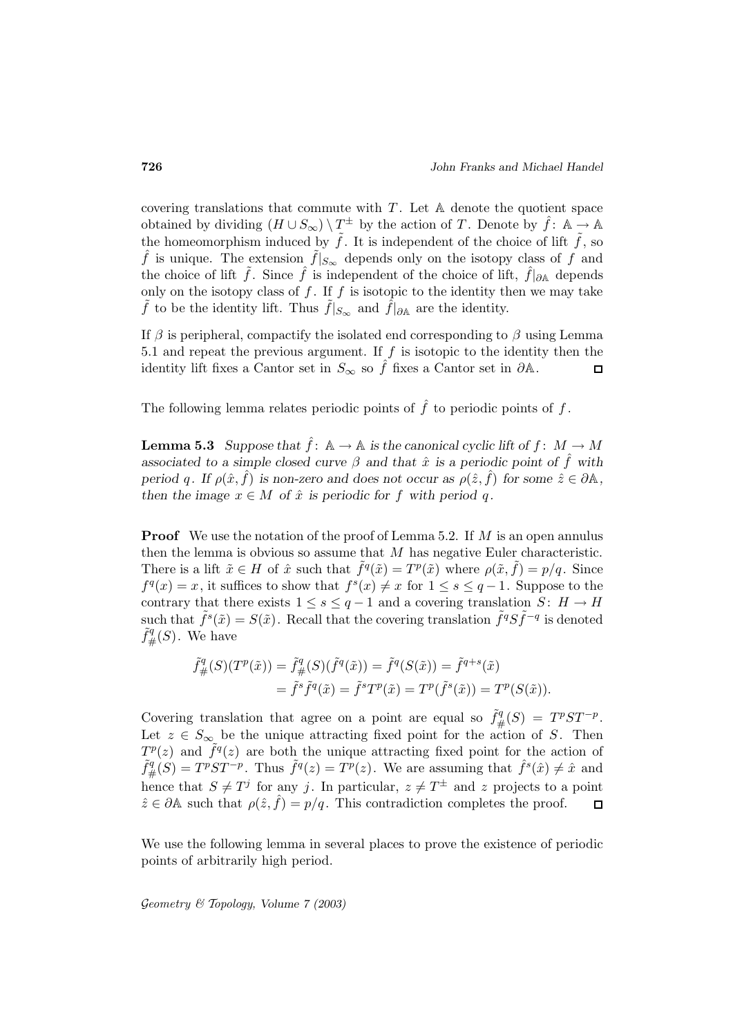covering translations that commute with  $T$ . Let  $A$  denote the quotient space obtained by dividing  $(H \cup S_{\infty}) \setminus T^{\pm}$  by the action of T. Denote by  $\hat{f}$ : A  $\rightarrow \mathbb{A}$ the homeomorphism induced by  $\tilde{f}$ . It is independent of the choice of lift  $\tilde{f}$ , so  $\hat{f}$  is unique. The extension  $\tilde{f}|_{S_{\infty}}$  depends only on the isotopy class of f and f is unique. The extension  $\tilde{f}|_{S_{\infty}}$  depends only on the isotopy class of f and the choice of lift,  $\hat{f}|_{\partial \mathbb{A}}$  depends only on the isotopy class of f. If f is isotopic to the identity then we may take  $\hat{f}$  to be the identity lift. Thus  $\tilde{f}|_{S_{\infty}}$  and  $\hat{f}|_{\partial \mathbb{A}}$  are the identity.

If  $\beta$  is peripheral, compactify the isolated end corresponding to  $\beta$  using Lemma 5.1 and repeat the previous argument. If  $f$  is isotopic to the identity then the identity lift fixes a Cantor set in  $S_{\infty}$  so  $\hat{f}$  fixes a Cantor set in  $\partial \mathbb{A}$ .  $\Box$ 

The following lemma relates periodic points of  $\hat{f}$  to periodic points of f.

**Lemma 5.3** *Suppose that*  $\hat{f}$ :  $\mathbb{A} \to \mathbb{A}$  *is the canonical cyclic lift of*  $f$ :  $M \to M$ *associated to a simple closed curve*  $\beta$  *and that*  $\hat{x}$  *is a periodic point of*  $\hat{f}$  *with period* q. If  $\rho(\hat{x}, \hat{f})$  *is non-zero and does not occur as*  $\rho(\hat{z}, \hat{f})$  *for some*  $\hat{z} \in \partial \mathbb{A}$ *, then the image*  $x \in M$  *of*  $\hat{x}$  *is periodic for* f *with period* q.

**Proof** We use the notation of the proof of Lemma 5.2. If M is an open annulus then the lemma is obvious so assume that M has negative Euler characteristic. There is a lift  $\tilde{x} \in H$  of  $\hat{x}$  such that  $\tilde{f}^q(\tilde{x}) = T^p(\tilde{x})$  where  $\rho(\tilde{x}, \tilde{f}) = p/q$ . Since  $f<sup>q</sup>(x) = x$ , it suffices to show that  $f<sup>s</sup>(x) \neq x$  for  $1 \leq s \leq q-1$ . Suppose to the contrary that there exists  $1 \leq s \leq q-1$  and a covering translation  $S: H \to H$ such that  $\tilde{f}^s(\tilde{x}) = S(\tilde{x})$ . Recall that the covering translation  $\tilde{f}^qS\tilde{f}^{-q}$  is denoted  $f^q_{\#}(S)$ . We have

$$
\tilde{f}^q_{\#}(S)(T^p(\tilde{x})) = \tilde{f}^q_{\#}(S)(\tilde{f}^q(\tilde{x})) = \tilde{f}^q(S(\tilde{x})) = \tilde{f}^{q+s}(\tilde{x})
$$

$$
= \tilde{f}^s \tilde{f}^q(\tilde{x}) = \tilde{f}^s T^p(\tilde{x}) = T^p(\tilde{f}^s(\tilde{x})) = T^p(S(\tilde{x})).
$$

Covering translation that agree on a point are equal so  $\tilde{f}^q_{\#}(S) = T^pST^{-p}$ . Let  $z \in S_{\infty}$  be the unique attracting fixed point for the action of S. Then  $T^p(z)$  and  $\tilde{f}^q(z)$  are both the unique attracting fixed point for the action of  $T^p(z)$  and  $\tilde{f}^q(z)$  are both the unique attracting fixed point for the action of  $\tilde{f}^q_+(S) = T^p ST^{-p}$ . Thus  $\tilde{f}^q(z) = T^p(z)$ . We are assuming that  $\hat{f}^s(\hat{x}) \neq \hat{x}$  and hence that  $S \neq T^j$  for any j. In particular,  $z \neq T^{\pm}$  and z projects to a point  $\hat{z} \in \partial \mathbb{A}$  such that  $\rho(\hat{z}, \hat{f}) = p/q$ . This contradiction completes the proof.  $\Box$ 

We use the following lemma in several places to prove the existence of periodic points of arbitrarily high period.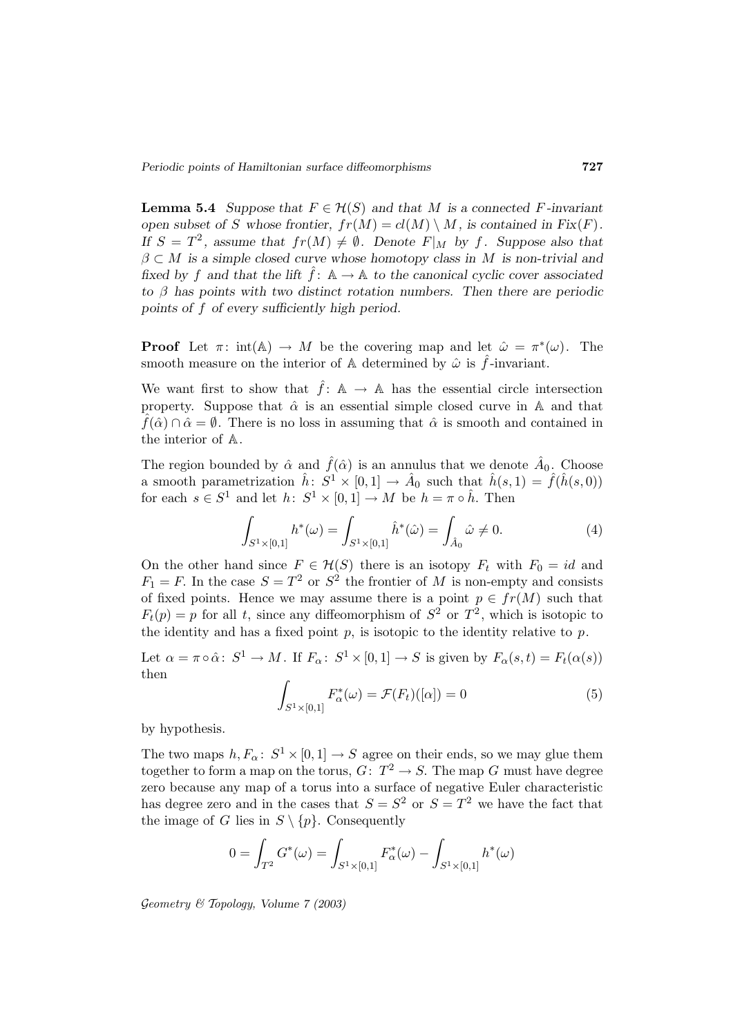**Lemma 5.4** *Suppose that*  $F \in \mathcal{H}(S)$  *and that* M *is a connected* F-invariant *open subset of* S *whose frontier,*  $fr(M) = cl(M) \setminus M$ *, is contained in Fix(F). If*  $S = T^2$ , assume that  $fr(M) \neq \emptyset$ . Denote  $F|_M$  by f. Suppose also that  $\beta \subset M$  *is a simple closed curve whose homotopy class in* M *is non-trivial and fixed by* f and that the lift  $\hat{f}$ :  $\mathbb{A} \to \mathbb{A}$  to the canonical cyclic cover associated *to* β *has points with two distinct rotation numbers. Then there are periodic points of* f *of every sufficiently high period.*

**Proof** Let  $\pi$ : int(A)  $\rightarrow$  M be the covering map and let  $\hat{\omega} = \pi^*(\omega)$ . The smooth measure on the interior of A determined by  $\hat{\omega}$  is  $\hat{f}$ -invariant.

We want first to show that  $\hat{f}$ : A  $\rightarrow$  A has the essential circle intersection property. Suppose that  $\hat{\alpha}$  is an essential simple closed curve in A and that  $\hat{f}(\hat{\alpha}) \cap \hat{\alpha} = \emptyset$ . There is no loss in assuming that  $\hat{\alpha}$  is smooth and contained in the interior of A.

The region bounded by  $\hat{\alpha}$  and  $\hat{f}(\hat{\alpha})$  is an annulus that we denote  $\hat{A}_0$ . Choose a smooth parametrization  $\hat{h}$ :  $S^1 \times [0,1] \rightarrow \hat{A}_0$  such that  $\hat{h}(s,1) = \hat{f}(\hat{h}(s,0))$ for each  $s \in S^1$  and let  $h: S^1 \times [0,1] \to M$  be  $h = \pi \circ \hat{h}$ . Then

$$
\int_{S^1 \times [0,1]} h^*(\omega) = \int_{S^1 \times [0,1]} \hat{h}^*(\hat{\omega}) = \int_{\hat{A}_0} \hat{\omega} \neq 0.
$$
 (4)

On the other hand since  $F \in \mathcal{H}(S)$  there is an isotopy  $F_t$  with  $F_0 = id$  and  $F_1 = F$ . In the case  $S = T^2$  or  $S^2$  the frontier of M is non-empty and consists of fixed points. Hence we may assume there is a point  $p \in fr(M)$  such that  $F_t(p) = p$  for all t, since any diffeomorphism of  $S^2$  or  $T^2$ , which is isotopic to the identity and has a fixed point  $p$ , is isotopic to the identity relative to  $p$ .

Let  $\alpha = \pi \circ \hat{\alpha}$ :  $S^1 \to M$ . If  $F_{\alpha}$ :  $S^1 \times [0, 1] \to S$  is given by  $F_{\alpha}(s, t) = F_t(\alpha(s))$ then

$$
\int_{S^1 \times [0,1]} F_{\alpha}^*(\omega) = \mathcal{F}(F_t)([\alpha]) = 0 \tag{5}
$$

by hypothesis.

The two maps  $h, F_{\alpha}: S^1 \times [0, 1] \rightarrow S$  agree on their ends, so we may glue them together to form a map on the torus,  $G: T^2 \to S$ . The map G must have degree zero because any map of a torus into a surface of negative Euler characteristic has degree zero and in the cases that  $S = S^2$  or  $S = T^2$  we have the fact that the image of G lies in  $S \setminus \{p\}$ . Consequently

$$
0 = \int_{T^2} G^*(\omega) = \int_{S^1 \times [0,1]} F^*_{\alpha}(\omega) - \int_{S^1 \times [0,1]} h^*(\omega)
$$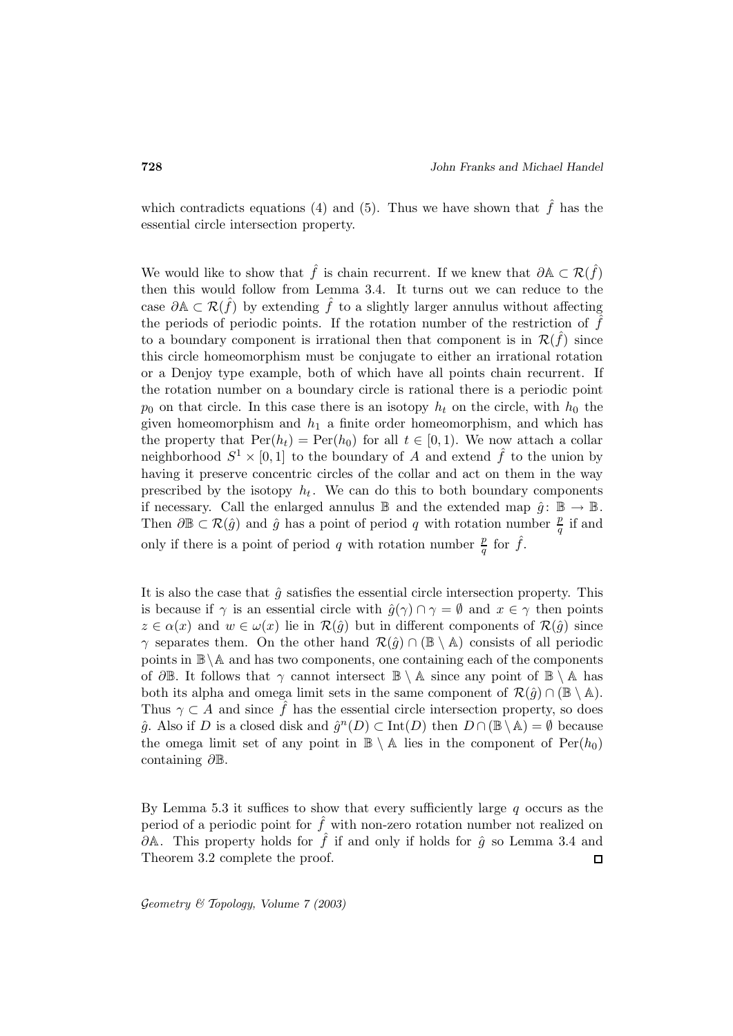which contradicts equations (4) and (5). Thus we have shown that  $\hat{f}$  has the essential circle intersection property.

We would like to show that  $\hat{f}$  is chain recurrent. If we knew that  $\partial A \subset \mathcal{R}(\hat{f})$ then this would follow from Lemma 3.4. It turns out we can reduce to the case  $\partial A \subset \mathcal{R}(\hat{f})$  by extending  $\hat{f}$  to a slightly larger annulus without affecting the periods of periodic points. If the rotation number of the restriction of  $\hat{f}$ to a boundary component is irrational then that component is in  $\mathcal{R}(\tilde{f})$  since this circle homeomorphism must be conjugate to either an irrational rotation or a Denjoy type example, both of which have all points chain recurrent. If the rotation number on a boundary circle is rational there is a periodic point  $p_0$  on that circle. In this case there is an isotopy  $h_t$  on the circle, with  $h_0$  the given homeomorphism and  $h_1$  a finite order homeomorphism, and which has the property that  $Per(h_t) = Per(h_0)$  for all  $t \in [0,1)$ . We now attach a collar neighborhood  $S^1 \times [0,1]$  to the boundary of A and extend  $\hat{f}$  to the union by having it preserve concentric circles of the collar and act on them in the way prescribed by the isotopy  $h_t$ . We can do this to both boundary components if necessary. Call the enlarged annulus  $\mathbb B$  and the extended map  $\hat{g} \colon \mathbb B \to \mathbb B$ . Then  $\partial \mathbb{B} \subset \mathcal{R}(\hat{g})$  and  $\hat{g}$  has a point of period q with rotation number  $\frac{p}{q}$  if and only if there is a point of period q with rotation number  $\frac{p}{q}$  for  $\hat{f}$ .

It is also the case that  $\hat{q}$  satisfies the essential circle intersection property. This is because if  $\gamma$  is an essential circle with  $\hat{g}(\gamma) \cap \gamma = \emptyset$  and  $x \in \gamma$  then points  $z \in \alpha(x)$  and  $w \in \omega(x)$  lie in  $\mathcal{R}(\hat{g})$  but in different components of  $\mathcal{R}(\hat{g})$  since  $\gamma$  separates them. On the other hand  $\mathcal{R}(\hat{g}) \cap (\mathbb{B} \setminus \mathbb{A})$  consists of all periodic points in  $\mathbb{B}\setminus\mathbb{A}$  and has two components, one containing each of the components of  $\partial \mathbb{B}$ . It follows that  $\gamma$  cannot intersect  $\mathbb{B} \setminus \mathbb{A}$  since any point of  $\mathbb{B} \setminus \mathbb{A}$  has both its alpha and omega limit sets in the same component of  $\mathcal{R}(\hat{g}) \cap (\mathbb{B} \setminus \mathbb{A})$ . Thus  $\gamma \subset A$  and since f has the essential circle intersection property, so does  $\hat{g}$ . Also if D is a closed disk and  $\hat{g}^n(D) \subset \text{Int}(D)$  then  $D \cap (\mathbb{B} \setminus \mathbb{A}) = \emptyset$  because the omega limit set of any point in  $\mathbb{B} \setminus \mathbb{A}$  lies in the component of  $\text{Per}(h_0)$ containing ∂B.

By Lemma 5.3 it suffices to show that every sufficiently large  $q$  occurs as the period of a periodic point for  $\hat{f}$  with non-zero rotation number not realized on  $\partial A$ . This property holds for  $\hat{f}$  if and only if holds for  $\hat{g}$  so Lemma 3.4 and Theorem 3.2 complete the proof.  $\Box$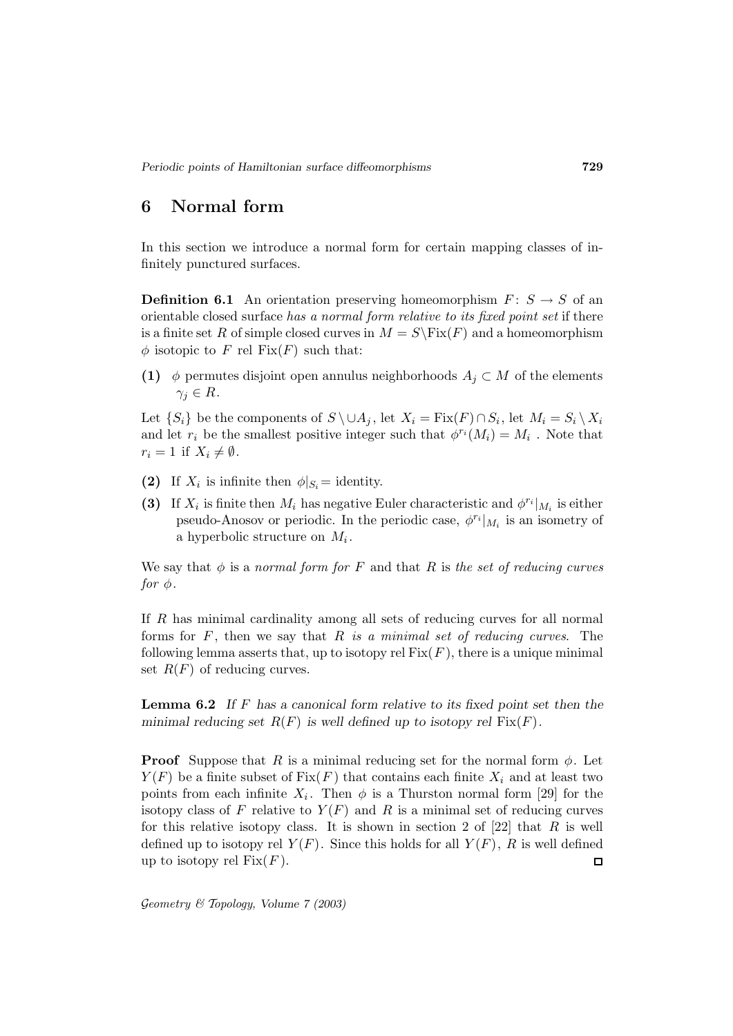# **6 Normal form**

In this section we introduce a normal form for certain mapping classes of infinitely punctured surfaces.

**Definition 6.1** An orientation preserving homeomorphism  $F: S \to S$  of an orientable closed surface has a normal form relative to its fixed point set if there is a finite set R of simple closed curves in  $M = S\backslash \text{Fix}(F)$  and a homeomorphism  $\phi$  isotopic to F rel Fix(F) such that:

**(1)**  $\phi$  permutes disjoint open annulus neighborhoods  $A_j \subset M$  of the elements  $\gamma_i \in R$ .

Let  $\{S_i\}$  be the components of  $S \ \cup A_j$ , let  $X_i = \text{Fix}(F) \cap S_i$ , let  $M_i = S_i \setminus X_i$ and let  $r_i$  be the smallest positive integer such that  $\phi^{r_i}(M_i) = M_i$ . Note that  $r_i = 1$  if  $X_i \neq \emptyset$ .

- **(2)** If  $X_i$  is infinite then  $\phi|_{S_i} =$  identity.
- **(3)** If  $X_i$  is finite then  $M_i$  has negative Euler characteristic and  $\phi^{r_i}|_{M_i}$  is either pseudo-Anosov or periodic. In the periodic case,  $\phi^{r_i}|_{M_i}$  is an isometry of a hyperbolic structure on  $M_i$ .

We say that  $\phi$  is a normal form for F and that R is the set of reducing curves for  $\phi$ .

If R has minimal cardinality among all sets of reducing curves for all normal forms for  $F$ , then we say that  $R$  is a minimal set of reducing curves. The following lemma asserts that, up to isotopy rel  $Fix(F)$ , there is a unique minimal set  $R(F)$  of reducing curves.

**Lemma 6.2** *If* F *has a canonical form relative to its fixed point set then the minimal reducing set*  $R(F)$  *is well defined up to isotopy rel*  $Fix(F)$ *.* 

**Proof** Suppose that R is a minimal reducing set for the normal form  $\phi$ . Let  $Y(F)$  be a finite subset of  $Fix(F)$  that contains each finite  $X_i$  and at least two points from each infinite  $X_i$ . Then  $\phi$  is a Thurston normal form [29] for the isotopy class of F relative to  $Y(F)$  and R is a minimal set of reducing curves for this relative isotopy class. It is shown in section 2 of  $[22]$  that R is well defined up to isotopy rel  $Y(F)$ . Since this holds for all  $Y(F)$ , R is well defined up to isotopy rel  $Fix(F)$ .  $\Box$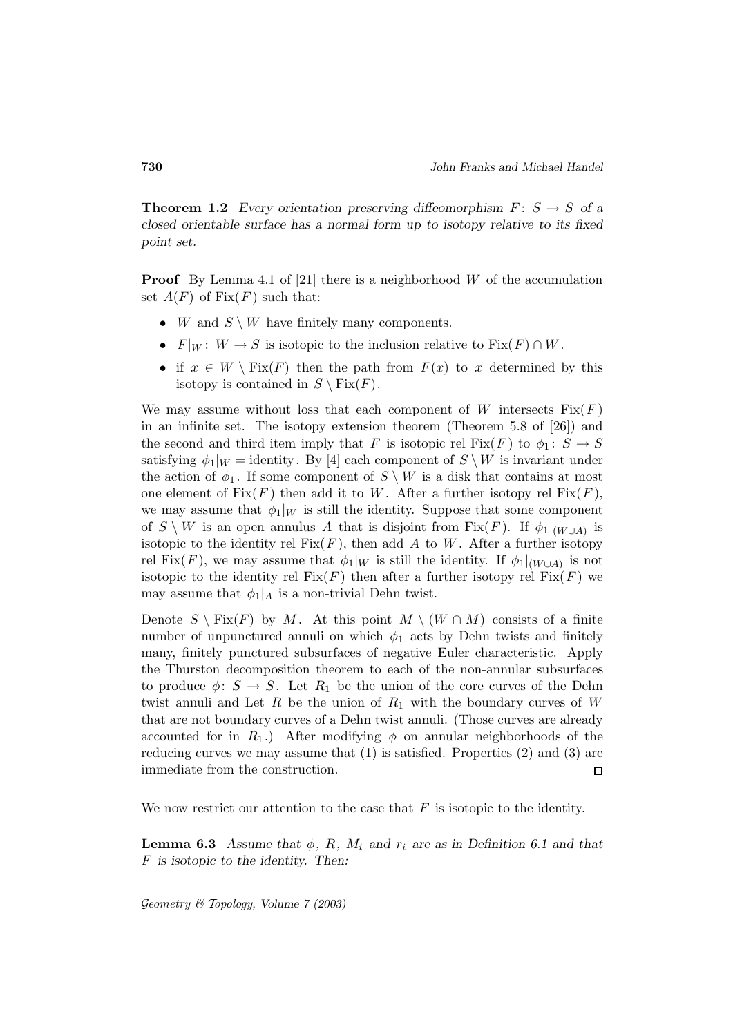**Theorem 1.2** *Every orientation preserving diffeomorphism*  $F: S \rightarrow S$  *of a closed orientable surface has a normal form up to isotopy relative to its fixed point set.*

**Proof** By Lemma 4.1 of [21] there is a neighborhood W of the accumulation set  $A(F)$  of  $Fix(F)$  such that:

- W and  $S \setminus W$  have finitely many components.
- $F|_W: W \to S$  is isotopic to the inclusion relative to  $Fix(F) \cap W$ .
- if  $x \in W \setminus Fix(F)$  then the path from  $F(x)$  to x determined by this isotopy is contained in  $S \setminus Fix(F)$ .

We may assume without loss that each component of W intersects  $Fix(F)$ in an infinite set. The isotopy extension theorem (Theorem 5.8 of [26]) and the second and third item imply that F is isotopic rel Fix(F) to  $\phi_1: S \to S$ satisfying  $\phi_1|_W =$  identity. By [4] each component of  $S \setminus W$  is invariant under the action of  $\phi_1$ . If some component of  $S \setminus W$  is a disk that contains at most one element of  $Fix(F)$  then add it to W. After a further isotopy rel  $Fix(F)$ , we may assume that  $\phi_1|_W$  is still the identity. Suppose that some component of  $S \setminus W$  is an open annulus A that is disjoint from Fix(F). If  $\phi_1|_{(W \cup A)}$  is isotopic to the identity rel  $Fix(F)$ , then add A to W. After a further isotopy rel Fix(F), we may assume that  $\phi_1|_W$  is still the identity. If  $\phi_1|_{(W \cup A)}$  is not isotopic to the identity rel  $Fix(F)$  then after a further isotopy rel  $Fix(F)$  we may assume that  $\phi_1|_A$  is a non-trivial Dehn twist.

Denote  $S \setminus Fix(F)$  by M. At this point  $M \setminus (W \cap M)$  consists of a finite number of unpunctured annuli on which  $\phi_1$  acts by Dehn twists and finitely many, finitely punctured subsurfaces of negative Euler characteristic. Apply the Thurston decomposition theorem to each of the non-annular subsurfaces to produce  $\phi: S \to S$ . Let  $R_1$  be the union of the core curves of the Dehn twist annuli and Let R be the union of  $R_1$  with the boundary curves of W that are not boundary curves of a Dehn twist annuli. (Those curves are already accounted for in  $R_1$ .) After modifying  $\phi$  on annular neighborhoods of the reducing curves we may assume that (1) is satisfied. Properties (2) and (3) are immediate from the construction.  $\Box$ 

We now restrict our attention to the case that  $F$  is isotopic to the identity.

**Lemma 6.3** *Assume that*  $\phi$ *, R, M<sub>i</sub> and r<sub>i</sub> are as in Definition 6.1 and that* F *is isotopic to the identity. Then:*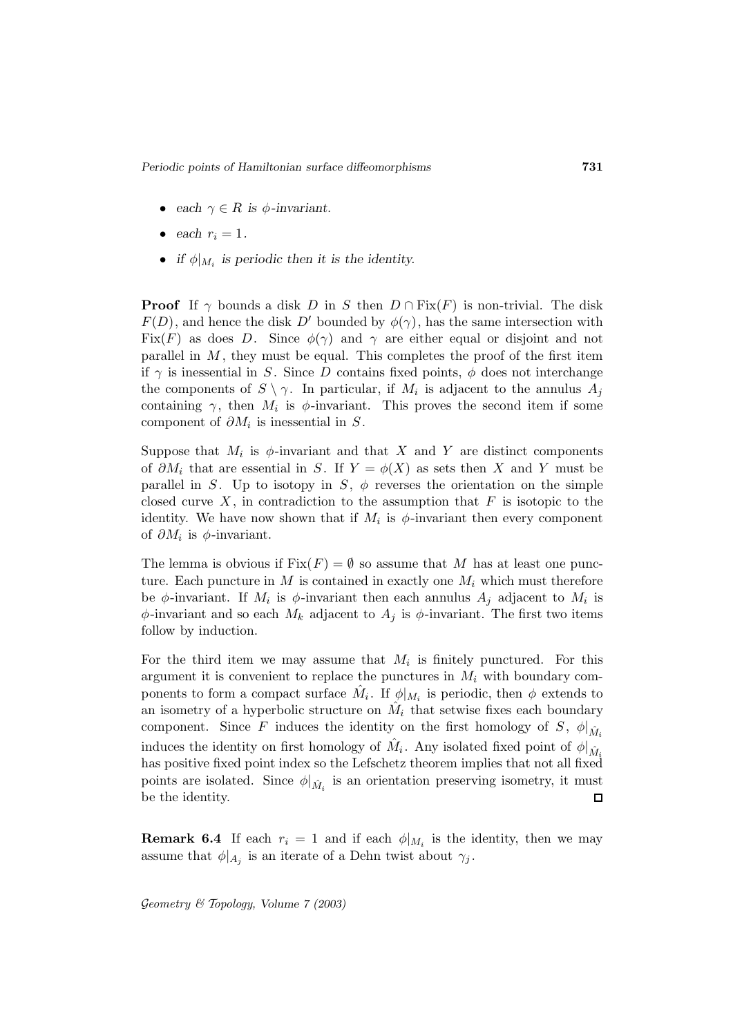- *each*  $\gamma \in R$  *is*  $\phi$ *-invariant.*
- *each*  $r_i = 1$ *.*
- *if*  $\phi|_{M_i}$  *is periodic then it is the identity.*

**Proof** If  $\gamma$  bounds a disk D in S then  $D \cap Fix(F)$  is non-trivial. The disk  $F(D)$ , and hence the disk D' bounded by  $\phi(\gamma)$ , has the same intersection with Fix(F) as does D. Since  $\phi(\gamma)$  and  $\gamma$  are either equal or disjoint and not parallel in  $M$ , they must be equal. This completes the proof of the first item if  $\gamma$  is inessential in S. Since D contains fixed points,  $\phi$  does not interchange the components of  $S \setminus \gamma$ . In particular, if  $M_i$  is adjacent to the annulus  $A_i$ containing  $\gamma$ , then  $M_i$  is  $\phi$ -invariant. This proves the second item if some component of  $\partial M_i$  is inessential in S.

Suppose that  $M_i$  is  $\phi$ -invariant and that X and Y are distinct components of  $\partial M_i$  that are essential in S. If  $Y = \phi(X)$  as sets then X and Y must be parallel in S. Up to isotopy in S,  $\phi$  reverses the orientation on the simple closed curve  $X$ , in contradiction to the assumption that  $F$  is isotopic to the identity. We have now shown that if  $M_i$  is  $\phi$ -invariant then every component of  $\partial M_i$  is  $\phi$ -invariant.

The lemma is obvious if  $Fix(F) = \emptyset$  so assume that M has at least one puncture. Each puncture in  $M$  is contained in exactly one  $M_i$  which must therefore be  $\phi$ -invariant. If  $M_i$  is  $\phi$ -invariant then each annulus  $A_j$  adjacent to  $M_i$  is  $\phi$ -invariant and so each  $M_k$  adjacent to  $A_j$  is  $\phi$ -invariant. The first two items follow by induction.

For the third item we may assume that  $M_i$  is finitely punctured. For this argument it is convenient to replace the punctures in  $M_i$  with boundary components to form a compact surface  $\tilde{M}_i$ . If  $\phi|_{M_i}$  is periodic, then  $\phi$  extends to an isometry of a hyperbolic structure on  $\hat{M}_i$  that setwise fixes each boundary component. Since F induces the identity on the first homology of S,  $\phi|_{\hat{M}_i}$ induces the identity on first homology of  $\hat{M}_i$ . Any isolated fixed point of  $\phi|_{\hat{M}_i}$ has positive fixed point index so the Lefschetz theorem implies that not all fixed points are isolated. Since  $\phi|_{\hat{M}_i}$  is an orientation preserving isometry, it must be the identity.

**Remark 6.4** If each  $r_i = 1$  and if each  $\phi|_{M_i}$  is the identity, then we may assume that  $\phi|_{A_j}$  is an iterate of a Dehn twist about  $\gamma_j$ .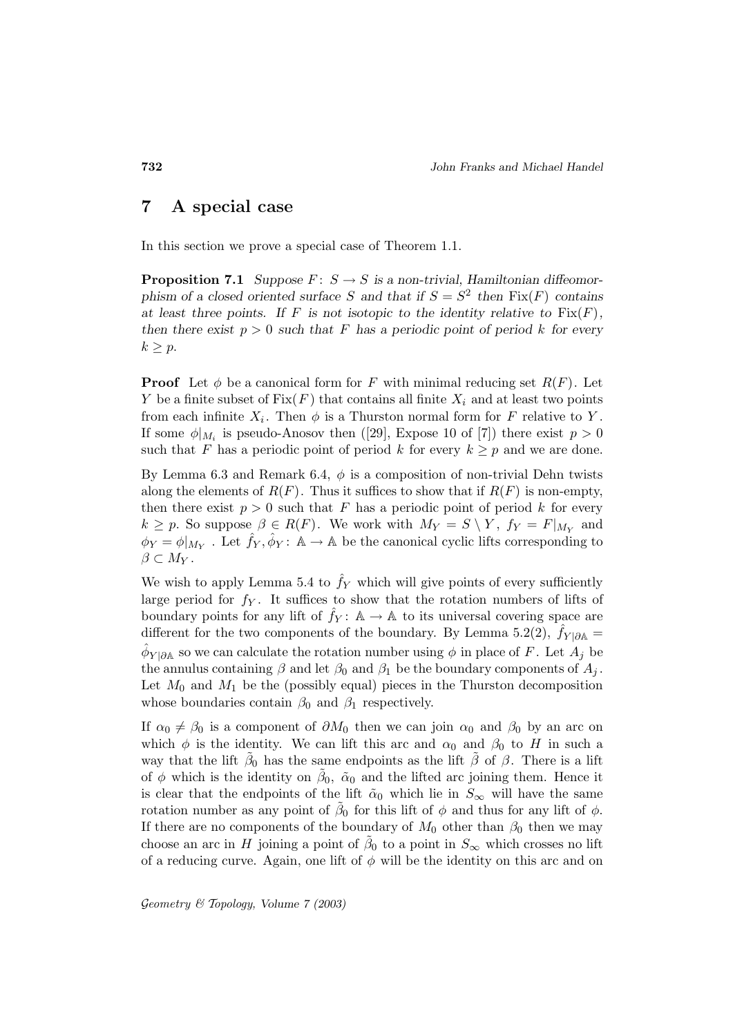### **7 A special case**

In this section we prove a special case of Theorem 1.1.

**Proposition 7.1** *Suppose*  $F: S \rightarrow S$  *is a non-trivial, Hamiltonian diffeomorphism of a closed oriented surface* S and that if  $S = S^2$  then  $Fix(F)$  contains *at least three points. If*  $F$  *is not isotopic to the identity relative to*  $Fix(F)$ *, then there exist*  $p > 0$  *such that* F *has a periodic point of period k for every*  $k \geq p$ .

**Proof** Let  $\phi$  be a canonical form for F with minimal reducing set  $R(F)$ . Let Y be a finite subset of  $Fix(F)$  that contains all finite  $X_i$  and at least two points from each infinite  $X_i$ . Then  $\phi$  is a Thurston normal form for F relative to Y. If some  $\phi|_{M_i}$  is pseudo-Anosov then ([29], Expose 10 of [7]) there exist  $p > 0$ such that F has a periodic point of period k for every  $k \geq p$  and we are done.

By Lemma 6.3 and Remark 6.4,  $\phi$  is a composition of non-trivial Dehn twists along the elements of  $R(F)$ . Thus it suffices to show that if  $R(F)$  is non-empty, then there exist  $p > 0$  such that F has a periodic point of period k for every  $k \geq p$ . So suppose  $\beta \in R(F)$ . We work with  $M_Y = S \setminus Y$ ,  $f_Y = F|_{M_Y}$  and  $\phi_Y = \phi|_{M_Y}$ . Let  $\hat{f}_Y, \hat{\phi}_Y : \mathbb{A} \to \mathbb{A}$  be the canonical cyclic lifts corresponding to  $\beta \subset M_Y$ .

We wish to apply Lemma 5.4 to  $\hat{f}_Y$  which will give points of every sufficiently large period for  $f_Y$ . It suffices to show that the rotation numbers of lifts of boundary points for any lift of  $\hat{f}_Y : A \to A$  to its universal covering space are different for the two components of the boundary. By Lemma 5.2(2),  $f_{Y|\partial A}$  =  $\hat{\phi}_{Y|\partial A}$  so we can calculate the rotation number using  $\phi$  in place of F. Let  $A_j$  be the annulus containing  $\beta$  and let  $\beta_0$  and  $\beta_1$  be the boundary components of  $A_i$ . Let  $M_0$  and  $M_1$  be the (possibly equal) pieces in the Thurston decomposition whose boundaries contain  $\beta_0$  and  $\beta_1$  respectively.

If  $\alpha_0 \neq \beta_0$  is a component of  $\partial M_0$  then we can join  $\alpha_0$  and  $\beta_0$  by an arc on which  $\phi$  is the identity. We can lift this arc and  $\alpha_0$  and  $\beta_0$  to H in such a way that the lift  $\tilde{\beta}_0$  has the same endpoints as the lift  $\tilde{\beta}$  of  $\beta$ . There is a lift of  $\phi$  which is the identity on  $\beta_0$ ,  $\tilde{\alpha}_0$  and the lifted arc joining them. Hence it is clear that the endpoints of the lift  $\tilde{\alpha}_0$  which lie in  $S_{\infty}$  will have the same rotation number as any point of  $\tilde{\beta}_0$  for this lift of  $\phi$  and thus for any lift of  $\phi$ . If there are no components of the boundary of  $M_0$  other than  $\beta_0$  then we may choose an arc in H joining a point of  $\tilde{\beta}_0$  to a point in  $S_{\infty}$  which crosses no lift of a reducing curve. Again, one lift of  $\phi$  will be the identity on this arc and on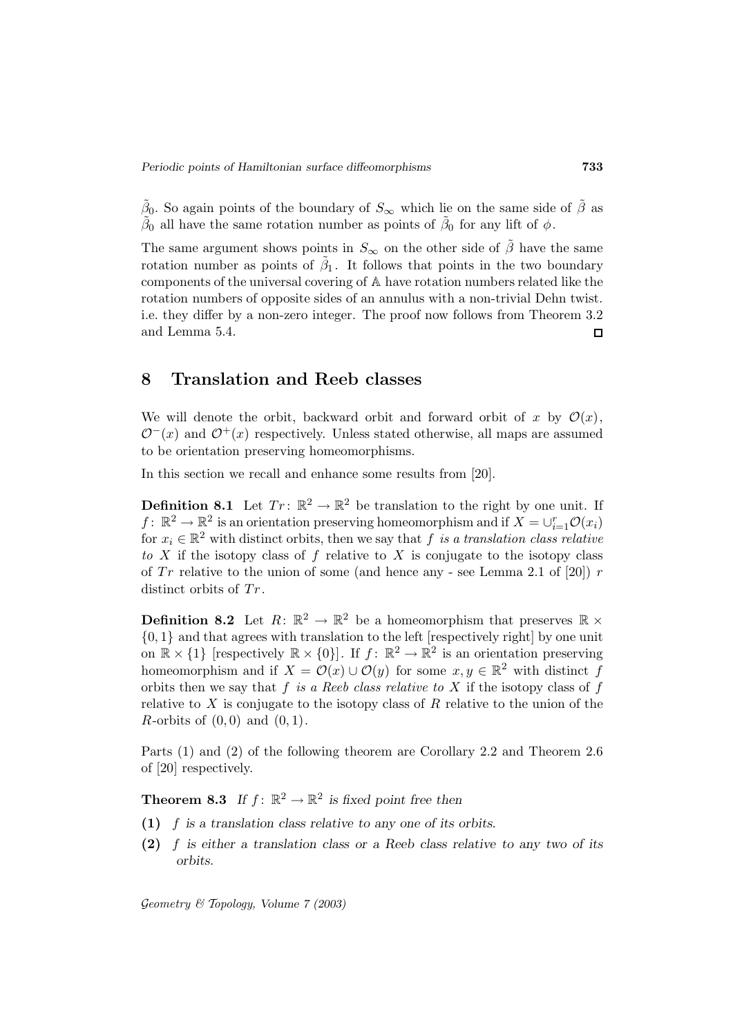$\beta_0$ . So again points of the boundary of  $S_{\infty}$  which lie on the same side of  $\beta$  as  $\tilde{\beta}_0$  all have the same rotation number as points of  $\tilde{\beta}_0$  for any lift of  $\phi$ .

The same argument shows points in  $S_{\infty}$  on the other side of  $\tilde{\beta}$  have the same rotation number as points of  $\tilde{\beta}_1$ . It follows that points in the two boundary components of the universal covering of A have rotation numbers related like the rotation numbers of opposite sides of an annulus with a non-trivial Dehn twist. i.e. they differ by a non-zero integer. The proof now follows from Theorem 3.2 and Lemma 5.4.  $\Box$ 

#### **8 Translation and Reeb classes**

We will denote the orbit, backward orbit and forward orbit of x by  $\mathcal{O}(x)$ ,  $\mathcal{O}^-(x)$  and  $\mathcal{O}^+(x)$  respectively. Unless stated otherwise, all maps are assumed to be orientation preserving homeomorphisms.

In this section we recall and enhance some results from [20].

**Definition 8.1** Let  $Tr: \mathbb{R}^2 \to \mathbb{R}^2$  be translation to the right by one unit. If  $f: \mathbb{R}^2 \to \mathbb{R}^2$  is an orientation preserving homeomorphism and if  $X = \bigcup_{i=1}^r \mathcal{O}(x_i)$ for  $x_i \in \mathbb{R}^2$  with distinct orbits, then we say that f is a translation class relative to X if the isotopy class of f relative to X is conjugate to the isotopy class of  $Tr$  relative to the union of some (and hence any - see Lemma 2.1 of [20]) r distinct orbits of  $Tr$ .

**Definition 8.2** Let  $R: \mathbb{R}^2 \to \mathbb{R}^2$  be a homeomorphism that preserves  $\mathbb{R} \times$ {0, 1} and that agrees with translation to the left [respectively right] by one unit on  $\mathbb{R} \times \{1\}$  [respectively  $\mathbb{R} \times \{0\}$ ]. If  $f: \mathbb{R}^2 \to \mathbb{R}^2$  is an orientation preserving homeomorphism and if  $X = \mathcal{O}(x) \cup \mathcal{O}(y)$  for some  $x, y \in \mathbb{R}^2$  with distinct f orbits then we say that f is a Reeb class relative to  $X$  if the isotopy class of f relative to X is conjugate to the isotopy class of  $R$  relative to the union of the R-orbits of  $(0,0)$  and  $(0,1)$ .

Parts (1) and (2) of the following theorem are Corollary 2.2 and Theorem 2.6 of [20] respectively.

**Theorem 8.3** *If*  $f: \mathbb{R}^2 \to \mathbb{R}^2$  *is fixed point free then* 

- **(1)** f *is a translation class relative to any one of its orbits.*
- **(2)** f *is either a translation class or a Reeb class relative to any two of its orbits.*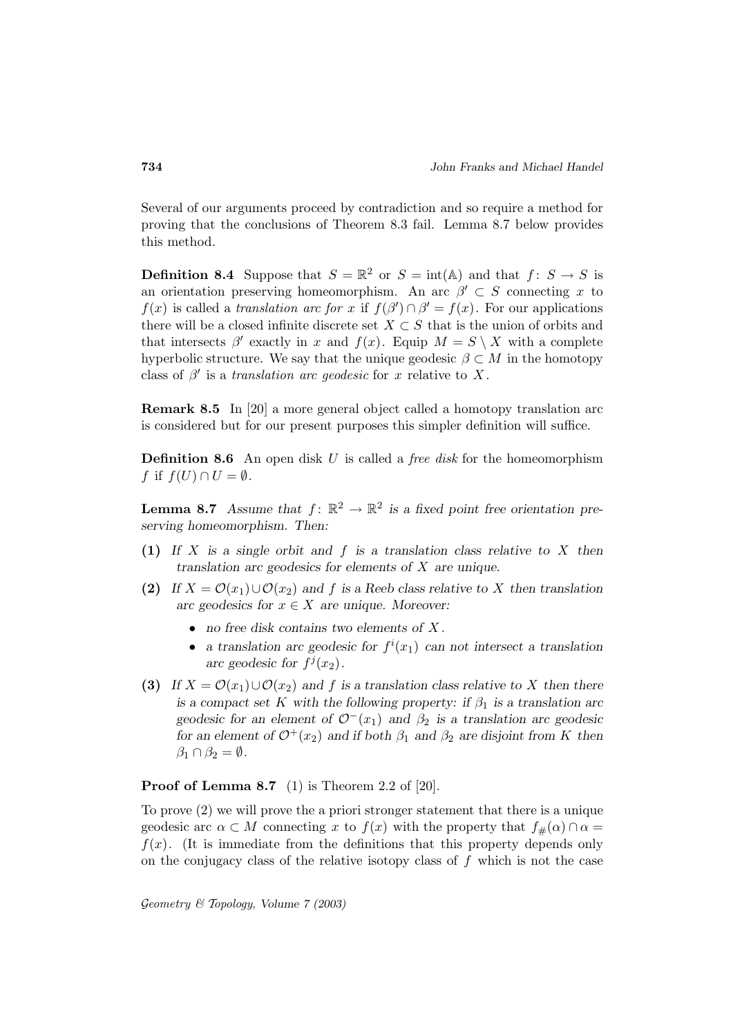Several of our arguments proceed by contradiction and so require a method for proving that the conclusions of Theorem 8.3 fail. Lemma 8.7 below provides this method.

**Definition 8.4** Suppose that  $S = \mathbb{R}^2$  or  $S = \text{int}(\mathbb{A})$  and that  $f: S \to S$  is an orientation preserving homeomorphism. An arc  $\beta' \subset S$  connecting x to  $f(x)$  is called a translation arc for x if  $f(\beta') \cap \beta' = f(x)$ . For our applications there will be a closed infinite discrete set  $X \subset S$  that is the union of orbits and that intersects  $\beta'$  exactly in x and  $f(x)$ . Equip  $M = S \setminus X$  with a complete hyperbolic structure. We say that the unique geodesic  $\beta \subset M$  in the homotopy class of  $\beta'$  is a translation arc geodesic for x relative to X.

**Remark 8.5** In [20] a more general object called a homotopy translation arc is considered but for our present purposes this simpler definition will suffice.

**Definition 8.6** An open disk U is called a *free disk* for the homeomorphism f if  $f(U) \cap U = \emptyset$ .

**Lemma 8.7** *Assume that*  $f: \mathbb{R}^2 \to \mathbb{R}^2$  *is a fixed point free orientation preserving homeomorphism. Then:*

- **(1)** *If* X *is a single orbit and* f *is a translation class relative to* X *then translation arc geodesics for elements of* X *are unique.*
- **(2)** If  $X = \mathcal{O}(x_1) \cup \mathcal{O}(x_2)$  and f is a Reeb class relative to X then translation *arc geodesics for*  $x \in X$  *are unique. Moreover:* 
	- *no free disk contains two elements of* X *.*
	- *a translation arc geodesic for*  $f^{i}(x_1)$  *can not intersect a translation* arc geodesic for  $f'(x_2)$ .
- **(3)** If  $X = \mathcal{O}(x_1) \cup \mathcal{O}(x_2)$  and f is a translation class relative to X then there *is a compact set* K with the following property: if  $\beta_1$  *is a translation arc geodesic for an element of*  $\mathcal{O}^-(x_1)$  *and*  $\beta_2$  *is a translation arc geodesic for an element of*  $\mathcal{O}^+(x_2)$  *and if both*  $\beta_1$  *and*  $\beta_2$  *are disjoint from* K *then*  $\beta_1 \cap \beta_2 = \emptyset$ .

#### **Proof of Lemma 8.7** (1) is Theorem 2.2 of [20].

To prove (2) we will prove the a priori stronger statement that there is a unique geodesic arc  $\alpha \subset M$  connecting x to  $f(x)$  with the property that  $f_{\#}(\alpha) \cap \alpha =$  $f(x)$ . (It is immediate from the definitions that this property depends only on the conjugacy class of the relative isotopy class of  $f$  which is not the case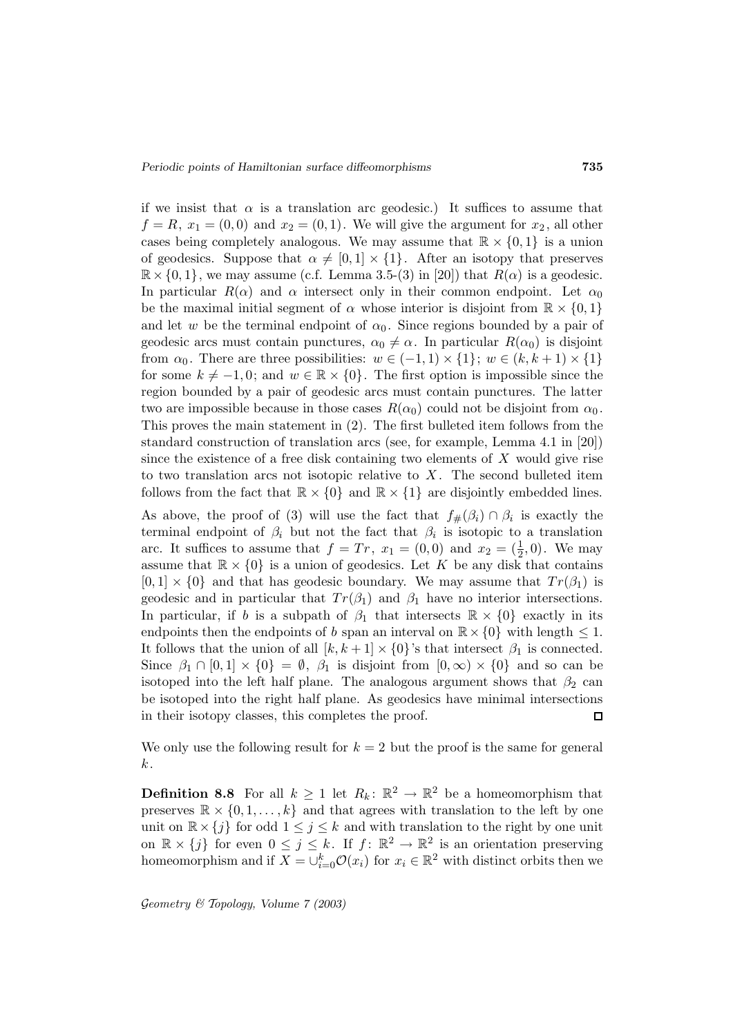if we insist that  $\alpha$  is a translation arc geodesic.) It suffices to assume that  $f = R$ ,  $x_1 = (0, 0)$  and  $x_2 = (0, 1)$ . We will give the argument for  $x_2$ , all other cases being completely analogous. We may assume that  $\mathbb{R} \times \{0,1\}$  is a union of geodesics. Suppose that  $\alpha \neq [0, 1] \times \{1\}$ . After an isotopy that preserves  $\mathbb{R} \times \{0,1\}$ , we may assume (c.f. Lemma 3.5-(3) in [20]) that  $R(\alpha)$  is a geodesic. In particular  $R(\alpha)$  and  $\alpha$  intersect only in their common endpoint. Let  $\alpha_0$ be the maximal initial segment of  $\alpha$  whose interior is disjoint from  $\mathbb{R} \times \{0,1\}$ and let w be the terminal endpoint of  $\alpha_0$ . Since regions bounded by a pair of geodesic arcs must contain punctures,  $\alpha_0 \neq \alpha$ . In particular  $R(\alpha_0)$  is disjoint from  $\alpha_0$ . There are three possibilities:  $w \in (-1,1) \times \{1\}$ ;  $w \in (k, k+1) \times \{1\}$ for some  $k \neq -1, 0$ ; and  $w \in \mathbb{R} \times \{0\}$ . The first option is impossible since the region bounded by a pair of geodesic arcs must contain punctures. The latter two are impossible because in those cases  $R(\alpha_0)$  could not be disjoint from  $\alpha_0$ . This proves the main statement in (2). The first bulleted item follows from the standard construction of translation arcs (see, for example, Lemma 4.1 in [20]) since the existence of a free disk containing two elements of  $X$  would give rise to two translation arcs not isotopic relative to  $X$ . The second bulleted item follows from the fact that  $\mathbb{R} \times \{0\}$  and  $\mathbb{R} \times \{1\}$  are disjointly embedded lines.

As above, the proof of (3) will use the fact that  $f_{\#}(\beta_i) \cap \beta_i$  is exactly the terminal endpoint of  $\beta_i$  but not the fact that  $\beta_i$  is isotopic to a translation arc. It suffices to assume that  $f = Tr$ ,  $x_1 = (0,0)$  and  $x_2 = (\frac{1}{2},0)$ . We may assume that  $\mathbb{R} \times \{0\}$  is a union of geodesics. Let K be any disk that contains  $[0, 1] \times \{0\}$  and that has geodesic boundary. We may assume that  $Tr(\beta_1)$  is geodesic and in particular that  $Tr(\beta_1)$  and  $\beta_1$  have no interior intersections. In particular, if b is a subpath of  $\beta_1$  that intersects  $\mathbb{R} \times \{0\}$  exactly in its endpoints then the endpoints of b span an interval on  $\mathbb{R} \times \{0\}$  with length  $\leq 1$ . It follows that the union of all  $[k, k+1] \times \{0\}$ 's that intersect  $\beta_1$  is connected. Since  $\beta_1 \cap [0,1] \times \{0\} = \emptyset$ ,  $\beta_1$  is disjoint from  $[0,\infty) \times \{0\}$  and so can be isotoped into the left half plane. The analogous argument shows that  $\beta_2$  can be isotoped into the right half plane. As geodesics have minimal intersections in their isotopy classes, this completes the proof.  $\Box$ 

We only use the following result for  $k = 2$  but the proof is the same for general k.

**Definition 8.8** For all  $k \geq 1$  let  $R_k: \mathbb{R}^2 \to \mathbb{R}^2$  be a homeomorphism that preserves  $\mathbb{R} \times \{0, 1, \ldots, k\}$  and that agrees with translation to the left by one unit on  $\mathbb{R} \times \{j\}$  for odd  $1 \leq j \leq k$  and with translation to the right by one unit on  $\mathbb{R} \times \{j\}$  for even  $0 \leq j \leq k$ . If  $f: \mathbb{R}^2 \to \mathbb{R}^2$  is an orientation preserving homeomorphism and if  $X = \bigcup_{i=0}^{k} \mathcal{O}(x_i)$  for  $x_i \in \mathbb{R}^2$  with distinct orbits then we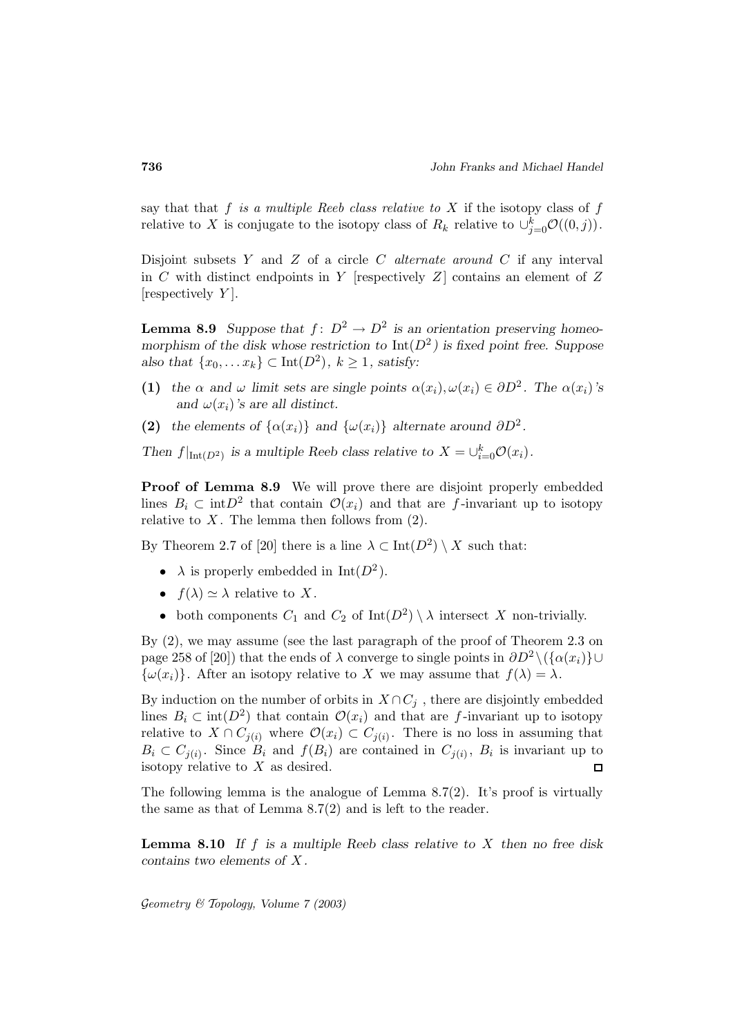say that that  $f$  is a multiple Reeb class relative to  $X$  if the isotopy class of  $f$ relative to X is conjugate to the isotopy class of  $R_k$  relative to  $\cup_{j=0}^k \mathcal{O}((0,j)).$ 

Disjoint subsets Y and Z of a circle  $C$  *alternate around*  $C$  if any interval in C with distinct endpoints in Y [respectively  $Z$ ] contains an element of Z [respectively  $Y$ ].

**Lemma 8.9** *Suppose that*  $f: D^2 \to D^2$  *is an orientation preserving homeomorphism of the disk whose restriction to*  $Int(D^2)$  *is fixed point free. Suppose also that*  $\{x_0, \ldots x_k\} \subset \text{Int}(D^2)$ *,*  $k \ge 1$ *, satisfy:* 

- **(1)** *the*  $\alpha$  *and*  $\omega$  *limit sets are single points*  $\alpha(x_i), \omega(x_i) \in \partial D^2$ *. The*  $\alpha(x_i)$ *'s* and  $\omega(x_i)$ *'s* are all distinct.
- **(2)** *the elements of*  $\{\alpha(x_i)\}\$  *and*  $\{\omega(x_i)\}\$  *alternate around*  $\partial D^2$ *.*

*Then*  $f|_{\text{Int}(D^2)}$  *is a multiple Reeb class relative to*  $X = \bigcup_{i=0}^k \mathcal{O}(x_i)$ *.* 

**Proof of Lemma 8.9** We will prove there are disjoint properly embedded lines  $B_i \subset \text{int}D^2$  that contain  $\mathcal{O}(x_i)$  and that are f-invariant up to isotopy relative to  $X$ . The lemma then follows from  $(2)$ .

By Theorem 2.7 of [20] there is a line  $\lambda \subset \text{Int}(D^2) \setminus X$  such that:

- $\lambda$  is properly embedded in Int( $D^2$ ).
- $f(\lambda) \simeq \lambda$  relative to X.
- both components  $C_1$  and  $C_2$  of  $Int(D^2) \setminus \lambda$  intersect X non-trivially.

By (2), we may assume (see the last paragraph of the proof of Theorem 2.3 on page 258 of [20]) that the ends of  $\lambda$  converge to single points in  $\partial D^2 \setminus (\{\alpha(x_i)\}\cup$  $\{\omega(x_i)\}\.$  After an isotopy relative to X we may assume that  $f(\lambda) = \lambda$ .

By induction on the number of orbits in  $X \cap C_j$ , there are disjointly embedded lines  $B_i \subset \text{int}(D^2)$  that contain  $\mathcal{O}(x_i)$  and that are f-invariant up to isotopy relative to  $X \cap C_{i(i)}$  where  $\mathcal{O}(x_i) \subset C_{i(i)}$ . There is no loss in assuming that  $B_i \subset C_{j(i)}$ . Since  $B_i$  and  $f(B_i)$  are contained in  $C_{j(i)}$ ,  $B_i$  is invariant up to isotopy relative to  $X$  as desired.  $\Box$ 

The following lemma is the analogue of Lemma  $8.7(2)$ . It's proof is virtually the same as that of Lemma 8.7(2) and is left to the reader.

**Lemma 8.10** *If* f *is a multiple Reeb class relative to* X *then no free disk contains two elements of* X *.*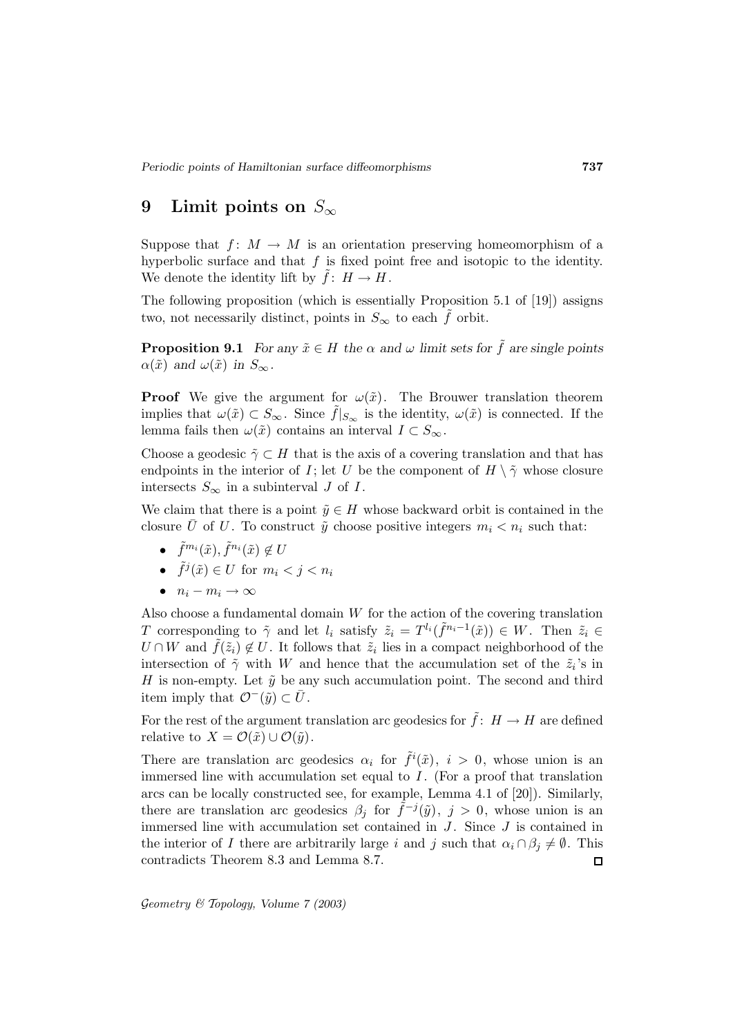# **9 Limit points on** S<sup>∞</sup>

Suppose that  $f: M \to M$  is an orientation preserving homeomorphism of a hyperbolic surface and that  $f$  is fixed point free and isotopic to the identity. We denote the identity lift by  $f: H \to H$ .

The following proposition (which is essentially Proposition 5.1 of [19]) assigns two, not necessarily distinct, points in  $S_{\infty}$  to each f orbit.

**Proposition 9.1** *For any*  $\tilde{x} \in H$  *the*  $\alpha$  *and*  $\omega$  *limit sets for*  $\tilde{f}$  *are single points*  $\alpha(\tilde{x})$  and  $\omega(\tilde{x})$  in  $S_{\infty}$ .

**Proof** We give the argument for  $\omega(\tilde{x})$ . The Brouwer translation theorem implies that  $\omega(\tilde{x}) \subset S_{\infty}$ . Since  $f|_{S_{\infty}}$  is the identity,  $\omega(\tilde{x})$  is connected. If the lemma fails then  $\omega(\tilde{x})$  contains an interval  $I \subset S_{\infty}$ .

Choose a geodesic  $\tilde{\gamma} \subset H$  that is the axis of a covering translation and that has endpoints in the interior of I; let U be the component of  $H \setminus \tilde{\gamma}$  whose closure intersects  $S_{\infty}$  in a subinterval J of I.

We claim that there is a point  $\tilde{y} \in H$  whose backward orbit is contained in the closure  $\overline{U}$  of  $U$ . To construct  $\tilde{y}$  choose positive integers  $m_i < n_i$  such that:

- $\tilde{f}^{m_i}(\tilde{x}), \tilde{f}^{n_i}(\tilde{x}) \notin U$
- $\tilde{f}^j(\tilde{x}) \in U$  for  $m_i < j < n_i$
- $n_i m_i \rightarrow \infty$

Also choose a fundamental domain  $W$  for the action of the covering translation T corresponding to  $\tilde{\gamma}$  and let  $l_i$  satisfy  $\tilde{z}_i = T^{l_i}(\tilde{f}^{n_i-1}(\tilde{x})) \in W$ . Then  $\tilde{z}_i \in$  $U \cap W$  and  $f(\tilde{z}_i) \notin U$ . It follows that  $\tilde{z}_i$  lies in a compact neighborhood of the intersection of  $\tilde{\gamma}$  with W and hence that the accumulation set of the  $\tilde{z}_i$ 's in H is non-empty. Let  $\tilde{y}$  be any such accumulation point. The second and third item imply that  $\mathcal{O}^-(\tilde{y}) \subset U$ .

For the rest of the argument translation arc geodesics for  $\tilde{f}: H \to H$  are defined relative to  $X = \mathcal{O}(\tilde{x}) \cup \mathcal{O}(\tilde{y})$ .

There are translation arc geodesics  $\alpha_i$  for  $\tilde{f}^i(\tilde{x})$ ,  $i > 0$ , whose union is an immersed line with accumulation set equal to  $I$ . (For a proof that translation arcs can be locally constructed see, for example, Lemma 4.1 of [20]). Similarly, there are translation arc geodesics  $\beta_j$  for  $\tilde{f}^{-j}(\tilde{y})$ ,  $j > 0$ , whose union is an immersed line with accumulation set contained in  $J$ . Since  $J$  is contained in the interior of I there are arbitrarily large i and j such that  $\alpha_i \cap \beta_j \neq \emptyset$ . This contradicts Theorem 8.3 and Lemma 8.7. 口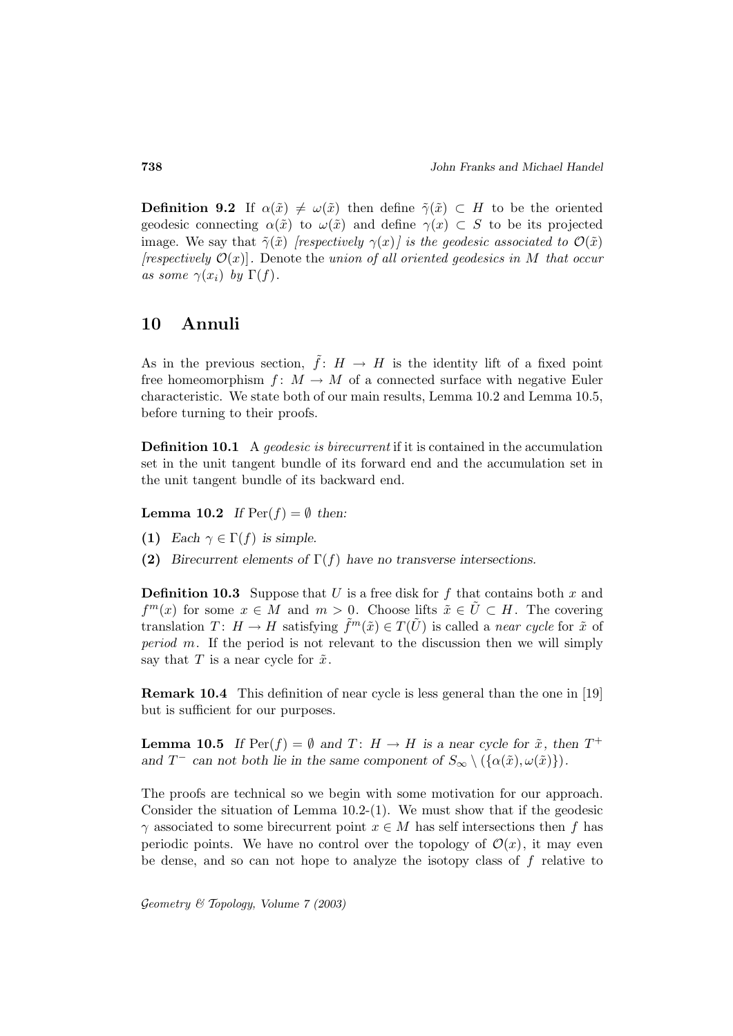**Definition 9.2** If  $\alpha(\tilde{x}) \neq \omega(\tilde{x})$  then define  $\tilde{\gamma}(\tilde{x}) \subset H$  to be the oriented geodesic connecting  $\alpha(\tilde{x})$  to  $\omega(\tilde{x})$  and define  $\gamma(x) \subset S$  to be its projected image. We say that  $\tilde{\gamma}(\tilde{x})$  [respectively  $\gamma(x)$ ] is the geodesic associated to  $\mathcal{O}(\tilde{x})$ [respectively  $\mathcal{O}(x)$ ]. Denote the union of all oriented geodesics in M that occur as some  $\gamma(x_i)$  by  $\Gamma(f)$ .

#### **10 Annuli**

As in the previous section,  $\tilde{f}: H \to H$  is the identity lift of a fixed point free homeomorphism  $f: M \to M$  of a connected surface with negative Euler characteristic. We state both of our main results, Lemma 10.2 and Lemma 10.5, before turning to their proofs.

**Definition 10.1** A geodesic is birecurrent if it is contained in the accumulation set in the unit tangent bundle of its forward end and the accumulation set in the unit tangent bundle of its backward end.

**Lemma 10.2** *If*  $\text{Per}(f) = \emptyset$  *then:* 

- **(1)** *Each*  $\gamma \in \Gamma(f)$  *is simple.*
- **(2)** *Birecurrent elements of* Γ(f) *have no transverse intersections.*

**Definition 10.3** Suppose that U is a free disk for f that contains both x and  $f^{m}(x)$  for some  $x \in M$  and  $m > 0$ . Choose lifts  $\tilde{x} \in \tilde{U} \subset H$ . The covering translation  $T: H \to H$  satisfying  $\tilde{f}^m(\tilde{x}) \in T(\tilde{U})$  is called a *near cycle* for  $\tilde{x}$  of period m. If the period is not relevant to the discussion then we will simply say that T is a near cycle for  $\tilde{x}$ .

**Remark 10.4** This definition of near cycle is less general than the one in [19] but is sufficient for our purposes.

**Lemma 10.5** *If*  $\text{Per}(f) = \emptyset$  *and*  $T: H \to H$  *is a near cycle for*  $\tilde{x}$ *, then*  $T^+$ *and*  $T^-$  *can not both lie in the same component of*  $S_\infty \setminus (\{\alpha(\tilde{x}), \omega(\tilde{x})\})$ *.* 

The proofs are technical so we begin with some motivation for our approach. Consider the situation of Lemma 10.2-(1). We must show that if the geodesic  $\gamma$  associated to some birecurrent point  $x \in M$  has self intersections then f has periodic points. We have no control over the topology of  $\mathcal{O}(x)$ , it may even be dense, and so can not hope to analyze the isotopy class of  $f$  relative to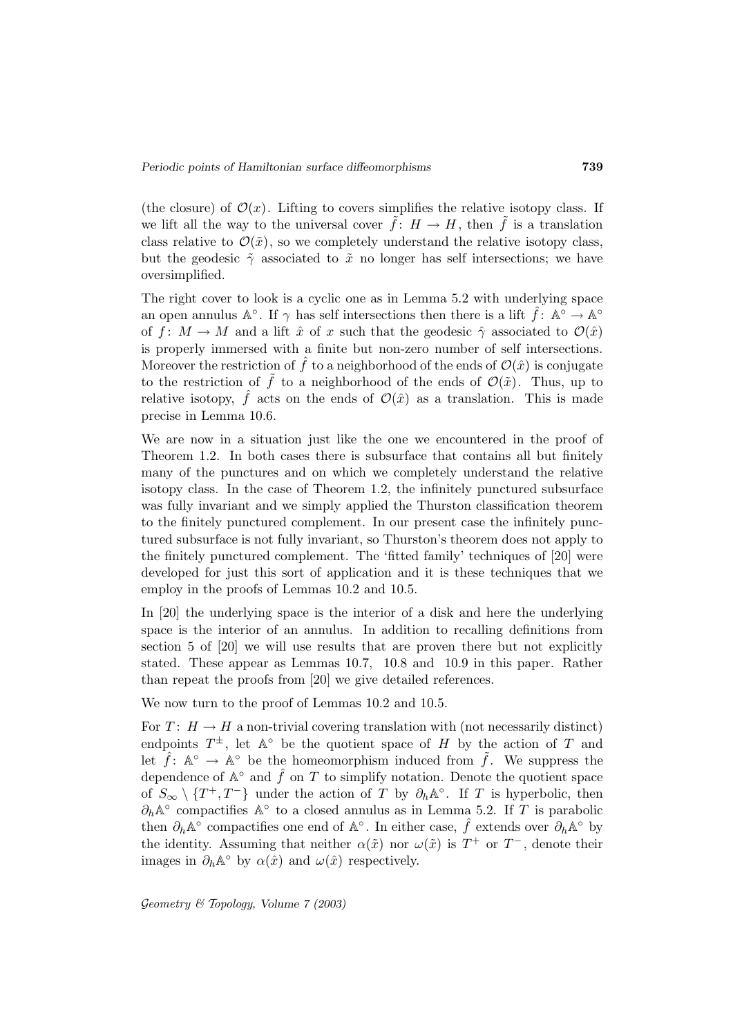(the closure) of  $\mathcal{O}(x)$ . Lifting to covers simplifies the relative isotopy class. If we lift all the way to the universal cover  $f: H \to H$ , then f is a translation class relative to  $\mathcal{O}(\tilde{x})$ , so we completely understand the relative isotopy class, but the geodesic  $\tilde{\gamma}$  associated to  $\tilde{x}$  no longer has self intersections; we have oversimplified.

The right cover to look is a cyclic one as in Lemma 5.2 with underlying space an open annulus  $\mathbb{A}^\circ$ . If  $\gamma$  has self intersections then there is a lift  $\hat{f}$ :  $\mathbb{A}^\circ \to \mathbb{A}^\circ$ of f:  $M \to M$  and a lift  $\hat{x}$  of x such that the geodesic  $\hat{\gamma}$  associated to  $\mathcal{O}(\hat{x})$ is properly immersed with a finite but non-zero number of self intersections. Moreover the restriction of  $\hat{f}$  to a neighborhood of the ends of  $\mathcal{O}(\hat{x})$  is conjugate to the restriction of  $\tilde{f}$  to a neighborhood of the ends of  $\mathcal{O}(\tilde{x})$ . Thus, up to relative isotopy,  $\hat{f}$  acts on the ends of  $\mathcal{O}(\hat{x})$  as a translation. This is made precise in Lemma 10.6.

We are now in a situation just like the one we encountered in the proof of Theorem 1.2. In both cases there is subsurface that contains all but finitely many of the punctures and on which we completely understand the relative isotopy class. In the case of Theorem 1.2, the infinitely punctured subsurface was fully invariant and we simply applied the Thurston classification theorem to the finitely punctured complement. In our present case the infinitely punctured subsurface is not fully invariant, so Thurston's theorem does not apply to the finitely punctured complement. The 'fitted family' techniques of [20] were developed for just this sort of application and it is these techniques that we employ in the proofs of Lemmas 10.2 and 10.5.

In [20] the underlying space is the interior of a disk and here the underlying space is the interior of an annulus. In addition to recalling definitions from section 5 of [20] we will use results that are proven there but not explicitly stated. These appear as Lemmas 10.7, 10.8 and 10.9 in this paper. Rather than repeat the proofs from [20] we give detailed references.

We now turn to the proof of Lemmas 10.2 and 10.5.

For  $T: H \to H$  a non-trivial covering translation with (not necessarily distinct) endpoints  $T^{\pm}$ , let  $\mathbb{A}^{\circ}$  be the quotient space of H by the action of T and let  $\hat{f}$ :  $\mathbb{A}^{\circ} \to \mathbb{A}^{\circ}$  be the homeomorphism induced from  $\tilde{f}$ . We suppress the dependence of  $\mathbb{A}^\circ$  and  $\hat{f}$  on T to simplify notation. Denote the quotient space of  $S_{\infty} \setminus \{T^+, T^-\}$  under the action of T by  $\partial_h \mathbb{A}^{\circ}$ . If T is hyperbolic, then  $\partial_h\mathbb{A}^\circ$  compactifies  $\mathbb{A}^\circ$  to a closed annulus as in Lemma 5.2. If T is parabolic then  $\partial_h \mathbb{A}^\circ$  compactifies one end of  $\mathbb{A}^\circ$ . In either case,  $\hat{f}$  extends over  $\partial_h \mathbb{A}^\circ$  by the identity. Assuming that neither  $\alpha(\tilde{x})$  nor  $\omega(\tilde{x})$  is  $T^+$  or  $T^-$ , denote their images in  $\partial_h \mathbb{A}^\circ$  by  $\alpha(\hat{x})$  and  $\omega(\hat{x})$  respectively.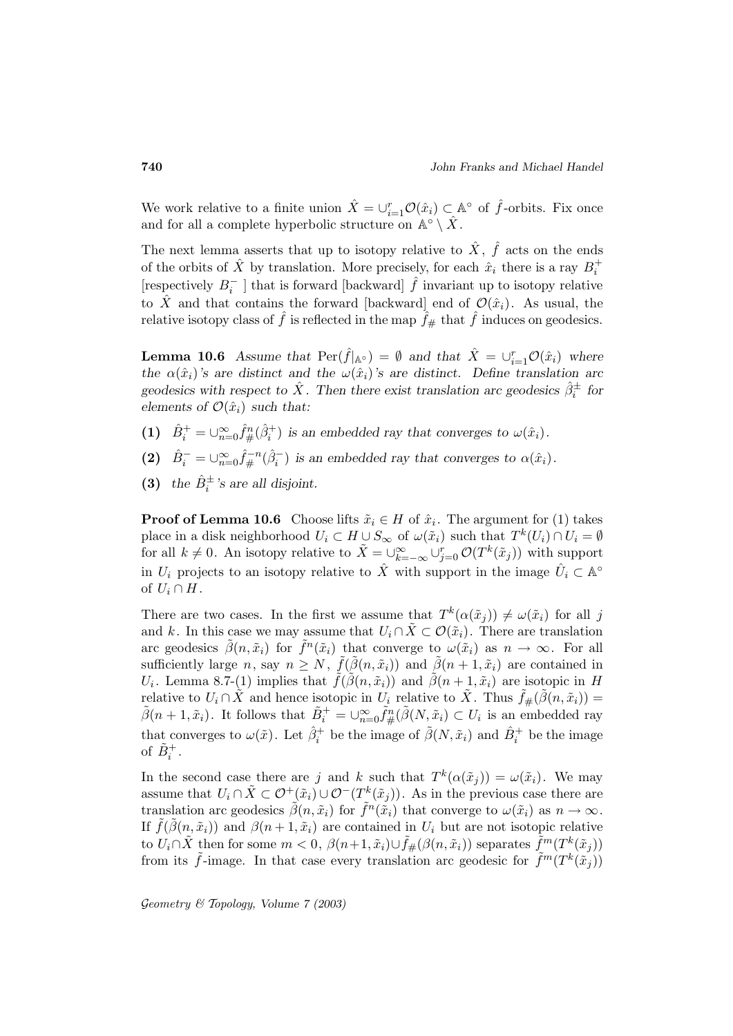We work relative to a finite union  $\hat{X} = \bigcup_{i=1}^r \mathcal{O}(\hat{x}_i) \subset \mathbb{A}^\circ$  of  $\hat{f}$ -orbits. Fix once and for all a complete hyperbolic structure on  $\mathbb{A}^\circ \setminus X$ .

The next lemma asserts that up to isotopy relative to  $\hat{X}$ ,  $\hat{f}$  acts on the ends of the orbits of  $\hat{X}$  by translation. More precisely, for each  $\hat{x}_i$  there is a ray  $B_i^+$ [respectively  $B_i^-$  ] that is forward [backward]  $\hat{f}$  invariant up to isotopy relative to X and that contains the forward [backward] end of  $\mathcal{O}(\hat{x}_i)$ . As usual, the relative isotopy class of  $\hat{f}$  is reflected in the map  $\hat{f}_{\#}$  that  $\hat{f}$  induces on geodesics.

**Lemma 10.6** *Assume that*  $\text{Per}(\hat{f}|_{\mathbb{A}^\circ}) = \emptyset$  *and that*  $\hat{X} = \bigcup_{i=1}^r \mathcal{O}(\hat{x}_i)$  *where the*  $\alpha(\hat{x}_i)$ *'s* are distinct and the  $\omega(\hat{x}_i)$ *'s* are distinct. Define translation arc  $geodesics$  with respect to  $\hat{X}$ . Then there exist translation arc geodesics  $\hat{\beta}_i^{\pm}$  for *elements of*  $\mathcal{O}(\hat{x}_i)$  *such that:* 

- (1)  $\hat{B}_i^+ = \bigcup_{n=0}^{\infty} \hat{f}_{\#}^n(\hat{\beta}_i^+)$  is an embedded ray that converges to  $\omega(\hat{x}_i)$ .
- (2)  $\hat{B}_i^- = \bigcup_{n=0}^{\infty} \hat{f}_{\#}^{-n}(\hat{\beta}_i^-)$  is an embedded ray that converges to  $\alpha(\hat{x}_i)$ .
- (3) the  $\hat{B}_i^{\pm}$ 's are all disjoint.

**Proof of Lemma 10.6** Choose lifts  $\tilde{x}_i \in H$  of  $\hat{x}_i$ . The argument for (1) takes place in a disk neighborhood  $U_i \subset H \cup S_{\infty}$  of  $\omega(\tilde{x}_i)$  such that  $T^k(U_i) \cap U_i = \emptyset$ for all  $k \neq 0$ . An isotopy relative to  $\tilde{X} = \bigcup_{k=-\infty}^{\infty} \bigcup_{j=0}^{r} \mathcal{O}(T^k(\tilde{x}_j))$  with support in  $U_i$  projects to an isotopy relative to  $\hat{X}$  with support in the image  $\hat{U}_i \subset \mathbb{A}^\circ$ of  $U_i \cap H$ .

There are two cases. In the first we assume that  $T^k(\alpha(\tilde{x}_i)) \neq \omega(\tilde{x}_i)$  for all j and k. In this case we may assume that  $U_i \cap \tilde{X} \subset \mathcal{O}(\tilde{x}_i)$ . There are translation arc geodesics  $\tilde{\beta}(n, \tilde{x}_i)$  for  $\tilde{f}^n(\tilde{x}_i)$  that converge to  $\omega(\tilde{x}_i)$  as  $n \to \infty$ . For all sufficiently large n, say  $n \geq N$ ,  $\tilde{f}(\tilde{\beta}(n, \tilde{x}_i))$  and  $\tilde{\beta}(n+1, \tilde{x}_i)$  are contained in  $U_i$ . Lemma 8.7-(1) implies that  $\tilde{f}(\tilde{\beta}(n, \tilde{x}_i))$  and  $\tilde{\beta}(n+1, \tilde{x}_i)$  are isotopic in H relative to  $U_i \cap \tilde{X}$  and hence isotopic in  $U_i$  relative to  $\tilde{X}$ . Thus  $\tilde{f}_{\#}(\tilde{\beta}(n, \tilde{x}_i)) =$  $\tilde{\beta}(n+1,\tilde{x}_i)$ . It follows that  $\tilde{B}_i^+ = \bigcup_{n=0}^{\infty} \tilde{f}_{\#}^n(\tilde{\beta}(N,\tilde{x}_i) \subset U_i$  is an embedded ray that converges to  $\omega(\tilde{x})$ . Let  $\hat{\beta}_i^+$  be the image of  $\tilde{\beta}(N,\tilde{x}_i)$  and  $\hat{B}_i^+$  be the image of  $\tilde{B}_i^+$ .

In the second case there are j and k such that  $T^k(\alpha(\tilde{x}_i)) = \omega(\tilde{x}_i)$ . We may assume that  $U_i \cap \tilde{X} \subset \mathcal{O}^+(\tilde{x}_i) \cup \mathcal{O}^-(T^k(\tilde{x}_j))$ . As in the previous case there are translation arc geodesics  $\tilde{\beta}(n, \tilde{x}_i)$  for  $\tilde{f}^n(\tilde{x}_i)$  that converge to  $\omega(\tilde{x}_i)$  as  $n \to \infty$ . If  $\tilde{f}(\tilde{\beta}(n, \tilde{x}_i))$  and  $\beta(n+1, \tilde{x}_i)$  are contained in  $U_i$  but are not isotopic relative to  $U_i \cap \tilde{X}$  then for some  $m < 0$ ,  $\beta(n+1, \tilde{x}_i) \cup \tilde{f}_{\#}(\beta(n, \tilde{x}_i))$  separates  $\tilde{f}^m(T^k(\tilde{x}_i))$ from its  $\tilde{f}$ -image. In that case every translation arc geodesic for  $\tilde{f}^m(T^k(\tilde{x}_i))$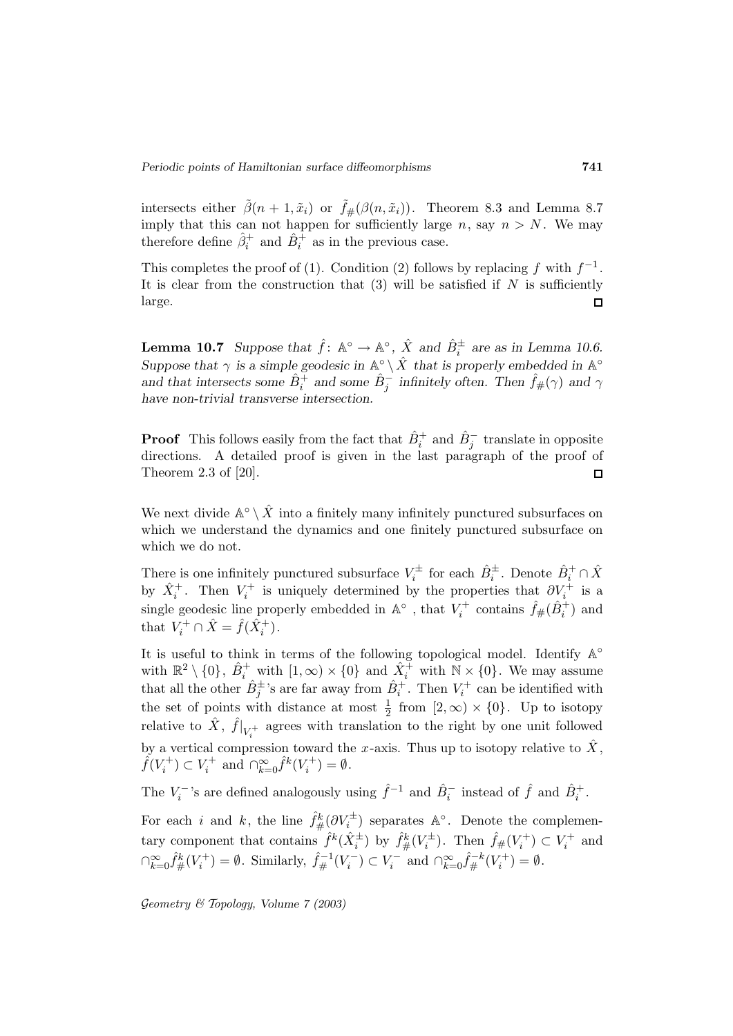intersects either  $\tilde{\beta}(n+1,\tilde{x}_i)$  or  $\tilde{f}$ # $(\beta(n,\tilde{x}_i))$ . Theorem 8.3 and Lemma 8.7 imply that this can not happen for sufficiently large  $n$ , say  $n>N$ . We may therefore define  $\hat{\beta}_i^+$  and  $\hat{B}_i^+$  as in the previous case.

This completes the proof of (1). Condition (2) follows by replacing f with  $f^{-1}$ . It is clear from the construction that  $(3)$  will be satisfied if N is sufficiently large.  $\Box$ 

**Lemma 10.7** *Suppose that*  $\hat{f}$ :  $\mathbb{A}^{\circ} \to \mathbb{A}^{\circ}$ ,  $\hat{X}$  *and*  $\hat{B}_{i}^{\pm}$  *are as in Lemma 10.6. Suppose that*  $\gamma$  *is a simple geodesic in*  $\mathbb{A}^{\circ} \setminus \hat{X}$  *that is properly embedded in*  $\mathbb{A}^{\circ}$ and that intersects some  $\hat{B}_i^{\pm}$  and some  $\hat{B}_j^{\pm}$  infinitely often. Then  $\hat{f}_{\#}(\gamma)$  and  $\gamma$ *have non-trivial transverse intersection.*

**Proof** This follows easily from the fact that  $\hat{B}_i^+$  and  $\hat{B}_j^-$  translate in opposite directions. A detailed proof is given in the last paragraph of the proof of Theorem 2.3 of [20].  $\Box$ 

We next divide  $\mathbb{A}^\circ \setminus \hat{X}$  into a finitely many infinitely punctured subsurfaces on which we understand the dynamics and one finitely punctured subsurface on which we do not.

There is one infinitely punctured subsurface  $V_i^{\pm}$  for each  $\hat{B}_i^{\pm}$ . Denote  $\hat{B}_i^{\pm} \cap \hat{X}$ by  $\hat{X}_i^+$ . Then  $V_i^+$  is uniquely determined by the properties that  $\partial V_i^+$  is a single geodesic line properly embedded in  $\mathbb{A}^\circ$  , that  $V_i^+$  contains  $\hat{f}_\#(\hat{B}_i^+)$  and that  $V_i^+ \cap \hat{X} = \hat{f}(\hat{X}_i^+)$ .

It is useful to think in terms of the following topological model. Identify  $\mathbb{A}^\circ$ with  $\mathbb{R}^2 \setminus \{0\}$ ,  $\hat{B}^+_i$  with  $[1,\infty) \times \{0\}$  and  $\hat{X}^+_i$  with  $\mathbb{N} \times \{0\}$ . We may assume that all the other  $\hat{B}^{\pm}_{j}$ 's are far away from  $\hat{B}^{+}_{i}$ . Then  $V^{+}_{i}$  can be identified with the set of points with distance at most  $\frac{1}{2}$  from  $[2,\infty) \times \{0\}$ . Up to isotopy relative to  $\hat{X}$ ,  $\hat{f}|_{V_i^+}$  agrees with translation to the right by one unit followed by a vertical compression toward the x-axis. Thus up to isotopy relative to  $\hat{X}$ ,  $\hat{f}(V_i^+) \subset V_i^+$  and  $\bigcap_{k=0}^{\infty} \hat{f}^k(V_i^+) = \emptyset$ .

The  $V_i^-$ 's are defined analogously using  $\hat{f}^{-1}$  and  $\hat{B}_i^-$  instead of  $\hat{f}$  and  $\hat{B}_i^+$ .

For each i and k, the line  $\hat{f}^k_{\#}(\partial V_i^{\pm})$  separates  $\mathbb{A}^{\circ}$ . Denote the complementary component that contains  $\hat{f}^k(\hat{X}_i^{\pm})$  by  $\hat{f}^k_{\#}(V_i^{\pm})$ . Then  $\hat{f}_{\#}(V_i^+) \subset V_i^+$  and  $\bigcap_{k=0}^{\infty} \hat{f}_{\#}^{k}(V_{i}^{+}) = \emptyset$ . Similarly,  $\hat{f}_{\#}^{-1}(V_{i}^{-}) \subset V_{i}^{-}$  and  $\bigcap_{k=0}^{\infty} \hat{f}_{\#}^{-k}(V_{i}^{+}) = \emptyset$ .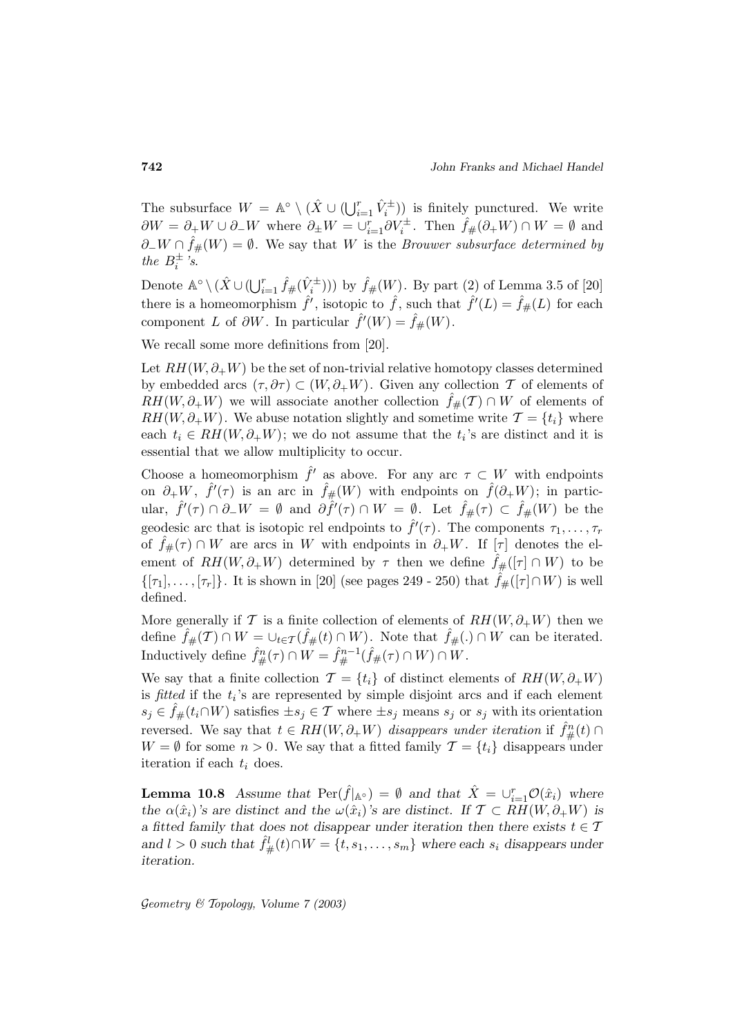The subsurface  $W = \mathbb{A}^{\circ} \setminus (\hat{X} \cup (\bigcup_{i=1}^{r} \hat{V}_i^{\pm}))$  is finitely punctured. We write  $\partial W = \partial_{+} W \cup \partial_{-} W$  where  $\partial_{\pm} W = \cup_{i=1}^{r} \partial V_i^{\pm}$ . Then  $\hat{f}_{\#}(\partial_{+} W) \cap W = \emptyset$  and  $\partial-W \cap \hat{f}_{\#}(W) = \emptyset$ . We say that W is the *Brouwer subsurface determined by* the  $B_i^{\pm}$  's.

Denote  $\mathbb{A}^{\circ} \setminus (\hat{X} \cup (\bigcup_{i=1}^{r} \hat{f}_{\#}(\hat{V}_{i}^{\pm})))$  by  $\hat{f}_{\#}(W)$ . By part (2) of Lemma 3.5 of [20] there is a homeomorphism  $\hat{f}'$ , isotopic to  $\hat{f}$ , such that  $\hat{f}'(L) = \hat{f}_{\#}(L)$  for each component L of  $\partial W$ . In particular  $\hat{f}'(W) = \hat{f}_{\#}(W)$ .

We recall some more definitions from [20].

Let  $RH(W, \partial_+W)$  be the set of non-trivial relative homotopy classes determined by embedded arcs  $(\tau, \partial \tau) \subset (W, \partial_+W)$ . Given any collection T of elements of  $RH(W,\partial_+W)$  we will associate another collection  $f_{\#}(T) \cap W$  of elements of  $RH(W,\partial_+W)$ . We abuse notation slightly and sometime write  $\mathcal{T} = \{t_i\}$  where each  $t_i \in RH(W,\partial_+W)$ ; we do not assume that the  $t_i$ 's are distinct and it is essential that we allow multiplicity to occur.

Choose a homeomorphism  $\hat{f}'$  as above. For any arc  $\tau \subset W$  with endpoints on  $\partial_+W$ ,  $\hat{f}'(\tau)$  is an arc in  $\hat{f}_{\#}(W)$  with endpoints on  $\hat{f}(\partial_+W)$ ; in particular,  $\hat{f}'(\tau) \cap \partial_-W = \emptyset$  and  $\partial \hat{f}'(\tau) \cap W = \emptyset$ . Let  $\hat{f}_{\#}(\tau) \subset \hat{f}_{\#}(W)$  be the geodesic arc that is isotopic rel endpoints to  $\hat{f}'(\tau)$ . The components  $\tau_1, \ldots, \tau_r$ of  $\hat{f}_{#}(\tau) \cap W$  are arcs in W with endpoints in  $\partial_{+}W$ . If  $[\tau]$  denotes the element of  $RH(W,\partial_+W)$  determined by  $\tau$  then we define  $\hat{f}_\#([\tau] \cap W)$  to be  $\{[\tau_1], \ldots, [\tau_r]\}.$  It is shown in [20] (see pages 249 - 250) that  $\hat{f}_\#([\tau] \cap W)$  is well defined.

More generally if T is a finite collection of elements of  $RH(W,\partial_+W)$  then we define  $\hat{f}_{\#}(\mathcal{T}) \cap W = \cup_{t \in \mathcal{T}} (\hat{f}_{\#}(t) \cap W)$ . Note that  $\hat{f}_{\#}(.) \cap W$  can be iterated. Inductively define  $\hat{f}^n_{\#}(\tau) \cap W = \hat{f}^{n-1}_{\#}(\hat{f}_{\#}(\tau) \cap W) \cap W$ .

We say that a finite collection  $\mathcal{T} = \{t_i\}$  of distinct elements of  $RH(W, \partial_+W)$ is fitted if the  $t_i$ 's are represented by simple disjoint arcs and if each element  $s_j \in \hat{f}_{\#}(t_i \cap W)$  satisfies  $\pm s_j \in \mathcal{T}$  where  $\pm s_j$  means  $s_j$  or  $s_j$  with its orientation reversed. We say that  $t \in RH(W, \partial_+W)$  disappears under iteration if  $\hat{f}^n_{\#}(t) \cap$  $W = \emptyset$  for some  $n > 0$ . We say that a fitted family  $\mathcal{T} = \{t_i\}$  disappears under iteration if each  $t_i$  does.

**Lemma 10.8** *Assume that*  $\text{Per}(\hat{f}|_{\mathbb{A}^{\circ}}) = \emptyset$  *and that*  $\hat{X} = \bigcup_{i=1}^{r} \mathcal{O}(\hat{x}_i)$  *where the*  $\alpha(\hat{x}_i)$ *'s* are distinct and the  $\omega(\hat{x}_i)$ *'s* are distinct. If  $\mathcal{T} \subset RH(W, \partial_+W)$  is *a* fitted family that does not disappear under iteration then there exists  $t \in \mathcal{T}$ and  $l > 0$  such that  $\hat{f}^l_{\#}(t) \cap W = \{t, s_1, \ldots, s_m\}$  where each  $s_i$  disappears under *iteration.*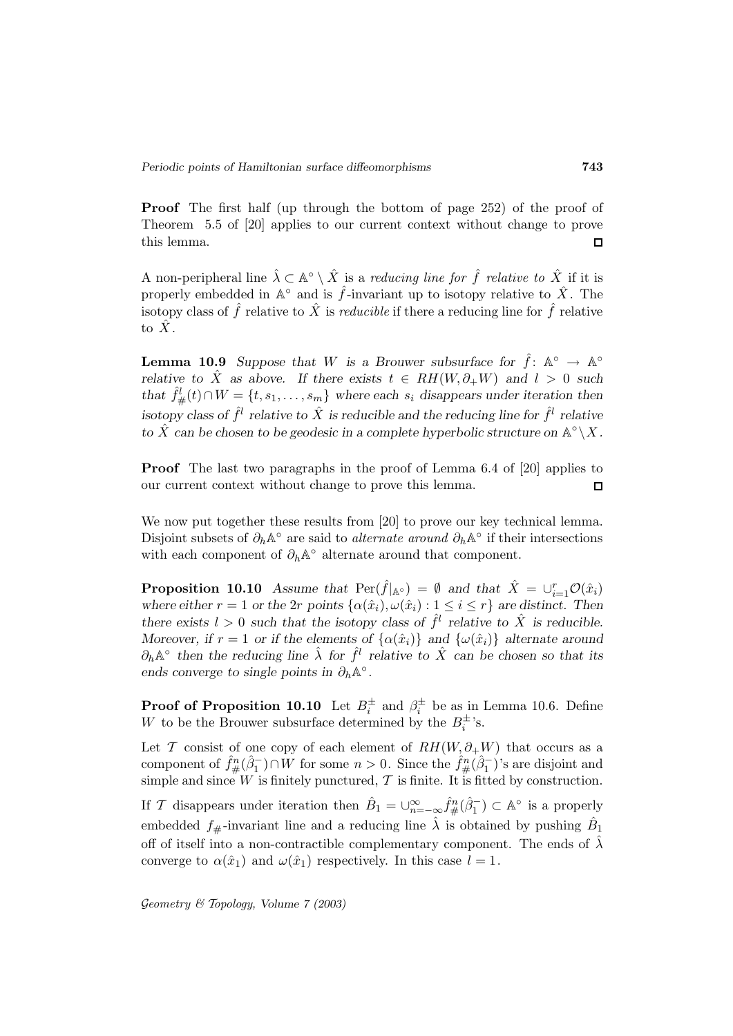**Proof** The first half (up through the bottom of page 252) of the proof of Theorem 5.5 of [20] applies to our current context without change to prove this lemma.  $\Box$ 

A non-peripheral line  $\hat{\lambda} \subset \mathbb{A}^{\circ} \setminus \hat{X}$  is a reducing line for  $\hat{f}$  relative to  $\hat{X}$  if it is properly embedded in  $\mathbb{A}^{\circ}$  and is  $\hat{f}$ -invariant up to isotopy relative to  $\hat{X}$ . The isotopy class of  $\hat{f}$  relative to  $\hat{X}$  is *reducible* if there a reducing line for  $\hat{f}$  relative to  $\hat{X}$ .

**Lemma 10.9** *Suppose that* W *is a Brouwer subsurface for*  $\hat{f}$ : A<sup>°</sup>  $\rightarrow$  A<sup>°</sup> *relative to*  $\hat{X}$  *as above.* If there exists  $t \in RH(W, \partial_+W)$  and  $l > 0$  such that  $\hat{f}^l_{\#}(t) \cap W = \{t, s_1, \ldots, s_m\}$  where each  $s_i$  disappears under iteration then *isotopy class of*  $\hat{f}^l$  *relative to*  $\hat{X}$  *is reducible and the reducing line for*  $\hat{f}^l$  *relative to*  $\hat{X}$  *can be chosen to be geodesic in a complete hyperbolic structure on*  $\mathbb{A}^\circ \backslash X$ *.* 

**Proof** The last two paragraphs in the proof of Lemma 6.4 of [20] applies to our current context without change to prove this lemma.  $\Box$ 

We now put together these results from [20] to prove our key technical lemma. Disjoint subsets of  $\partial_h \mathbb{A}^\circ$  are said to *alternate around*  $\partial_h \mathbb{A}^\circ$  if their intersections with each component of  $\partial_h \mathbb{A}^\circ$  alternate around that component.

**Proposition 10.10** *Assume that*  $\text{Per}(\hat{f}|_{\mathbb{A}^\circ}) = \emptyset$  *and that*  $\hat{X} = \bigcup_{i=1}^r \mathcal{O}(\hat{x}_i)$ *where either*  $r = 1$  *or the* 2r *points*  $\{\alpha(\hat{x}_i), \omega(\hat{x}_i) : 1 \leq i \leq r\}$  *are distinct. Then there exists*  $l > 0$  *such that the isotopy class of*  $\hat{f}^l$  *relative to*  $\hat{X}$  *is reducible. Moreover, if*  $r = 1$  *or if the elements of*  $\{\alpha(\hat{x}_i)\}$  *and*  $\{\omega(\hat{x}_i)\}$  *alternate around*  $\partial_h \mathbb{A}^\circ$  then the reducing line  $\hat{\lambda}$  for  $\hat{f}^l$  relative to  $\hat{X}$  can be chosen so that its *ends converge to single points in*  $\partial_h \mathbb{A}^\circ$ .

**Proof of Proposition 10.10** Let  $B_i^{\pm}$  and  $\beta_i^{\pm}$  be as in Lemma 10.6. Define W to be the Brouwer subsurface determined by the  $B_i^{\pm}$ 's.

Let T consist of one copy of each element of  $RH(W,\partial_+W)$  that occurs as a component of  $\hat{f}^n_{\#}(\hat{\beta}_1^-) \cap W$  for some  $n > 0$ . Since the  $\hat{f}^n_{\#}(\hat{\beta}_1^-)$ 's are disjoint and simple and since  $W$  is finitely punctured,  $T$  is finite. It is fitted by construction.

If T disappears under iteration then  $\hat{B}_1 = \bigcup_{n=-\infty}^{\infty} \hat{f}_{\#}^n(\hat{\beta}_1^-) \subset \mathbb{A}^{\circ}$  is a properly embedded  $f_{\#}$ -invariant line and a reducing line  $\hat{\lambda}$  is obtained by pushing  $\hat{B}_1$ off of itself into a non-contractible complementary component. The ends of  $\lambda$ converge to  $\alpha(\hat{x}_1)$  and  $\omega(\hat{x}_1)$  respectively. In this case  $l = 1$ .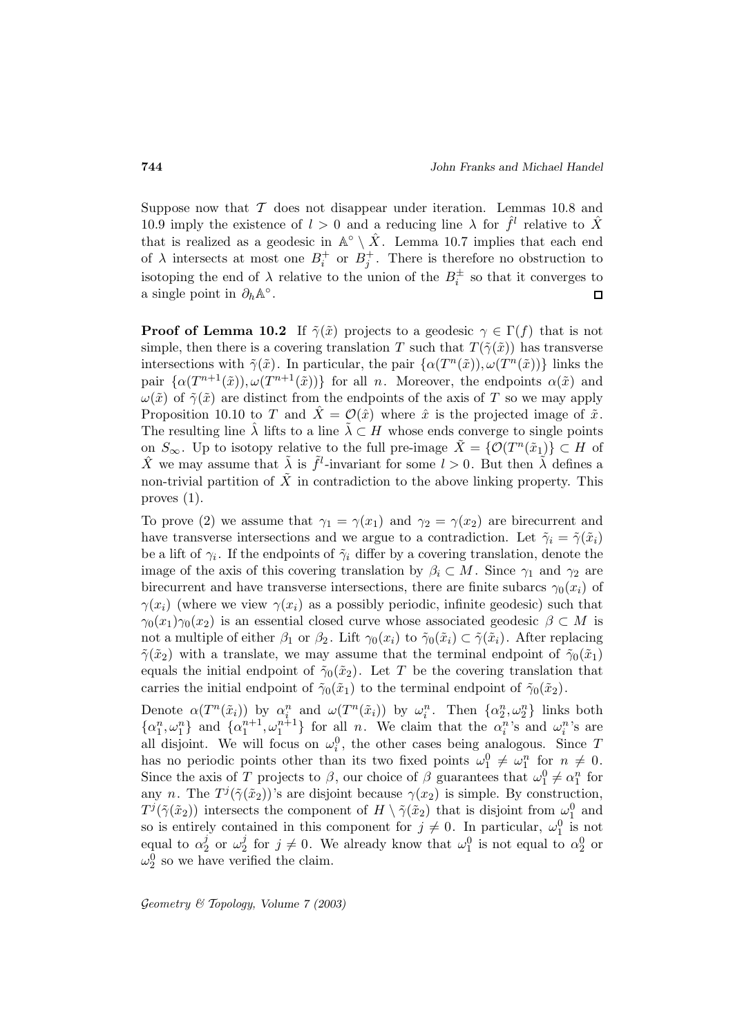Suppose now that  $T$  does not disappear under iteration. Lemmas 10.8 and 10.9 imply the existence of  $l > 0$  and a reducing line  $\lambda$  for  $\hat{f}^l$  relative to  $\hat{X}$ that is realized as a geodesic in  $\mathbb{A}^\circ \setminus \hat{X}$ . Lemma 10.7 implies that each end of  $\lambda$  intersects at most one  $B_i^+$  or  $B_j^+$ . There is therefore no obstruction to isotoping the end of  $\lambda$  relative to the union of the  $B_i^{\pm}$  so that it converges to a single point in  $\partial_h \mathbb{A}^\circ$ .  $\Box$ 

**Proof of Lemma 10.2** If  $\tilde{\gamma}(\tilde{x})$  projects to a geodesic  $\gamma \in \Gamma(f)$  that is not simple, then there is a covering translation T such that  $T(\tilde{\gamma}(\tilde{x}))$  has transverse intersections with  $\tilde{\gamma}(\tilde{x})$ . In particular, the pair  $\{\alpha(T^n(\tilde{x})), \omega(T^n(\tilde{x}))\}$  links the pair  $\{\alpha(T^{n+1}(\tilde{x})), \omega(T^{n+1}(\tilde{x}))\}$  for all n. Moreover, the endpoints  $\alpha(\tilde{x})$  and  $\omega(\tilde{x})$  of  $\tilde{\gamma}(\tilde{x})$  are distinct from the endpoints of the axis of T so we may apply Proposition 10.10 to T and  $X = \mathcal{O}(\hat{x})$  where  $\hat{x}$  is the projected image of  $\tilde{x}$ . The resulting line  $\lambda$  lifts to a line  $\lambda \subset H$  whose ends converge to single points on  $S_{\infty}$ . Up to isotopy relative to the full pre-image  $\tilde{X} = \{ \mathcal{O}(T^n(\tilde{x}_1)) \subset H$  of  $\hat{X}$  we may assume that  $\tilde{\lambda}$  is  $\tilde{f}^l$ -invariant for some  $l > 0$ . But then  $\tilde{\lambda}$  defines a non-trivial partition of  $\tilde{X}$  in contradiction to the above linking property. This proves (1).

To prove (2) we assume that  $\gamma_1 = \gamma(x_1)$  and  $\gamma_2 = \gamma(x_2)$  are birecurrent and have transverse intersections and we argue to a contradiction. Let  $\tilde{\gamma}_i = \tilde{\gamma}(\tilde{x}_i)$ be a lift of  $\gamma_i$ . If the endpoints of  $\tilde{\gamma}_i$  differ by a covering translation, denote the image of the axis of this covering translation by  $\beta_i \subset M$ . Since  $\gamma_1$  and  $\gamma_2$  are birecurrent and have transverse intersections, there are finite subarcs  $\gamma_0(x_i)$  of  $\gamma(x_i)$  (where we view  $\gamma(x_i)$  as a possibly periodic, infinite geodesic) such that  $\gamma_0(x_1)\gamma_0(x_2)$  is an essential closed curve whose associated geodesic  $\beta \subset M$  is not a multiple of either  $\beta_1$  or  $\beta_2$ . Lift  $\gamma_0(x_i)$  to  $\tilde{\gamma}_0(\tilde{x}_i) \subset \tilde{\gamma}(\tilde{x}_i)$ . After replacing  $\tilde{\gamma}(\tilde{x}_2)$  with a translate, we may assume that the terminal endpoint of  $\tilde{\gamma}_0(\tilde{x}_1)$ equals the initial endpoint of  $\tilde{\gamma}_0(\tilde{x}_2)$ . Let T be the covering translation that carries the initial endpoint of  $\tilde{\gamma}_0(\tilde{x}_1)$  to the terminal endpoint of  $\tilde{\gamma}_0(\tilde{x}_2)$ .

Denote  $\alpha(T^n(\tilde{x}_i))$  by  $\alpha_i^n$  and  $\omega(T^n(\tilde{x}_i))$  by  $\omega_i^n$ . Then  $\{\alpha_2^n,\omega_2^n\}$  links both  $\{\alpha_1^n,\omega_1^n\}$  and  $\{\alpha_1^{n+1},\omega_1^{n+1}\}$  for all n. We claim that the  $\alpha_i^n$ 's and  $\omega_i^n$ 's are all disjoint. We will focus on  $\omega_i^0$ , the other cases being analogous. Since T has no periodic points other than its two fixed points  $\omega_1^0 \neq \omega_1^n$  for  $n \neq 0$ . Since the axis of T projects to  $\beta$ , our choice of  $\beta$  guarantees that  $\omega_1^0 \neq \alpha_1^n$  for any n. The  $T^{j}(\tilde{\gamma}(\tilde{x}_2))$ 's are disjoint because  $\gamma(x_2)$  is simple. By construction,  $T^j(\tilde{\gamma}(\tilde{x}_2))$  intersects the component of  $H \setminus \tilde{\gamma}(\tilde{x}_2)$  that is disjoint from  $\omega_1^0$  and so is entirely contained in this component for  $j \neq 0$ . In particular,  $\omega_1^0$  is not equal to  $\alpha_2^j$  or  $\omega_2^j$  for  $j \neq 0$ . We already know that  $\omega_1^0$  is not equal to  $\alpha_2^0$  or  $\omega_2^0$  so we have verified the claim.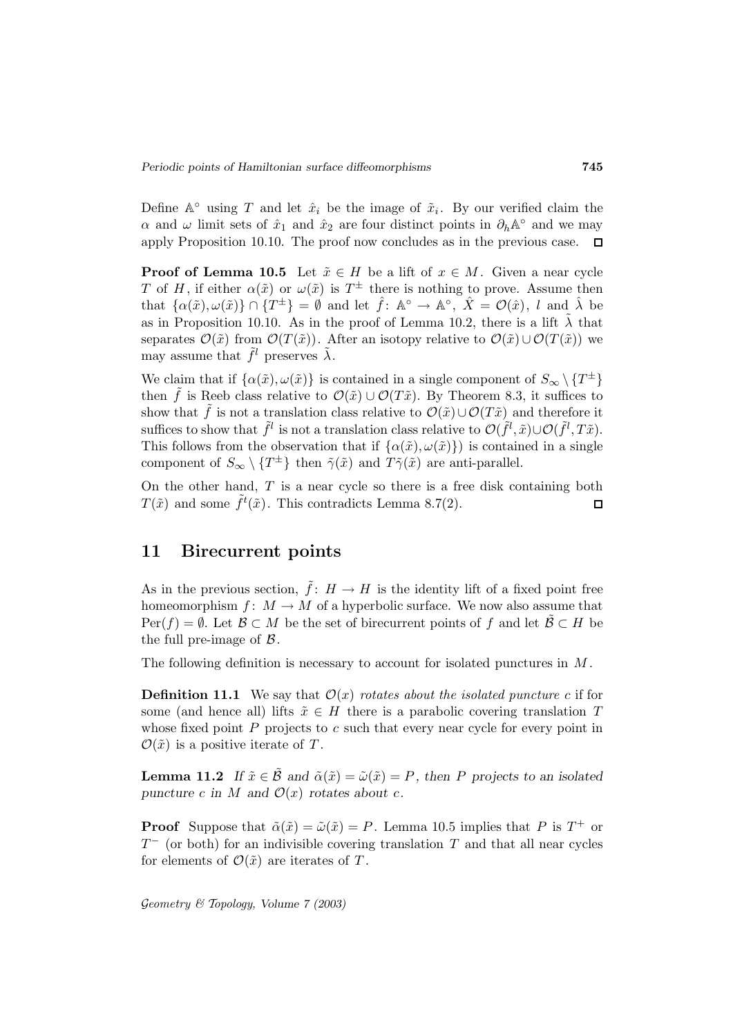Define  $\mathbb{A}^\circ$  using T and let  $\hat{x}_i$  be the image of  $\tilde{x}_i$ . By our verified claim the  $\alpha$  and  $\omega$  limit sets of  $\hat{x}_1$  and  $\hat{x}_2$  are four distinct points in  $\partial_h \mathbb{A}^\circ$  and we may apply Proposition 10.10. The proof now concludes as in the previous case.  $\Box$ 

**Proof of Lemma 10.5** Let  $\tilde{x} \in H$  be a lift of  $x \in M$ . Given a near cycle T of H, if either  $\alpha(\tilde{x})$  or  $\omega(\tilde{x})$  is  $T^{\pm}$  there is nothing to prove. Assume then that  $\{\alpha(\tilde{x}), \omega(\tilde{x})\}\cap \{T^{\pm}\} = \emptyset$  and let  $\hat{f}$ :  $\mathbb{A}^{\circ} \to \mathbb{A}^{\circ}$ ,  $\hat{X} = \mathcal{O}(\hat{x})$ , l and  $\hat{\lambda}$  be as in Proposition 10.10. As in the proof of Lemma 10.2, there is a lift  $\tilde{\lambda}$  that separates  $\mathcal{O}(\tilde{x})$  from  $\mathcal{O}(T(\tilde{x}))$ . After an isotopy relative to  $\mathcal{O}(\tilde{x})\cup\mathcal{O}(T(\tilde{x}))$  we may assume that  $\tilde{f}^l$  preserves  $\tilde{\lambda}$ .

We claim that if  $\{\alpha(\tilde{x}), \omega(\tilde{x})\}$  is contained in a single component of  $S_{\infty} \setminus \{T^{\pm}\}\$ then  $\tilde{f}$  is Reeb class relative to  $\mathcal{O}(\tilde{x}) \cup \mathcal{O}(T\tilde{x})$ . By Theorem 8.3, it suffices to show that  $\tilde{f}$  is not a translation class relative to  $\mathcal{O}(\tilde{x})\cup\mathcal{O}(T\tilde{x})$  and therefore it suffices to show that  $\tilde{f}^l$  is not a translation class relative to  $\mathcal{O}(\tilde{f}^l, \tilde{x})\cup\mathcal{O}(\tilde{f}^l, T\tilde{x})$ . This follows from the observation that if  $\{\alpha(\tilde{x}), \omega(\tilde{x})\}$  is contained in a single component of  $S_{\infty} \setminus \{T^{\pm}\}\$  then  $\tilde{\gamma}(\tilde{x})$  and  $T\tilde{\gamma}(\tilde{x})$  are anti-parallel.

On the other hand,  $T$  is a near cycle so there is a free disk containing both  $T(\tilde{x})$  and some  $\tilde{f}^t(\tilde{x})$ . This contradicts Lemma 8.7(2).  $\Box$ 

## **11 Birecurrent points**

As in the previous section,  $\tilde{f}: H \to H$  is the identity lift of a fixed point free homeomorphism  $f: M \to M$  of a hyperbolic surface. We now also assume that  $Per(f) = \emptyset$ . Let  $\mathcal{B} \subset M$  be the set of birecurrent points of f and let  $\mathcal{B} \subset H$  be the full pre-image of  $\beta$ .

The following definition is necessary to account for isolated punctures in M .

**Definition 11.1** We say that  $\mathcal{O}(x)$  *rotates about the isolated puncture c* if for some (and hence all) lifts  $\tilde{x} \in H$  there is a parabolic covering translation T whose fixed point  $P$  projects to  $c$  such that every near cycle for every point in  $\mathcal{O}(\tilde{x})$  is a positive iterate of T.

**Lemma 11.2** *If*  $\tilde{x} \in \tilde{\mathcal{B}}$  *and*  $\tilde{\alpha}(\tilde{x}) = \tilde{\omega}(\tilde{x}) = P$ *, then P projects to an isolated puncture* c in M and  $\mathcal{O}(x)$  rotates about c.

**Proof** Suppose that  $\tilde{\alpha}(\tilde{x}) = \tilde{\omega}(\tilde{x}) = P$ . Lemma 10.5 implies that P is  $T^+$  or  $T<sup>-</sup>$  (or both) for an indivisible covering translation T and that all near cycles for elements of  $\mathcal{O}(\tilde{x})$  are iterates of T.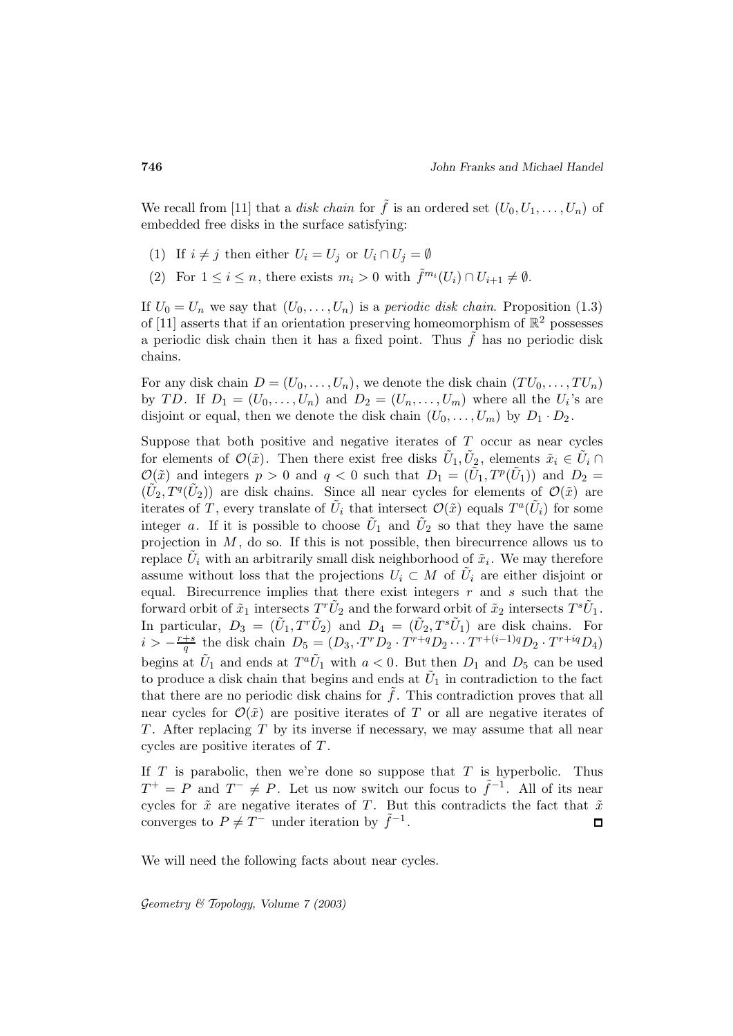We recall from [11] that a disk chain for  $\tilde{f}$  is an ordered set  $(U_0, U_1, \ldots, U_n)$  of embedded free disks in the surface satisfying:

- (1) If  $i \neq j$  then either  $U_i = U_j$  or  $U_i \cap U_j = \emptyset$
- (2) For  $1 \leq i \leq n$ , there exists  $m_i > 0$  with  $\tilde{f}^{m_i}(U_i) \cap U_{i+1} \neq \emptyset$ .

If  $U_0 = U_n$  we say that  $(U_0, \ldots, U_n)$  is a *periodic disk chain*. Proposition (1.3) of [11] asserts that if an orientation preserving homeomorphism of  $\mathbb{R}^2$  possesses a periodic disk chain then it has a fixed point. Thus  $\tilde{f}$  has no periodic disk chains.

For any disk chain  $D = (U_0, \ldots, U_n)$ , we denote the disk chain  $(TU_0, \ldots, TU_n)$ by TD. If  $D_1 = (U_0, \ldots, U_n)$  and  $D_2 = (U_n, \ldots, U_m)$  where all the  $U_i$ 's are disjoint or equal, then we denote the disk chain  $(U_0, \ldots, U_m)$  by  $D_1 \cdot D_2$ .

Suppose that both positive and negative iterates of  $T$  occur as near cycles for elements of  $\mathcal{O}(\tilde{x})$ . Then there exist free disks  $U_1, U_2$ , elements  $\tilde{x}_i \in U_i \cap$  $\mathcal{O}(\tilde{x})$  and integers  $p > 0$  and  $q < 0$  such that  $D_1 = (\tilde{U}_1, T^p(\tilde{U}_1))$  and  $D_2 =$  $(\tilde{U}_2, T^q(\tilde{U}_2))$  are disk chains. Since all near cycles for elements of  $\mathcal{O}(\tilde{x})$  are iterates of T, every translate of  $\tilde{U}_i$  that intersect  $\mathcal{O}(\tilde{x})$  equals  $T^a(\tilde{U}_i)$  for some integer a. If it is possible to choose  $\tilde{U}_1$  and  $\tilde{U}_2$  so that they have the same projection in  $M$ , do so. If this is not possible, then birecurrence allows us to replace  $\tilde{U}_i$  with an arbitrarily small disk neighborhood of  $\tilde{x}_i$ . We may therefore assume without loss that the projections  $U_i \subset M$  of  $\tilde{U}_i$  are either disjoint or equal. Birecurrence implies that there exist integers  $r$  and  $s$  such that the forward orbit of  $\tilde{x}_1$  intersects  $T^r\tilde{U}_2$  and the forward orbit of  $\tilde{x}_2$  intersects  $T^s\tilde{U}_1$ . In particular,  $D_3 = (\tilde{U}_1, T^r \tilde{U}_2)$  and  $D_4 = (\tilde{U}_2, T^s \tilde{U}_1)$  are disk chains. For  $i > -\frac{r+s}{q}$  the disk chain  $D_5 = (D_3, T^r D_2 \cdot T^{r+q} D_2 \cdots T^{r+(i-1)q} D_2 \cdot T^{r+iq} D_4)$ begins at  $\tilde{U}_1$  and ends at  $T^a \tilde{U}_1$  with  $a < 0$ . But then  $D_1$  and  $D_5$  can be used to produce a disk chain that begins and ends at  $U_1$  in contradiction to the fact that there are no periodic disk chains for  $\tilde{f}$ . This contradiction proves that all near cycles for  $\mathcal{O}(\tilde{x})$  are positive iterates of T or all are negative iterates of T. After replacing  $T$  by its inverse if necessary, we may assume that all near cycles are positive iterates of T .

If  $T$  is parabolic, then we're done so suppose that  $T$  is hyperbolic. Thus  $T^+ = P$  and  $T^- \neq P$ . Let us now switch our focus to  $\tilde{f}^{-1}$ . All of its near cycles for  $\tilde{x}$  are negative iterates of T. But this contradicts the fact that  $\tilde{x}$ converges to  $P \neq T^-$  under iteration by  $f^{-1}$ .  $\Box$ 

We will need the following facts about near cycles.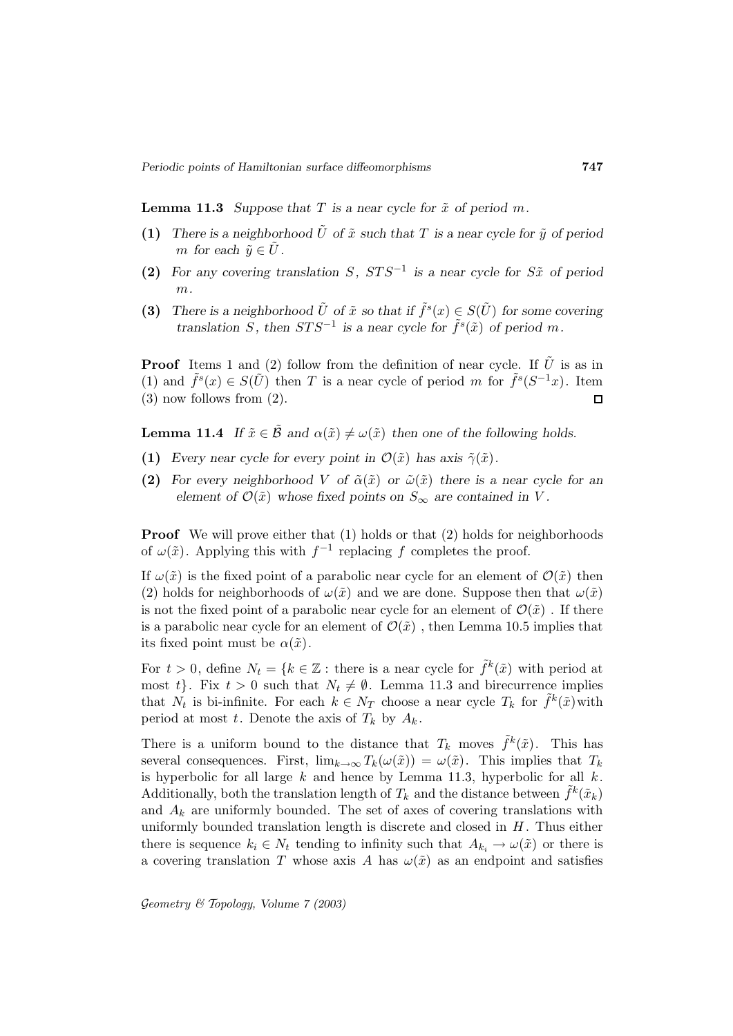**Lemma 11.3** *Suppose that*  $T$  *is a near cycle for*  $\tilde{x}$  *of period*  $m$ *.* 

- **(1)** There is a neighborhood  $\tilde{U}$  of  $\tilde{x}$  such that T is a near cycle for  $\tilde{y}$  of period *m* for each  $\tilde{y} \in U$ .
- **(2)** For any covering translation S,  $STS^{-1}$  is a near cycle for S $\tilde{x}$  of period m*.*
- **(3)** *There is a neighborhood*  $\tilde{U}$  *of*  $\tilde{x}$  *so that if*  $\tilde{f}^s(x) \in S(\tilde{U})$  *for some covering translation* S, then  $STS^{-1}$  *is a near cycle for*  $\tilde{f}^s(\tilde{x})$  *of period* m.

**Proof** Items 1 and (2) follow from the definition of near cycle. If  $\tilde{U}$  is as in (1) and  $\tilde{f}^s(x) \in S(\tilde{U})$  then T is a near cycle of period m for  $\tilde{f}^s(S^{-1}x)$ . Item (3) now follows from (2).  $\Box$ 

**Lemma 11.4** *If*  $\tilde{x} \in \tilde{\mathcal{B}}$  *and*  $\alpha(\tilde{x}) \neq \omega(\tilde{x})$  *then one of the following holds.* 

- **(1)** *Every near cycle for every point in*  $\mathcal{O}(\tilde{x})$  *has axis*  $\tilde{\gamma}(\tilde{x})$ *.*
- **(2)** For every neighborhood V of  $\tilde{\alpha}(\tilde{x})$  or  $\tilde{\omega}(\tilde{x})$  there is a near cycle for an *element of*  $\mathcal{O}(\tilde{x})$  *whose fixed points on*  $S_{\infty}$  *are contained in* V.

**Proof** We will prove either that (1) holds or that (2) holds for neighborhoods of  $\omega(\tilde{x})$ . Applying this with  $f^{-1}$  replacing f completes the proof.

If  $\omega(\tilde{x})$  is the fixed point of a parabolic near cycle for an element of  $\mathcal{O}(\tilde{x})$  then (2) holds for neighborhoods of  $\omega(\tilde{x})$  and we are done. Suppose then that  $\omega(\tilde{x})$ is not the fixed point of a parabolic near cycle for an element of  $\mathcal{O}(\tilde{x})$ . If there is a parabolic near cycle for an element of  $\mathcal{O}(\tilde{x})$ , then Lemma 10.5 implies that its fixed point must be  $\alpha(\tilde{x})$ .

For  $t > 0$ , define  $N_t = \{k \in \mathbb{Z} : \text{there is a near cycle for } \tilde{f}^k(\tilde{x}) \text{ with period at } \tilde{f}^k(\tilde{x})\}$ most t}. Fix  $t > 0$  such that  $N_t \neq \emptyset$ . Lemma 11.3 and birecurrence implies that  $N_t$  is bi-infinite. For each  $k \in N_T$  choose a near cycle  $T_k$  for  $f^k(\tilde{x})$  with period at most t. Denote the axis of  $T_k$  by  $A_k$ .

There is a uniform bound to the distance that  $T_k$  moves  $\tilde{f}^k(\tilde{x})$ . This has several consequences. First,  $\lim_{k\to\infty} T_k(\omega(\tilde{x})) = \omega(\tilde{x})$ . This implies that  $T_k$ is hyperbolic for all large  $k$  and hence by Lemma 11.3, hyperbolic for all  $k$ . Additionally, both the translation length of  $T_k$  and the distance between  $\tilde{f}^k(\tilde{x}_k)$ and  $A_k$  are uniformly bounded. The set of axes of covering translations with uniformly bounded translation length is discrete and closed in  $H$ . Thus either there is sequence  $k_i \in N_t$  tending to infinity such that  $A_{k_i} \to \omega(\tilde{x})$  or there is a covering translation T whose axis A has  $\omega(\tilde{x})$  as an endpoint and satisfies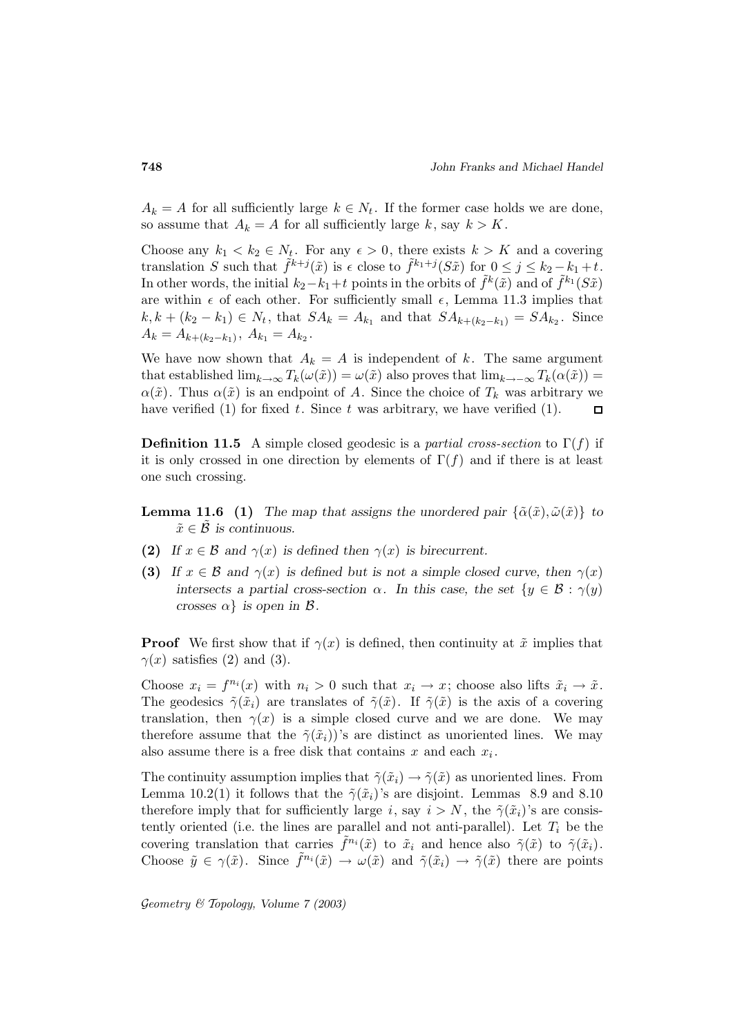$A_k = A$  for all sufficiently large  $k \in N_t$ . If the former case holds we are done, so assume that  $A_k = A$  for all sufficiently large k, say  $k > K$ .

Choose any  $k_1 < k_2 \in N_t$ . For any  $\epsilon > 0$ , there exists  $k > K$  and a covering translation S such that  $\tilde{f}^{k+j}(\tilde{x})$  is  $\epsilon$  close to  $\tilde{f}^{k_1+j}(S\tilde{x})$  for  $0 \leq j \leq k_2 - k_1 + t$ . In other words, the initial  $k_2-k_1+t$  points in the orbits of  $\tilde{f}^k(\tilde{x})$  and of  $\tilde{f}^{k_1}(S\tilde{x})$ are within  $\epsilon$  of each other. For sufficiently small  $\epsilon$ , Lemma 11.3 implies that  $k, k + (k_2 - k_1) \in N_t$ , that  $SA_k = A_{k_1}$  and that  $SA_{k+(k_2-k_1)} = SA_{k_2}$ . Since  $A_k = A_{k+(k_2-k_1)}, A_{k_1} = A_{k_2}.$ 

We have now shown that  $A_k = A$  is independent of k. The same argument that established  $\lim_{k\to\infty} T_k(\omega(\tilde{x})) = \omega(\tilde{x})$  also proves that  $\lim_{k\to\infty} T_k(\alpha(\tilde{x})) =$  $\alpha(\tilde{x})$ . Thus  $\alpha(\tilde{x})$  is an endpoint of A. Since the choice of  $T_k$  was arbitrary we have verified (1) for fixed  $t$ . Since  $t$  was arbitrary, we have verified (1).  $\Box$ 

**Definition 11.5** A simple closed geodesic is a *partial cross-section* to  $\Gamma(f)$  if it is only crossed in one direction by elements of  $\Gamma(f)$  and if there is at least one such crossing.

- **Lemma 11.6** (1) *The map that assigns the unordered pair*  $\{\tilde{\alpha}(\tilde{x}), \tilde{\omega}(\tilde{x})\}$  *to*  $\tilde{x} \in \mathcal{B}$  is continuous.
- **(2)** If  $x \in \mathcal{B}$  and  $\gamma(x)$  is defined then  $\gamma(x)$  is birecurrent.
- **(3)** *If*  $x \in \mathcal{B}$  and  $\gamma(x)$  *is defined but is not a simple closed curve, then*  $\gamma(x)$ *intersects a partial cross-section*  $\alpha$ *. In this case, the set*  $\{y \in \mathcal{B} : \gamma(y)\}$ *crosses*  $\alpha$ } *is open in*  $\beta$ *.*

**Proof** We first show that if  $\gamma(x)$  is defined, then continuity at  $\tilde{x}$  implies that  $\gamma(x)$  satisfies (2) and (3).

Choose  $x_i = f^{n_i}(x)$  with  $n_i > 0$  such that  $x_i \to x$ ; choose also lifts  $\tilde{x}_i \to \tilde{x}$ . The geodesics  $\tilde{\gamma}(\tilde{x}_i)$  are translates of  $\tilde{\gamma}(\tilde{x})$ . If  $\tilde{\gamma}(\tilde{x})$  is the axis of a covering translation, then  $\gamma(x)$  is a simple closed curve and we are done. We may therefore assume that the  $\tilde{\gamma}(\tilde{x}_i)$ 's are distinct as unoriented lines. We may also assume there is a free disk that contains x and each  $x_i$ .

The continuity assumption implies that  $\tilde{\gamma}(\tilde{x}_i) \rightarrow \tilde{\gamma}(\tilde{x})$  as unoriented lines. From Lemma 10.2(1) it follows that the  $\tilde{\gamma}(\tilde{x}_i)$ 's are disjoint. Lemmas 8.9 and 8.10 therefore imply that for sufficiently large i, say  $i>N$ , the  $\tilde{\gamma}(\tilde{x}_i)$ 's are consistently oriented (i.e. the lines are parallel and not anti-parallel). Let  $T_i$  be the covering translation that carries  $\tilde{f}^{n_i}(\tilde{x})$  to  $\tilde{x}_i$  and hence also  $\tilde{\gamma}(\tilde{x})$  to  $\tilde{\gamma}(\tilde{x}_i)$ . Choose  $\tilde{y} \in \gamma(\tilde{x})$ . Since  $f^{n_i}(\tilde{x}) \to \omega(\tilde{x})$  and  $\tilde{\gamma}(\tilde{x}_i) \to \tilde{\gamma}(\tilde{x})$  there are points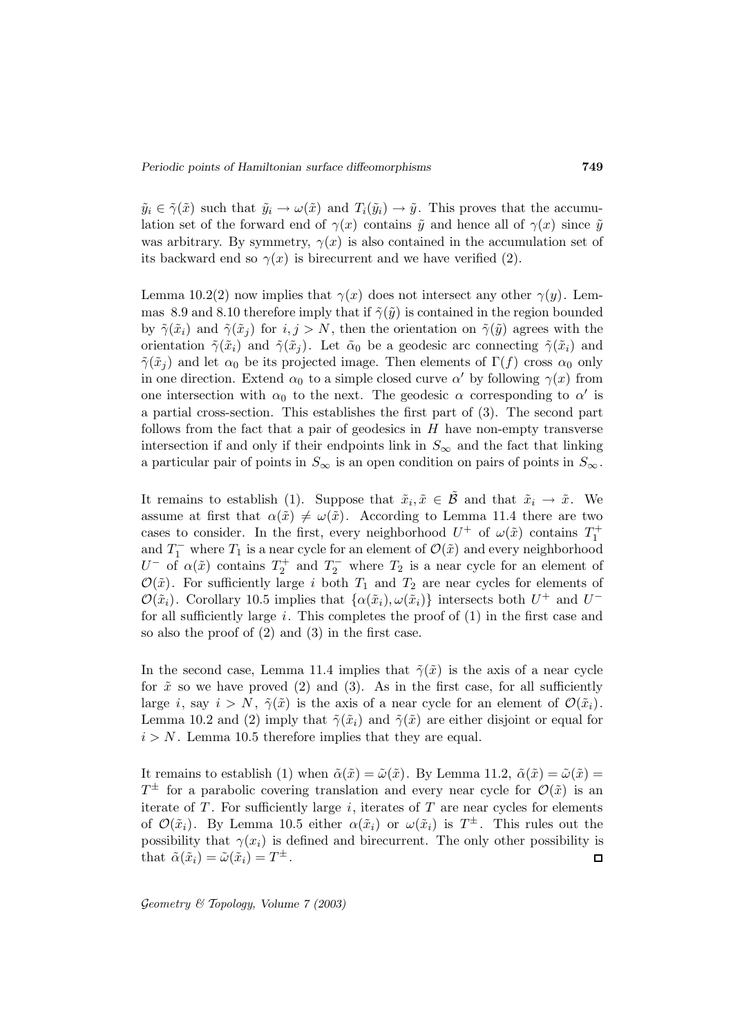$\tilde{y}_i \in \tilde{\gamma}(\tilde{x})$  such that  $\tilde{y}_i \to \omega(\tilde{x})$  and  $T_i(\tilde{y}_i) \to \tilde{y}$ . This proves that the accumulation set of the forward end of  $\gamma(x)$  contains  $\tilde{y}$  and hence all of  $\gamma(x)$  since  $\tilde{y}$ was arbitrary. By symmetry,  $\gamma(x)$  is also contained in the accumulation set of its backward end so  $\gamma(x)$  is birecurrent and we have verified (2).

Lemma 10.2(2) now implies that  $\gamma(x)$  does not intersect any other  $\gamma(y)$ . Lemmas 8.9 and 8.10 therefore imply that if  $\tilde{\gamma}(\tilde{y})$  is contained in the region bounded by  $\tilde{\gamma}(\tilde{x}_i)$  and  $\tilde{\gamma}(\tilde{x}_j)$  for  $i, j > N$ , then the orientation on  $\tilde{\gamma}(\tilde{y})$  agrees with the orientation  $\tilde{\gamma}(\tilde{x}_i)$  and  $\tilde{\gamma}(\tilde{x}_j)$ . Let  $\tilde{\alpha}_0$  be a geodesic arc connecting  $\tilde{\gamma}(\tilde{x}_i)$  and  $\tilde{\gamma}(\tilde{x}_j)$  and let  $\alpha_0$  be its projected image. Then elements of  $\Gamma(f)$  cross  $\alpha_0$  only in one direction. Extend  $\alpha_0$  to a simple closed curve  $\alpha'$  by following  $\gamma(x)$  from one intersection with  $\alpha_0$  to the next. The geodesic  $\alpha$  corresponding to  $\alpha'$  is a partial cross-section. This establishes the first part of (3). The second part follows from the fact that a pair of geodesics in  $H$  have non-empty transverse intersection if and only if their endpoints link in  $S_{\infty}$  and the fact that linking a particular pair of points in  $S_{\infty}$  is an open condition on pairs of points in  $S_{\infty}$ .

It remains to establish (1). Suppose that  $\tilde{x}_i, \tilde{x} \in \tilde{\mathcal{B}}$  and that  $\tilde{x}_i \to \tilde{x}$ . We assume at first that  $\alpha(\tilde{x}) \neq \omega(\tilde{x})$ . According to Lemma 11.4 there are two cases to consider. In the first, every neighborhood  $U^+$  of  $\omega(\tilde{x})$  contains  $T_1^+$ and  $T_1^-$  where  $T_1$  is a near cycle for an element of  $\mathcal{O}(\tilde{x})$  and every neighborhood  $U^-$  of  $\alpha(\tilde{x})$  contains  $T_2^+$  and  $T_2^-$  where  $T_2$  is a near cycle for an element of  $\mathcal{O}(\tilde{x})$ . For sufficiently large i both  $T_1$  and  $T_2$  are near cycles for elements of  $\mathcal{O}(\tilde{x}_i)$ . Corollary 10.5 implies that  $\{\alpha(\tilde{x}_i), \omega(\tilde{x}_i)\}\$  intersects both  $U^+$  and  $U^$ for all sufficiently large  $i$ . This completes the proof of  $(1)$  in the first case and so also the proof of (2) and (3) in the first case.

In the second case, Lemma 11.4 implies that  $\tilde{\gamma}(\tilde{x})$  is the axis of a near cycle for  $\tilde{x}$  so we have proved (2) and (3). As in the first case, for all sufficiently large i, say  $i>N$ ,  $\tilde{\gamma}(\tilde{x})$  is the axis of a near cycle for an element of  $\mathcal{O}(\tilde{x}_i)$ . Lemma 10.2 and (2) imply that  $\tilde{\gamma}(\tilde{x}_i)$  and  $\tilde{\gamma}(\tilde{x})$  are either disjoint or equal for  $i>N$ . Lemma 10.5 therefore implies that they are equal.

It remains to establish (1) when  $\tilde{\alpha}(\tilde{x})=\tilde{\omega}(\tilde{x})$ . By Lemma 11.2,  $\tilde{\alpha}(\tilde{x})=\tilde{\omega}(\tilde{x})=$  $T^{\pm}$  for a parabolic covering translation and every near cycle for  $\mathcal{O}(\tilde{x})$  is an iterate of  $T$ . For sufficiently large  $i$ , iterates of  $T$  are near cycles for elements of  $\mathcal{O}(\tilde{x}_i)$ . By Lemma 10.5 either  $\alpha(\tilde{x}_i)$  or  $\omega(\tilde{x}_i)$  is  $T^{\pm}$ . This rules out the possibility that  $\gamma(x_i)$  is defined and birecurrent. The only other possibility is that  $\tilde{\alpha}(\tilde{x}_i) = \tilde{\omega}(\tilde{x}_i) = T^{\pm}$ .  $\Box$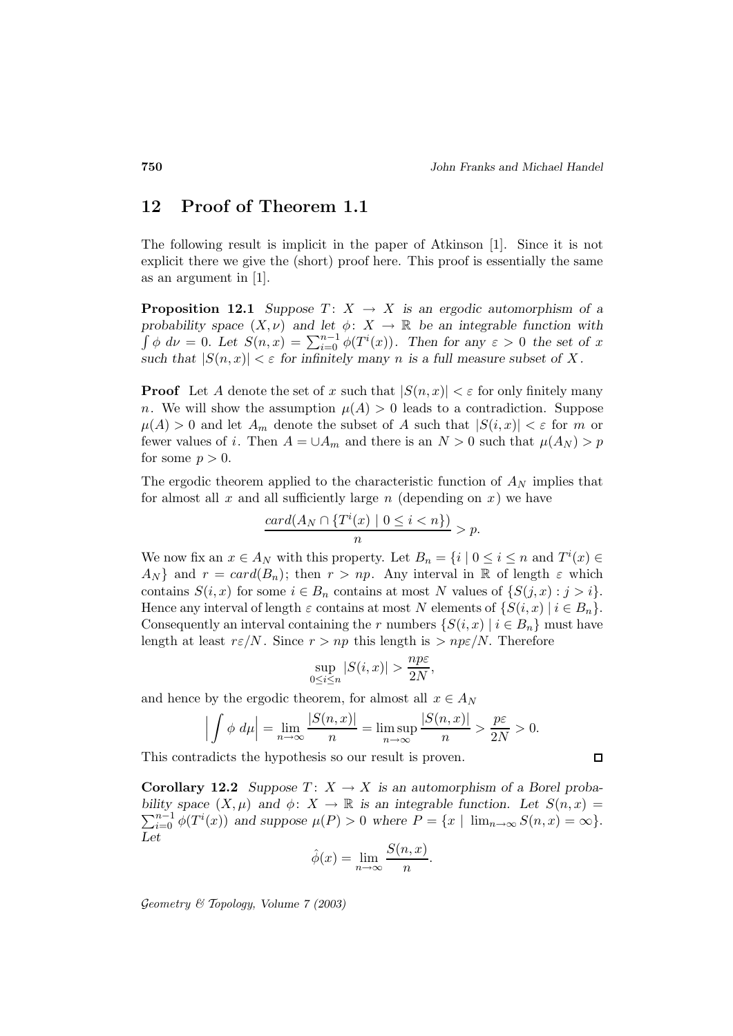# **12 Proof of Theorem 1.1**

The following result is implicit in the paper of Atkinson [1]. Since it is not explicit there we give the (short) proof here. This proof is essentially the same as an argument in [1].

**Proposition 12.1** *Suppose*  $T: X \rightarrow X$  *is an ergodic automorphism of a probability space*  $(X, \nu)$  *and let*  $\phi: X \to \mathbb{R}$  *be an integrable function with*  $\int \phi \, d\nu = 0$ . Let  $S(n,x) = \sum_{i=0}^{n-1} \phi(T^i(x))$ . Then for any  $\varepsilon > 0$  the set of x *such that*  $|S(n, x)| < \varepsilon$  *for infinitely many n is a full measure subset of X.* 

**Proof** Let A denote the set of x such that  $|S(n,x)| < \varepsilon$  for only finitely many n. We will show the assumption  $\mu(A) > 0$  leads to a contradiction. Suppose  $\mu(A) > 0$  and let  $A_m$  denote the subset of A such that  $|S(i, x)| < \varepsilon$  for m or fewer values of i. Then  $A = \bigcup A_m$  and there is an  $N > 0$  such that  $\mu(A_N) > p$ for some  $p > 0$ .

The ergodic theorem applied to the characteristic function of  $A_N$  implies that for almost all  $x$  and all sufficiently large  $n$  (depending on  $x$ ) we have

$$
\frac{card(A_N \cap \{T^i(x) \mid 0 \le i < n\})}{n} > p.
$$

We now fix an  $x \in A_N$  with this property. Let  $B_n = \{i \mid 0 \le i \le n \text{ and } T^i(x) \in$  $A_N$  and  $r = card(B_n)$ ; then  $r > np$ . Any interval in R of length  $\varepsilon$  which contains  $S(i, x)$  for some  $i \in B_n$  contains at most N values of  $\{S(j, x) : j > i\}.$ Hence any interval of length  $\varepsilon$  contains at most N elements of  $\{S(i, x) \mid i \in B_n\}.$ Consequently an interval containing the r numbers  $\{S(i, x) | i \in B_n\}$  must have length at least  $r \epsilon/N$ . Since  $r > np$  this length is  $> np \epsilon/N$ . Therefore

$$
\sup_{0 \le i \le n} |S(i, x)| > \frac{np\varepsilon}{2N},
$$

and hence by the ergodic theorem, for almost all  $x \in A_N$ 

$$
\left| \int \phi \ d\mu \right| = \lim_{n \to \infty} \frac{|S(n, x)|}{n} = \limsup_{n \to \infty} \frac{|S(n, x)|}{n} > \frac{p\varepsilon}{2N} > 0.
$$

This contradicts the hypothesis so our result is proven.

**Corollary 12.2** *Suppose*  $T: X \to X$  *is an automorphism of a Borel proba-* $\sum_{i=0}^{n-1} \phi(T^i(x))$  and suppose  $\mu(P) > 0$  where  $P = \{x \mid \lim_{n \to \infty} S(n,x) = \infty\}.$ *bility space*  $(X, \mu)$  *and*  $\phi: X \to \mathbb{R}$  *is an integrable function.* Let  $S(n, x) =$ *Let*

$$
\hat{\phi}(x) = \lim_{n \to \infty} \frac{S(n, x)}{n}.
$$

$$
\Box
$$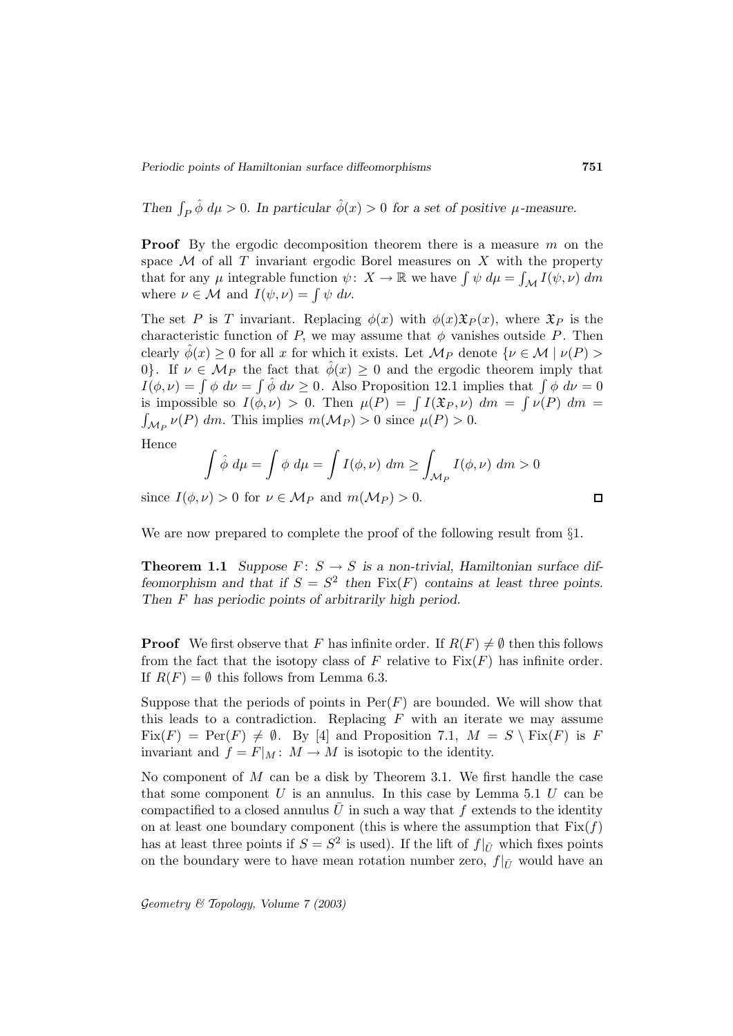*Then*  $\int_P \hat{\phi} d\mu > 0$ . *In particular*  $\hat{\phi}(x) > 0$  *for a set of positive*  $\mu$ -measure.

**Proof** By the ergodic decomposition theorem there is a measure m on the space  $\mathcal M$  of all T invariant ergodic Borel measures on X with the property that for any  $\mu$  integrable function  $\psi: X \to \mathbb{R}$  we have  $\int \psi \, d\mu = \int_{\mathcal{M}} I(\psi, \nu) \, dm$ where  $\nu \in \mathcal{M}$  and  $I(\psi, \nu) = \int \psi \, d\nu$ .

The set P is T invariant. Replacing  $\phi(x)$  with  $\phi(x)\mathfrak{X}_P(x)$ , where  $\mathfrak{X}_P$  is the characteristic function of P, we may assume that  $\phi$  vanishes outside P. Then clearly  $\phi(x) \geq 0$  for all x for which it exists. Let  $\mathcal{M}_P$  denote  $\{\nu \in \mathcal{M} \mid \nu(P) >$ 0}. If  $\nu \in M_P$  the fact that  $\hat{\phi}(x) \geq 0$  and the ergodic theorem imply that  $I(\phi, \nu) = \int \phi \ d\nu = \int \hat{\phi} \ d\nu \geq 0$ . Also Proposition 12.1 implies that  $\int \phi \ d\nu = 0$ is impossible so  $I(\phi, \nu) > 0$ . Then  $\mu(P) = \int I(\mathfrak{X}_P, \nu) dm = \int \nu(P) dm =$  $\int_{\mathcal{M}_P} \nu(P) dm$ . This implies  $m(\mathcal{M}_P) > 0$  since  $\mu(P) > 0$ .

Hence

$$
\int \hat{\phi} \, d\mu = \int \phi \, d\mu = \int I(\phi, \nu) \, dm \ge \int_{\mathcal{M}_P} I(\phi, \nu) \, dm > 0
$$

since  $I(\phi, \nu) > 0$  for  $\nu \in M_P$  and  $m(M_P) > 0$ .

We are now prepared to complete the proof of the following result from §1.

**Theorem 1.1** *Suppose*  $F: S \to S$  *is a non-trivial, Hamiltonian surface diffeomorphism and that if*  $S = S^2$  *then*  $Fix(F)$  *contains at least three points. Then* F *has periodic points of arbitrarily high period.*

**Proof** We first observe that F has infinite order. If  $R(F) \neq \emptyset$  then this follows from the fact that the isotopy class of F relative to  $Fix(F)$  has infinite order. If  $R(F) = \emptyset$  this follows from Lemma 6.3.

Suppose that the periods of points in  $Per(F)$  are bounded. We will show that this leads to a contradiction. Replacing  $F$  with an iterate we may assume  $Fix(F) = Per(F) \neq \emptyset$ . By [4] and Proposition 7.1,  $M = S \setminus Fix(F)$  is F invariant and  $f = F|_M : M \to M$  is isotopic to the identity.

No component of  $M$  can be a disk by Theorem 3.1. We first handle the case that some component  $U$  is an annulus. In this case by Lemma 5.1  $U$  can be compactified to a closed annulus U in such a way that f extends to the identity on at least one boundary component (this is where the assumption that  $Fix(f)$ ) has at least three points if  $S = S^2$  is used). If the lift of  $f|_{\bar{U}}$  which fixes points on the boundary were to have mean rotation number zero,  $f|_{\bar{U}}$  would have an

$$
\blacksquare
$$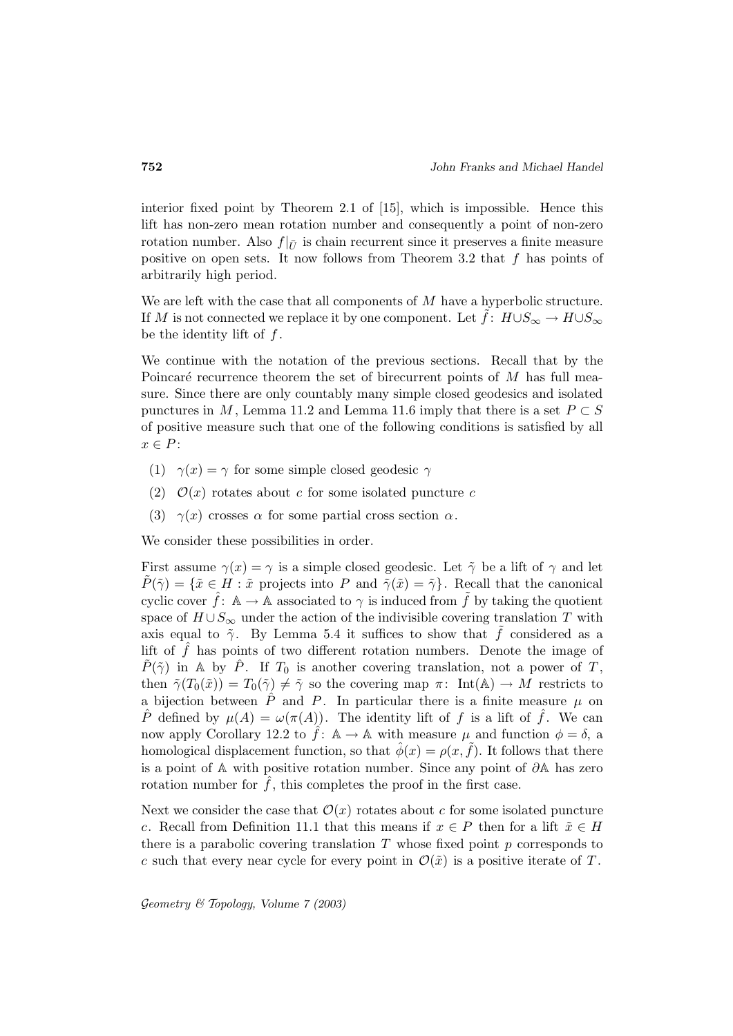interior fixed point by Theorem 2.1 of [15], which is impossible. Hence this lift has non-zero mean rotation number and consequently a point of non-zero rotation number. Also  $f|_{\bar{U}}$  is chain recurrent since it preserves a finite measure positive on open sets. It now follows from Theorem 3.2 that  $f$  has points of arbitrarily high period.

We are left with the case that all components of  $M$  have a hyperbolic structure. If M is not connected we replace it by one component. Let  $\tilde{f}$ :  $H \cup S_{\infty} \to H \cup S_{\infty}$ be the identity lift of  $f$ .

We continue with the notation of the previous sections. Recall that by the Poincaré recurrence theorem the set of birecurrent points of  $M$  has full measure. Since there are only countably many simple closed geodesics and isolated punctures in M, Lemma 11.2 and Lemma 11.6 imply that there is a set  $P \subset S$ of positive measure such that one of the following conditions is satisfied by all  $x \in P$ :

- (1)  $\gamma(x) = \gamma$  for some simple closed geodesic  $\gamma$
- (2)  $\mathcal{O}(x)$  rotates about c for some isolated puncture c
- (3)  $\gamma(x)$  crosses  $\alpha$  for some partial cross section  $\alpha$ .

We consider these possibilities in order.

First assume  $\gamma(x) = \gamma$  is a simple closed geodesic. Let  $\tilde{\gamma}$  be a lift of  $\gamma$  and let  $P(\tilde{\gamma}) = {\tilde{x} \in H : \tilde{x} \text{ projects into } P \text{ and } \tilde{\gamma}(\tilde{x}) = \tilde{\gamma}}.$  Recall that the canonical cyclic cover  $\hat{f}$ :  $\mathbb{A} \to \mathbb{A}$  associated to  $\gamma$  is induced from  $\hat{f}$  by taking the quotient space of  $H \cup S_{\infty}$  under the action of the indivisible covering translation T with axis equal to  $\tilde{\gamma}$ . By Lemma 5.4 it suffices to show that  $\tilde{f}$  considered as a lift of  $\hat{f}$  has points of two different rotation numbers. Denote the image of  $\tilde{P}(\tilde{\gamma})$  in A by  $\hat{P}$ . If  $T_0$  is another covering translation, not a power of T, then  $\tilde{\gamma}(T_0(\tilde{x})) = T_0(\tilde{\gamma}) \neq \tilde{\gamma}$  so the covering map  $\pi$ : Int(A)  $\rightarrow M$  restricts to a bijection between  $\hat{P}$  and  $P$ . In particular there is a finite measure  $\mu$  on P defined by  $\mu(A) = \omega(\pi(A))$ . The identity lift of f is a lift of f. We can now apply Corollary 12.2 to  $\hat{f}$ :  $\mathbb{A} \to \mathbb{A}$  with measure  $\mu$  and function  $\phi = \delta$ , a homological displacement function, so that  $\hat{\phi}(x) = \rho(x, \tilde{f})$ . It follows that there is a point of A with positive rotation number. Since any point of  $\partial A$  has zero rotation number for  $f$ , this completes the proof in the first case.

Next we consider the case that  $\mathcal{O}(x)$  rotates about c for some isolated puncture c. Recall from Definition 11.1 that this means if  $x \in P$  then for a lift  $\tilde{x} \in H$ there is a parabolic covering translation  $T$  whose fixed point  $p$  corresponds to c such that every near cycle for every point in  $\mathcal{O}(\tilde{x})$  is a positive iterate of T.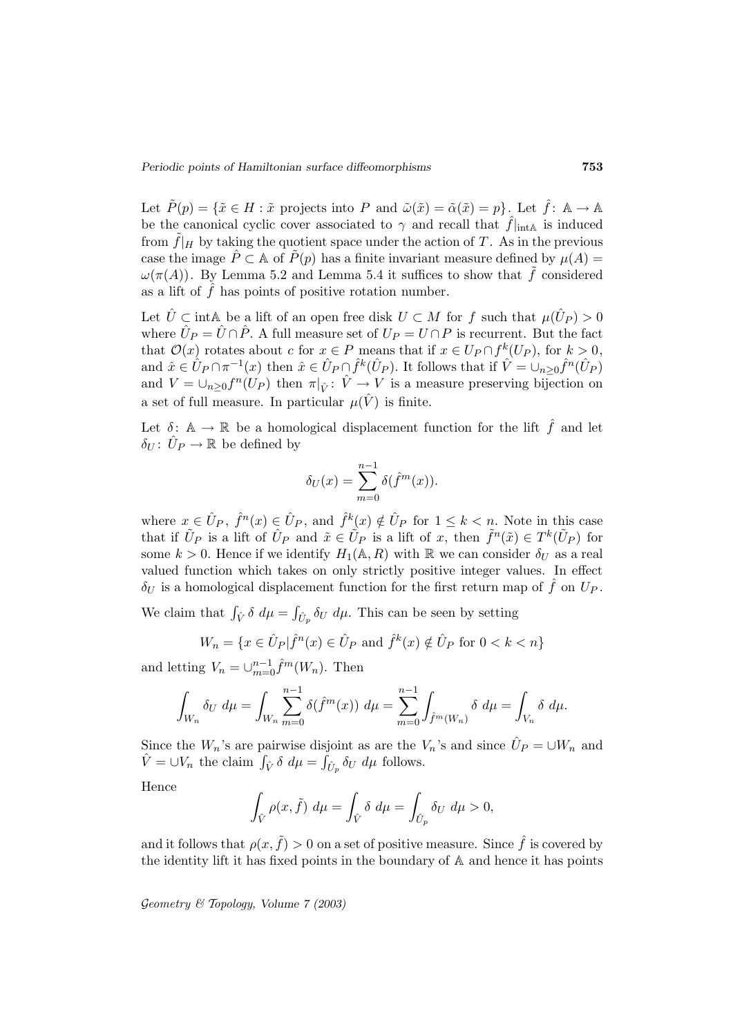Let  $\tilde{P}(p) = \{\tilde{x} \in H : \tilde{x} \text{ projects into } P \text{ and } \tilde{\omega}(\tilde{x}) = \tilde{\alpha}(\tilde{x}) = p\}.$  Let  $\hat{f} : \mathbb{A} \to \mathbb{A}$ be the canonical cyclic cover associated to  $\gamma$  and recall that  $\hat{f}|_{\text{intA}}$  is induced from  $\tilde{f}|_H$  by taking the quotient space under the action of T. As in the previous case the image  $\hat{P} \subset \mathbb{A}$  of  $\tilde{P}(p)$  has a finite invariant measure defined by  $\mu(A) =$  $\omega(\pi(A))$ . By Lemma 5.2 and Lemma 5.4 it suffices to show that  $\tilde{f}$  considered as a lift of  $\hat{f}$  has points of positive rotation number.

Let  $\hat{U} \subset \text{intA}$  be a lift of an open free disk  $U \subset M$  for f such that  $\mu(\hat{U}_P) > 0$ where  $\hat{U}_P = \hat{U} \cap \hat{P}$ . A full measure set of  $U_P = U \cap P$  is recurrent. But the fact that  $\mathcal{O}(x)$  rotates about c for  $x \in P$  means that if  $x \in U_P \cap f^k(U_P)$ , for  $k > 0$ , and  $\hat{x} \in \hat{U}_P \cap \pi^{-1}(x)$  then  $\hat{x} \in \hat{U}_P \cap \hat{f}^k(\hat{U}_P)$ . It follows that if  $\hat{V} = \cup_{n \geq 0} \hat{f}^n(\hat{U}_P)$ and  $V = \bigcup_{n \geq 0} f^n(U_P)$  then  $\pi|_{\hat{V}}: \hat{V} \to V$  is a measure preserving bijection on a set of full measure. In particular  $\mu(\hat{V})$  is finite.

Let  $\delta: \mathbb{A} \to \mathbb{R}$  be a homological displacement function for the lift  $\hat{f}$  and let  $\delta_U: U_P \to \mathbb{R}$  be defined by

$$
\delta_U(x) = \sum_{m=0}^{n-1} \delta(\hat{f}^m(x)).
$$

where  $x \in \hat{U}_P$ ,  $\hat{f}^n(x) \in \hat{U}_P$ , and  $\hat{f}^k(x) \notin \hat{U}_P$  for  $1 \leq k < n$ . Note in this case that if  $\tilde{U}_P$  is a lift of  $\tilde{U}_P$  and  $\tilde{x} \in \tilde{U}_P$  is a lift of x, then  $\tilde{f}^n(\tilde{x}) \in T^k(\tilde{U}_P)$  for some  $k > 0$ . Hence if we identify  $H_1(\mathbb{A}, R)$  with  $\mathbb{R}$  we can consider  $\delta_U$  as a real valued function which takes on only strictly positive integer values. In effect  $\delta_U$  is a homological displacement function for the first return map of f on  $U_P$ .

We claim that  $\int_{\hat{V}} \delta \, d\mu = \int_{\hat{U}_p} \delta_U \, d\mu$ . This can be seen by setting

$$
W_n = \{ x \in \hat{U}_P | \hat{f}^n(x) \in \hat{U}_P \text{ and } \hat{f}^k(x) \notin \hat{U}_P \text{ for } 0 < k < n \}
$$

and letting  $V_n = \bigcup_{m=0}^{n-1} \hat{f}^m(W_n)$ . Then

$$
\int_{W_n} \delta_U \, d\mu = \int_{W_n} \sum_{m=0}^{n-1} \delta(\hat{f}^m(x)) \, d\mu = \sum_{m=0}^{n-1} \int_{\hat{f}^m(W_n)} \delta \, d\mu = \int_{V_n} \delta \, d\mu.
$$

Since the  $W_n$ 's are pairwise disjoint as are the  $V_n$ 's and since  $\hat{U}_P = \cup W_n$  and  $\hat{V} = \bigcup V_n$  the claim  $\int_{\hat{V}} \delta \, d\mu = \int_{\hat{U}_p} \delta_U \, d\mu$  follows.

Hence

$$
\int_{\hat{V}} \rho(x,\tilde{f}) \, d\mu = \int_{\hat{V}} \delta \, d\mu = \int_{\hat{U}_p} \delta_U \, d\mu > 0,
$$

and it follows that  $\rho(x, \tilde{f}) > 0$  on a set of positive measure. Since  $\hat{f}$  is covered by the identity lift it has fixed points in the boundary of A and hence it has points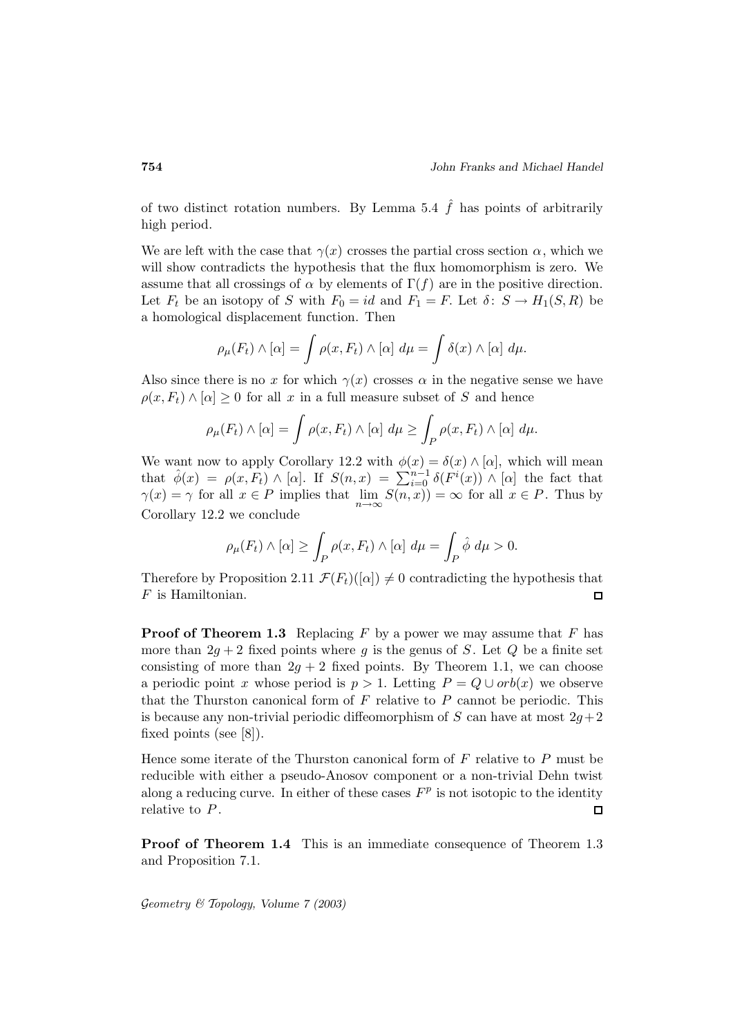of two distinct rotation numbers. By Lemma 5.4  $\hat{f}$  has points of arbitrarily high period.

We are left with the case that  $\gamma(x)$  crosses the partial cross section  $\alpha$ , which we will show contradicts the hypothesis that the flux homomorphism is zero. We assume that all crossings of  $\alpha$  by elements of  $\Gamma(f)$  are in the positive direction. Let  $F_t$  be an isotopy of S with  $F_0 = id$  and  $F_1 = F$ . Let  $\delta: S \to H_1(S, R)$  be a homological displacement function. Then

$$
\rho_{\mu}(F_t) \wedge [\alpha] = \int \rho(x, F_t) \wedge [\alpha] d\mu = \int \delta(x) \wedge [\alpha] d\mu.
$$

Also since there is no x for which  $\gamma(x)$  crosses  $\alpha$  in the negative sense we have  $\rho(x, F_t) \wedge [\alpha] \geq 0$  for all x in a full measure subset of S and hence

$$
\rho_{\mu}(F_t) \wedge [\alpha] = \int \rho(x, F_t) \wedge [\alpha] d\mu \ge \int_P \rho(x, F_t) \wedge [\alpha] d\mu.
$$

We want now to apply Corollary 12.2 with  $\phi(x) = \delta(x) \wedge [\alpha]$ , which will mean that  $\hat{\phi}(x) = \rho(x, F_t) \wedge [\alpha]$ . If  $S(n, x) = \sum_{i=0}^{n-1} \delta(F^i(x)) \wedge [\alpha]$  the fact that  $\gamma(x) = \gamma$  for all  $x \in P$  implies that  $\lim_{n \to \infty} S(n, x) = \infty$  for all  $x \in P$ . Thus by Corollary 12.2 we conclude

$$
\rho_{\mu}(F_t) \wedge [\alpha] \ge \int_P \rho(x, F_t) \wedge [\alpha] d\mu = \int_P \hat{\phi} d\mu > 0.
$$

Therefore by Proposition 2.11  $\mathcal{F}(F_t)([\alpha]) \neq 0$  contradicting the hypothesis that  $F$  is Hamiltonian. 口

**Proof of Theorem 1.3** Replacing  $F$  by a power we may assume that  $F$  has more than  $2g + 2$  fixed points where q is the genus of S. Let Q be a finite set consisting of more than  $2g + 2$  fixed points. By Theorem 1.1, we can choose a periodic point x whose period is  $p > 1$ . Letting  $P = Q \cup orb(x)$  we observe that the Thurston canonical form of  $F$  relative to  $P$  cannot be periodic. This is because any non-trivial periodic diffeomorphism of S can have at most  $2g+2$ fixed points (see [8]).

Hence some iterate of the Thurston canonical form of  $F$  relative to  $P$  must be reducible with either a pseudo-Anosov component or a non-trivial Dehn twist along a reducing curve. In either of these cases  $F<sup>p</sup>$  is not isotopic to the identity relative to  $P$ .  $\Box$ 

**Proof of Theorem 1.4** This is an immediate consequence of Theorem 1.3 and Proposition 7.1.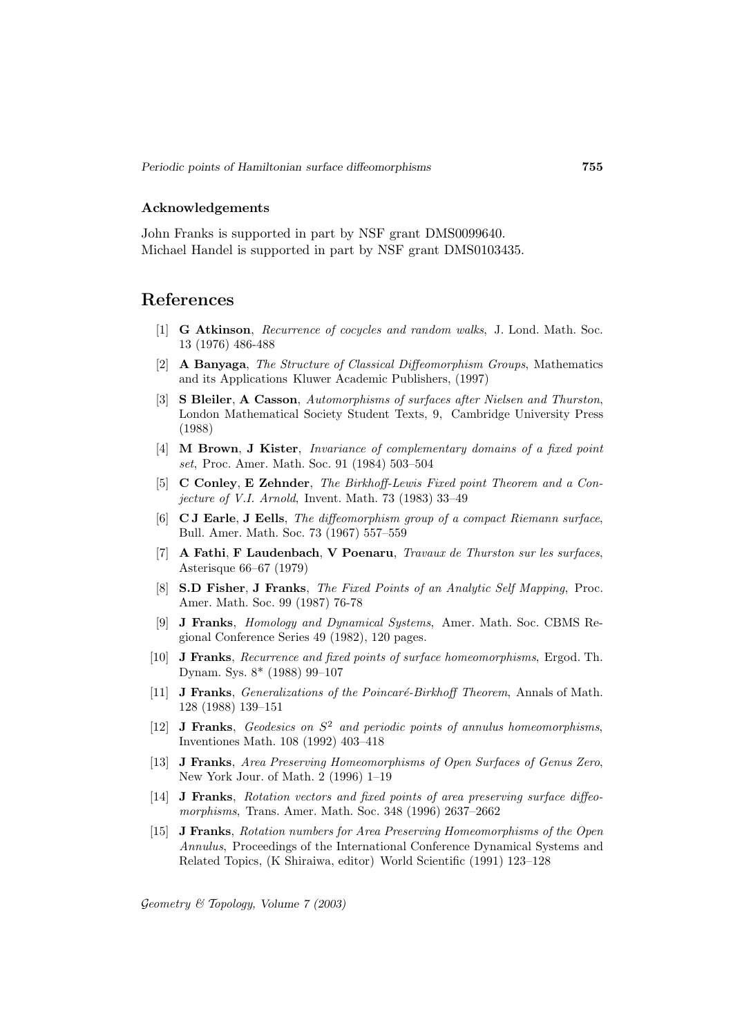#### **Acknowledgements**

John Franks is supported in part by NSF grant DMS0099640. Michael Handel is supported in part by NSF grant DMS0103435.

## **References**

- [1] **G Atkinson**, Recurrence of cocycles and random walks, J. Lond. Math. Soc. 13 (1976) 486-488
- [2] **A Banyaga**, The Structure of Classical Diffeomorphism Groups, Mathematics and its Applications Kluwer Academic Publishers, (1997)
- [3] **S Bleiler**, **A Casson**, Automorphisms of surfaces after Nielsen and Thurston, London Mathematical Society Student Texts, 9, Cambridge University Press (1988)
- [4] **M Brown**, **J Kister**, Invariance of complementary domains of a fixed point set, Proc. Amer. Math. Soc. 91 (1984) 503–504
- [5] **C Conley**, **E Zehnder**, The Birkhoff-Lewis Fixed point Theorem and a Conjecture of V.I. Arnold, Invent. Math. 73 (1983) 33–49
- [6] **C J Earle**, **J Eells**, The diffeomorphism group of a compact Riemann surface, Bull. Amer. Math. Soc. 73 (1967) 557–559
- [7] **A Fathi**, **F Laudenbach**, **V Poenaru**, Travaux de Thurston sur les surfaces, Asterisque 66–67 (1979)
- [8] **S.D Fisher**, **J Franks**, The Fixed Points of an Analytic Self Mapping, Proc. Amer. Math. Soc. 99 (1987) 76-78
- [9] **J Franks**, Homology and Dynamical Systems, Amer. Math. Soc. CBMS Regional Conference Series 49 (1982), 120 pages.
- [10] **J Franks**, Recurrence and fixed points of surface homeomorphisms, Ergod. Th. Dynam. Sys. 8\* (1988) 99–107
- [11] **J Franks**, *Generalizations of the Poincaré-Birkhoff Theorem*, Annals of Math. 128 (1988) 139–151
- [12] **J Franks**, Geodesics on  $S^2$  and periodic points of annulus homeomorphisms, Inventiones Math. 108 (1992) 403–418
- [13] **J Franks**, Area Preserving Homeomorphisms of Open Surfaces of Genus Zero, New York Jour. of Math. 2 (1996) 1–19
- [14] **J Franks**, Rotation vectors and fixed points of area preserving surface diffeomorphisms, Trans. Amer. Math. Soc. 348 (1996) 2637–2662
- [15] **J Franks**, Rotation numbers for Area Preserving Homeomorphisms of the Open Annulus, Proceedings of the International Conference Dynamical Systems and Related Topics, (K Shiraiwa, editor) World Scientific (1991) 123–128